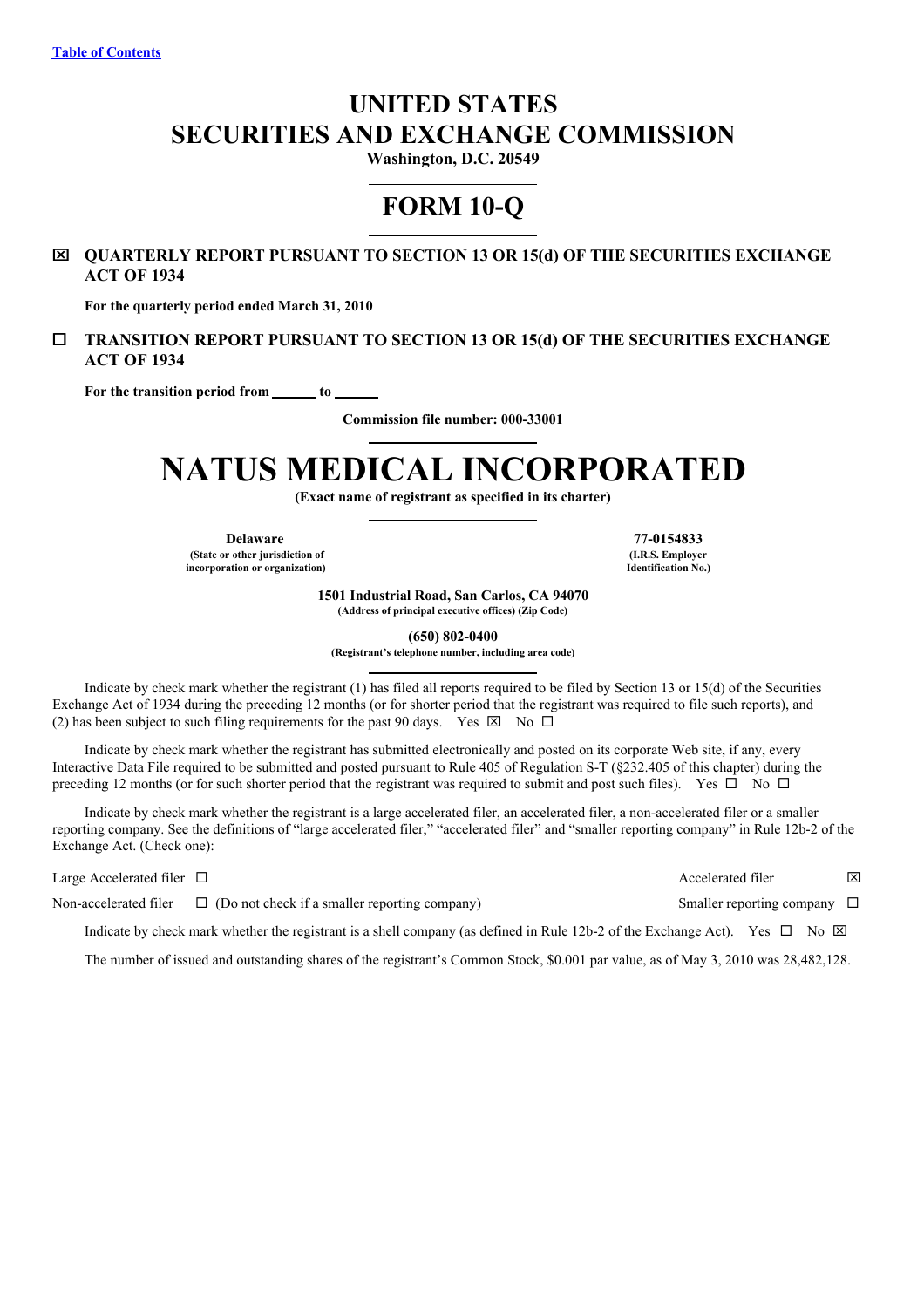# <span id="page-0-0"></span>**UNITED STATES SECURITIES AND EXCHANGE COMMISSION**

**Washington, D.C. 20549**

# **FORM 10-Q**

# x **QUARTERLY REPORT PURSUANT TO SECTION 13 OR 15(d) OF THE SECURITIES EXCHANGE ACT OF 1934**

**For the quarterly period ended March 31, 2010**

# ¨ **TRANSITION REPORT PURSUANT TO SECTION 13 OR 15(d) OF THE SECURITIES EXCHANGE ACT OF 1934**

**For the transition period from to**

**Commission file number: 000-33001**

# **NATUS MEDICAL INCORPORATED**

**(Exact name of registrant as specified in its charter)**

**Delaware 77-0154833 (State or other jurisdiction of incorporation or organization)**

**(I.R.S. Employer Identification No.)**

**1501 Industrial Road, San Carlos, CA 94070 (Address of principal executive offices) (Zip Code)**

**(650) 802-0400**

**(Registrant's telephone number, including area code)**

Indicate by check mark whether the registrant (1) has filed all reports required to be filed by Section 13 or 15(d) of the Securities Exchange Act of 1934 during the preceding 12 months (or for shorter period that the registrant was required to file such reports), and (2) has been subject to such filing requirements for the past 90 days. Yes  $\boxtimes$  No  $\Box$ 

Indicate by check mark whether the registrant has submitted electronically and posted on its corporate Web site, if any, every Interactive Data File required to be submitted and posted pursuant to Rule 405 of Regulation S-T (§232.405 of this chapter) during the preceding 12 months (or for such shorter period that the registrant was required to submit and post such files). Yes  $\Box$  No  $\Box$ 

Indicate by check mark whether the registrant is a large accelerated filer, an accelerated filer, a non-accelerated filer or a smaller reporting company. See the definitions of "large accelerated filer," "accelerated filer" and "smaller reporting company" in Rule 12b-2 of the Exchange Act. (Check one):

Large Accelerated filer  $\Box$ Non-accelerated filer  $\Box$  (Do not check if a smaller reporting company) Smaller reporting company  $\Box$ Indicate by check mark whether the registrant is a shell company (as defined in Rule 12b-2 of the Exchange Act). Yes  $\Box$  No  $\boxtimes$ 

The number of issued and outstanding shares of the registrant's Common Stock, \$0.001 par value, as of May 3, 2010 was 28,482,128.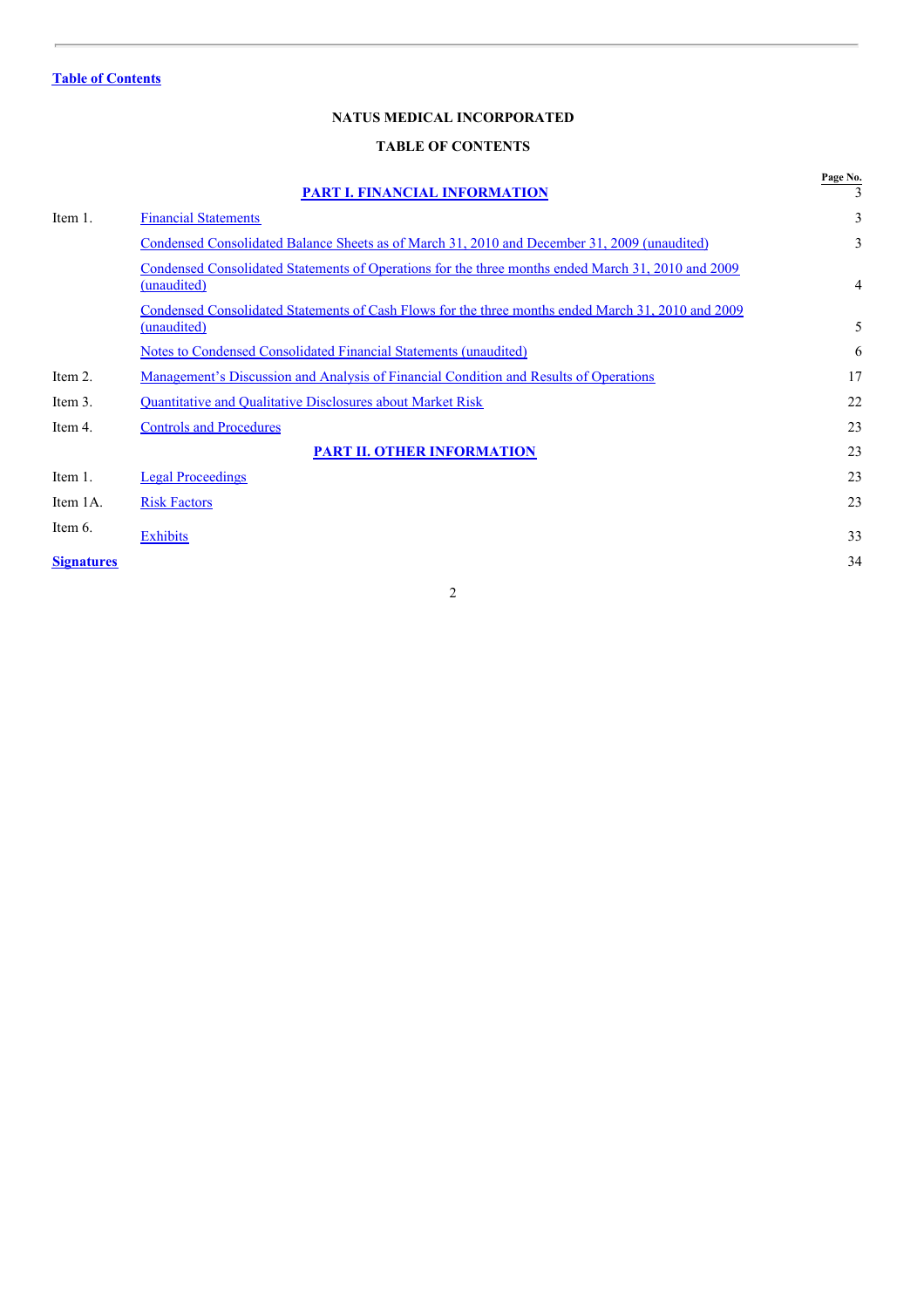# **NATUS MEDICAL INCORPORATED**

# **TABLE OF CONTENTS**

|                   | <b>PART I. FINANCIAL INFORMATION</b>                                                                              | Page No. |
|-------------------|-------------------------------------------------------------------------------------------------------------------|----------|
| Item 1.           | <b>Financial Statements</b>                                                                                       | 3        |
|                   | Condensed Consolidated Balance Sheets as of March 31, 2010 and December 31, 2009 (unaudited)                      | 3        |
|                   | Condensed Consolidated Statements of Operations for the three months ended March 31, 2010 and 2009<br>(unaudited) | 4        |
|                   | Condensed Consolidated Statements of Cash Flows for the three months ended March 31, 2010 and 2009<br>(unaudited) | 5        |
|                   | Notes to Condensed Consolidated Financial Statements (unaudited)                                                  | 6        |
| Item 2.           | Management's Discussion and Analysis of Financial Condition and Results of Operations                             | 17       |
| Item 3.           | <b>Quantitative and Qualitative Disclosures about Market Risk</b>                                                 | 22       |
| Item 4.           | <b>Controls and Procedures</b>                                                                                    | 23       |
|                   | <b>PART II. OTHER INFORMATION</b>                                                                                 | 23       |
| Item 1.           | <b>Legal Proceedings</b>                                                                                          | 23       |
| Item 1A.          | <b>Risk Factors</b>                                                                                               | 23       |
| Item 6.           | <b>Exhibits</b>                                                                                                   | 33       |
| <b>Signatures</b> |                                                                                                                   | 34       |
|                   | 2                                                                                                                 |          |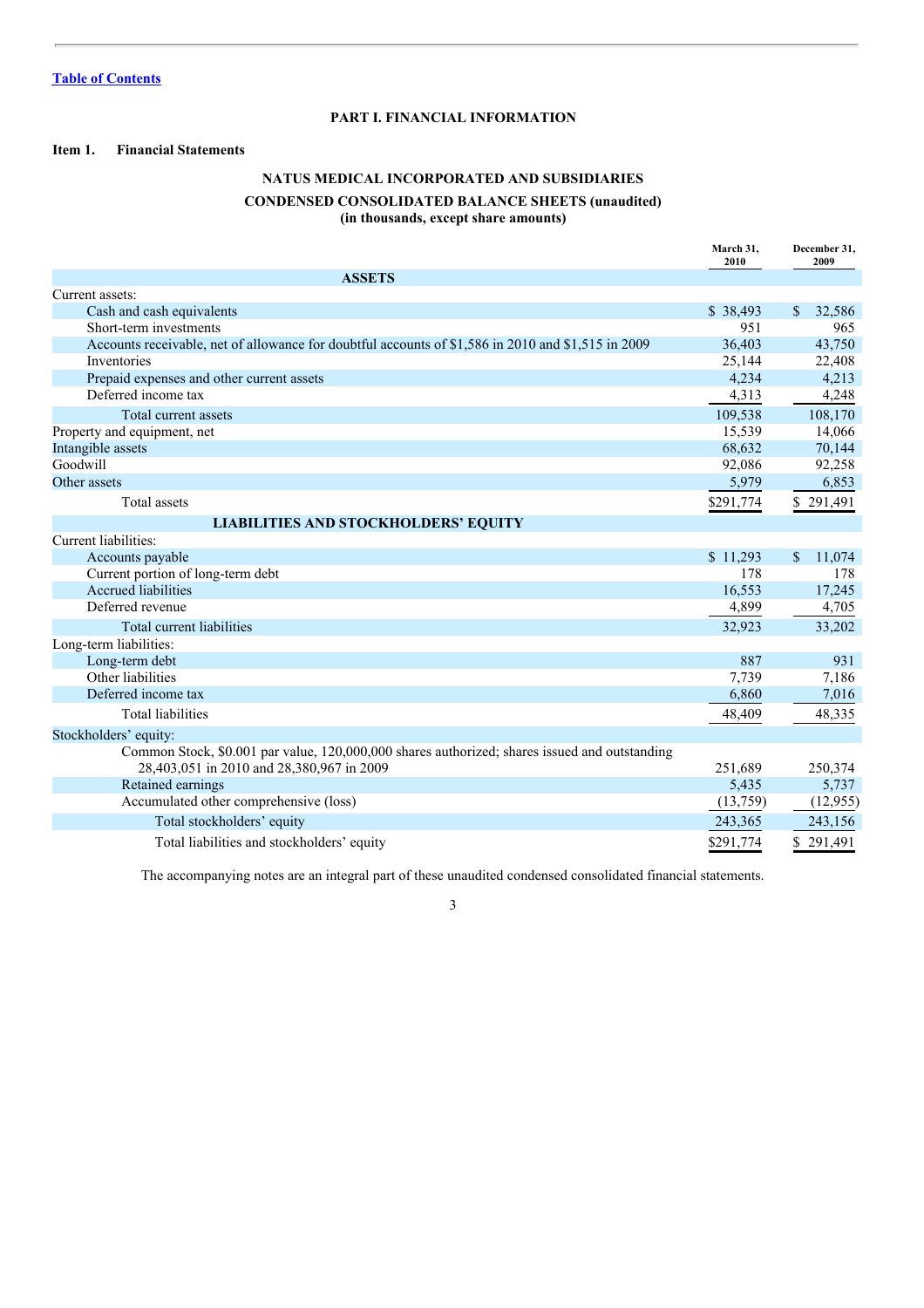## **PART I. FINANCIAL INFORMATION**

# **Item 1. Financial Statements**

# **NATUS MEDICAL INCORPORATED AND SUBSIDIARIES CONDENSED CONSOLIDATED BALANCE SHEETS (unaudited) (in thousands, except share amounts)**

|                                                                                                    | March 31,<br>2010 | December 31,<br>2009   |
|----------------------------------------------------------------------------------------------------|-------------------|------------------------|
| <b>ASSETS</b>                                                                                      |                   |                        |
| Current assets:                                                                                    |                   |                        |
| Cash and cash equivalents                                                                          | \$38,493          | $\mathbb{S}$<br>32,586 |
| Short-term investments                                                                             | 951               | 965                    |
| Accounts receivable, net of allowance for doubtful accounts of \$1,586 in 2010 and \$1,515 in 2009 | 36,403            | 43,750                 |
| Inventories                                                                                        | 25,144            | 22,408                 |
| Prepaid expenses and other current assets                                                          | 4,234             | 4,213                  |
| Deferred income tax                                                                                | 4,313             | 4,248                  |
| Total current assets                                                                               | 109,538           | 108,170                |
| Property and equipment, net                                                                        | 15,539            | 14,066                 |
| Intangible assets                                                                                  | 68,632            | 70,144                 |
| Goodwill                                                                                           | 92,086            | 92,258                 |
| Other assets                                                                                       | 5,979             | 6,853                  |
| Total assets                                                                                       | \$291,774         | \$291,491              |
| <b>LIABILITIES AND STOCKHOLDERS' EQUITY</b>                                                        |                   |                        |
| Current liabilities:                                                                               |                   |                        |
| Accounts payable                                                                                   | \$11,293          | \$<br>11,074           |
| Current portion of long-term debt                                                                  | 178               | 178                    |
| <b>Accrued liabilities</b>                                                                         | 16,553            | 17,245                 |
| Deferred revenue                                                                                   | 4,899             | 4,705                  |
| Total current liabilities                                                                          | 32,923            | 33,202                 |
| Long-term liabilities:                                                                             |                   |                        |
| Long-term debt                                                                                     | 887               | 931                    |
| Other liabilities                                                                                  | 7,739             | 7,186                  |
| Deferred income tax                                                                                | 6,860             | 7,016                  |
| <b>Total liabilities</b>                                                                           | 48,409            | 48,335                 |
| Stockholders' equity:                                                                              |                   |                        |
| Common Stock, \$0.001 par value, 120,000,000 shares authorized; shares issued and outstanding      |                   |                        |
| 28,403,051 in 2010 and 28,380,967 in 2009                                                          | 251,689           | 250,374                |
| Retained earnings                                                                                  | 5,435             | 5,737                  |
| Accumulated other comprehensive (loss)                                                             | (13,759)          | (12, 955)              |
| Total stockholders' equity                                                                         | 243,365           | 243.156                |
| Total liabilities and stockholders' equity                                                         | \$291,774         | \$291,491              |

The accompanying notes are an integral part of these unaudited condensed consolidated financial statements.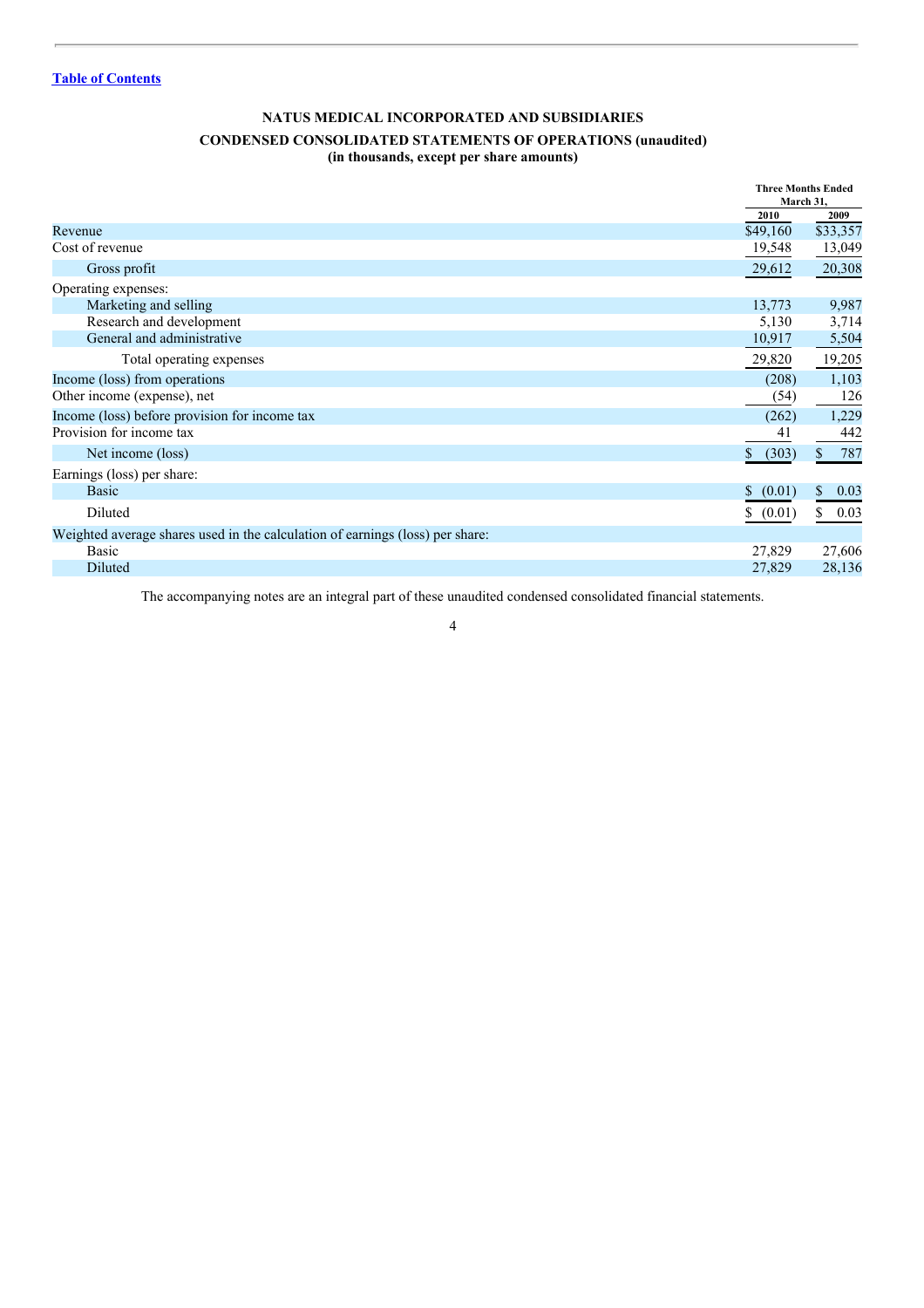# **NATUS MEDICAL INCORPORATED AND SUBSIDIARIES**

## **CONDENSED CONSOLIDATED STATEMENTS OF OPERATIONS (unaudited) (in thousands, except per share amounts)**

| 2010<br>2009                                                                  |        |
|-------------------------------------------------------------------------------|--------|
|                                                                               |        |
| \$49,160<br>\$33,357<br>Revenue                                               |        |
| Cost of revenue<br>19,548                                                     | 13,049 |
| 29,612<br>Gross profit                                                        | 20,308 |
| Operating expenses:                                                           |        |
| Marketing and selling<br>13,773                                               | 9,987  |
| Research and development<br>5,130                                             | 3,714  |
| General and administrative<br>10,917                                          | 5,504  |
| 29,820<br>Total operating expenses                                            | 19,205 |
| Income (loss) from operations<br>(208)                                        | 1,103  |
| Other income (expense), net<br>(54)                                           | 126    |
| Income (loss) before provision for income tax<br>(262)                        | 1,229  |
| Provision for income tax<br>41                                                | 442    |
| (303)<br>\$<br>Net income (loss)<br>\$                                        | 787    |
| Earnings (loss) per share:                                                    |        |
| <b>Basic</b><br>(0.01)<br>\$<br><sup>S</sup>                                  | 0.03   |
| Diluted<br>\$ (0.01)<br>S.                                                    | 0.03   |
| Weighted average shares used in the calculation of earnings (loss) per share: |        |
| <b>Basic</b><br>27,829                                                        | 27,606 |
| Diluted<br>27,829                                                             | 28,136 |

The accompanying notes are an integral part of these unaudited condensed consolidated financial statements.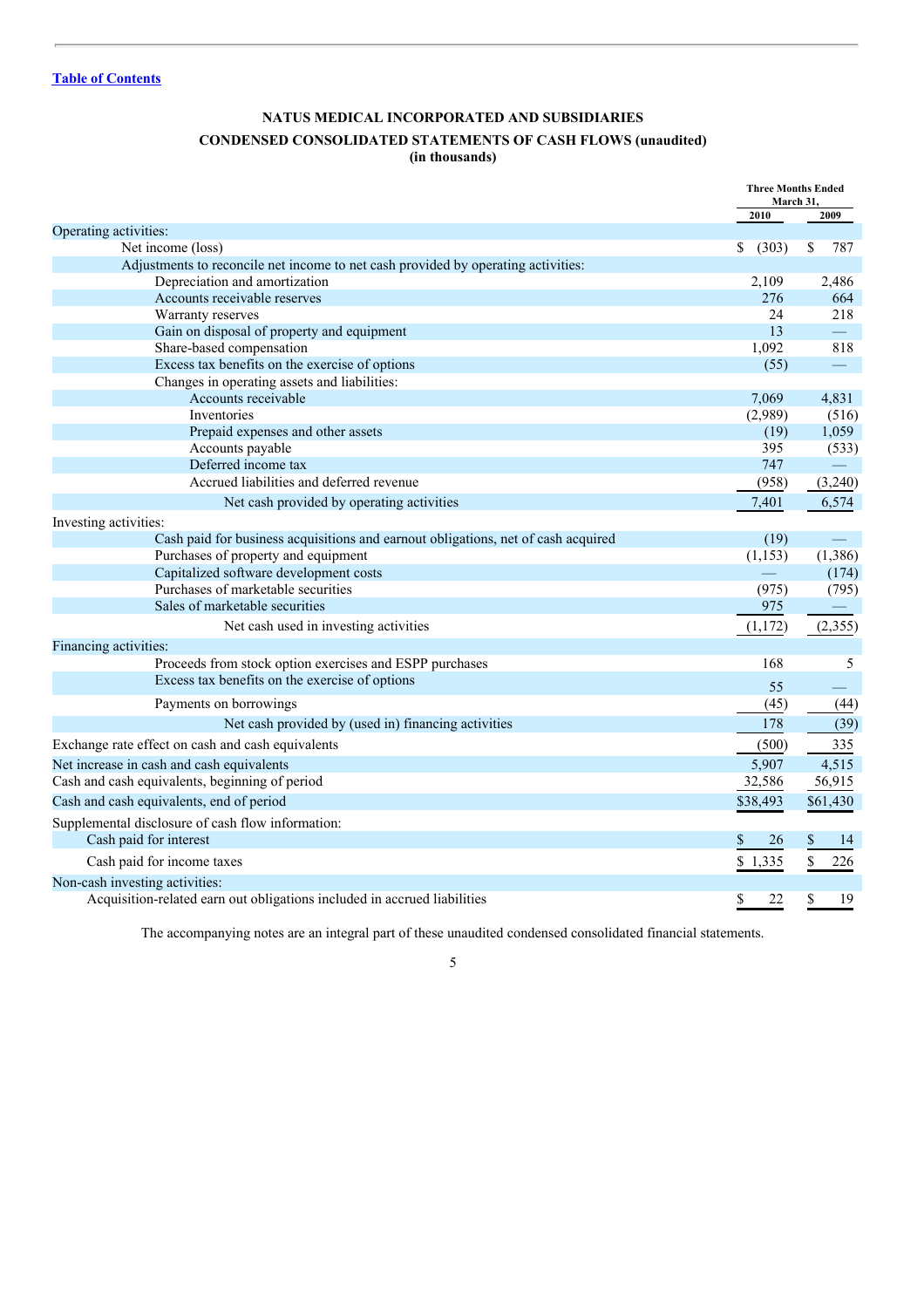# **NATUS MEDICAL INCORPORATED AND SUBSIDIARIES CONDENSED CONSOLIDATED STATEMENTS OF CASH FLOWS (unaudited) (in thousands)**

|                                                                                   | <b>Three Months Ended</b><br>March 31, |                   |
|-----------------------------------------------------------------------------------|----------------------------------------|-------------------|
|                                                                                   | 2010                                   | 2009              |
| Operating activities:                                                             |                                        |                   |
| Net income (loss)                                                                 | \$<br>(303)                            | \$<br>787         |
| Adjustments to reconcile net income to net cash provided by operating activities: |                                        |                   |
| Depreciation and amortization                                                     | 2,109                                  | 2,486             |
| Accounts receivable reserves                                                      | 276                                    | 664               |
| Warranty reserves                                                                 | 24                                     | 218               |
| Gain on disposal of property and equipment                                        | 13                                     | $\qquad \qquad -$ |
| Share-based compensation                                                          | 1,092                                  | 818               |
| Excess tax benefits on the exercise of options                                    | (55)                                   | $\equiv$          |
| Changes in operating assets and liabilities:                                      |                                        |                   |
| Accounts receivable                                                               | 7,069                                  | 4,831             |
| Inventories                                                                       | (2,989)                                | (516)             |
| Prepaid expenses and other assets                                                 | (19)                                   | 1,059             |
| Accounts payable                                                                  | 395                                    | (533)             |
| Deferred income tax                                                               | 747                                    |                   |
| Accrued liabilities and deferred revenue                                          | (958)                                  | (3,240)           |
| Net cash provided by operating activities                                         | 7,401                                  | 6,574             |
| Investing activities:                                                             |                                        |                   |
| Cash paid for business acquisitions and earnout obligations, net of cash acquired | (19)                                   |                   |
| Purchases of property and equipment                                               | (1,153)                                | (1,386)           |
| Capitalized software development costs                                            |                                        | (174)             |
| Purchases of marketable securities                                                | (975)                                  | (795)             |
| Sales of marketable securities                                                    | 975                                    |                   |
| Net cash used in investing activities                                             | (1,172)                                | (2,355)           |
| Financing activities:                                                             |                                        |                   |
| Proceeds from stock option exercises and ESPP purchases                           | 168                                    | 5                 |
| Excess tax benefits on the exercise of options                                    | 55                                     |                   |
| Payments on borrowings                                                            | (45)                                   | (44)              |
| Net cash provided by (used in) financing activities                               | 178                                    | (39)              |
| Exchange rate effect on cash and cash equivalents                                 | (500)                                  | 335               |
| Net increase in cash and cash equivalents                                         | 5,907                                  | 4,515             |
| Cash and cash equivalents, beginning of period                                    | 32,586                                 | 56,915            |
| Cash and cash equivalents, end of period                                          | \$38,493                               | \$61,430          |
| Supplemental disclosure of cash flow information:                                 |                                        |                   |
| Cash paid for interest                                                            | \$<br>26                               | \$<br>14          |
| Cash paid for income taxes                                                        | \$1,335                                | \$<br>226         |
| Non-cash investing activities:                                                    |                                        |                   |
| Acquisition-related earn out obligations included in accrued liabilities          | \$<br>22                               | \$<br>19          |

The accompanying notes are an integral part of these unaudited condensed consolidated financial statements.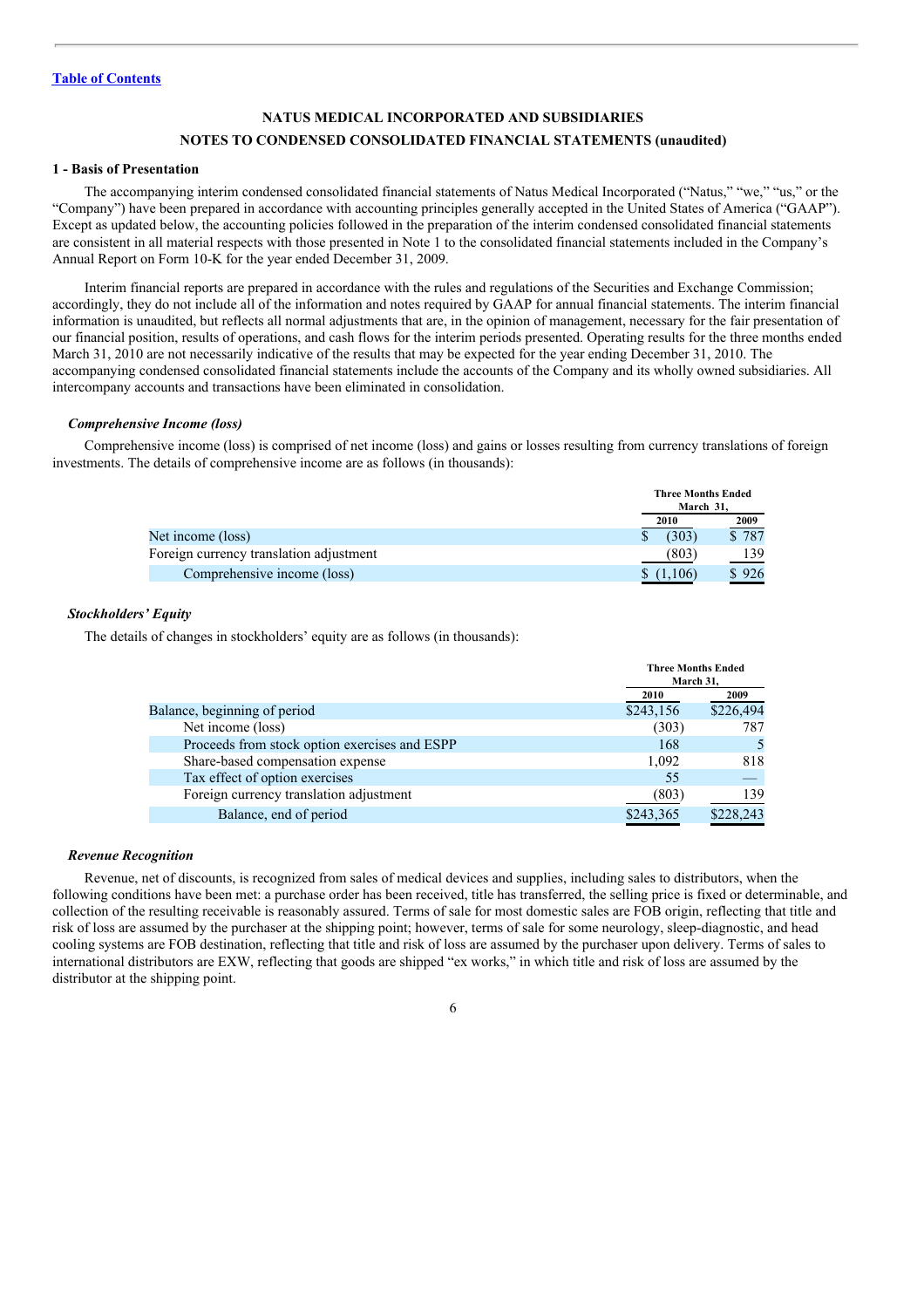# **NATUS MEDICAL INCORPORATED AND SUBSIDIARIES NOTES TO CONDENSED CONSOLIDATED FINANCIAL STATEMENTS (unaudited)**

#### **1 - Basis of Presentation**

The accompanying interim condensed consolidated financial statements of Natus Medical Incorporated ("Natus," "we," "us," or the "Company") have been prepared in accordance with accounting principles generally accepted in the United States of America ("GAAP"). Except as updated below, the accounting policies followed in the preparation of the interim condensed consolidated financial statements are consistent in all material respects with those presented in Note 1 to the consolidated financial statements included in the Company's Annual Report on Form 10-K for the year ended December 31, 2009.

Interim financial reports are prepared in accordance with the rules and regulations of the Securities and Exchange Commission; accordingly, they do not include all of the information and notes required by GAAP for annual financial statements. The interim financial information is unaudited, but reflects all normal adjustments that are, in the opinion of management, necessary for the fair presentation of our financial position, results of operations, and cash flows for the interim periods presented. Operating results for the three months ended March 31, 2010 are not necessarily indicative of the results that may be expected for the year ending December 31, 2010. The accompanying condensed consolidated financial statements include the accounts of the Company and its wholly owned subsidiaries. All intercompany accounts and transactions have been eliminated in consolidation.

#### *Comprehensive Income (loss)*

Comprehensive income (loss) is comprised of net income (loss) and gains or losses resulting from currency translations of foreign investments. The details of comprehensive income are as follows (in thousands):

|                                         | <b>Three Months Ended</b> |             |
|-----------------------------------------|---------------------------|-------------|
|                                         | March 31.                 |             |
|                                         | 2010                      | <b>2009</b> |
| Net income (loss)                       | (303)                     | \$787       |
| Foreign currency translation adjustment | (803)                     | 139         |
| Comprehensive income (loss)             | (1,106)                   | \$926       |

#### *Stockholders' Equity*

The details of changes in stockholders' equity are as follows (in thousands):

|                                               | <b>Three Months Ended</b><br>March 31, |           |
|-----------------------------------------------|----------------------------------------|-----------|
|                                               | 2010                                   | 2009      |
| Balance, beginning of period                  | \$243,156                              | \$226,494 |
| Net income (loss)                             | (303)                                  | 787       |
| Proceeds from stock option exercises and ESPP | 168                                    |           |
| Share-based compensation expense              | 1.092                                  | 818       |
| Tax effect of option exercises                | 55                                     |           |
| Foreign currency translation adjustment       | (803)                                  | 139       |
| Balance, end of period                        | \$243,365                              | \$228,243 |

#### *Revenue Recognition*

Revenue, net of discounts, is recognized from sales of medical devices and supplies, including sales to distributors, when the following conditions have been met: a purchase order has been received, title has transferred, the selling price is fixed or determinable, and collection of the resulting receivable is reasonably assured. Terms of sale for most domestic sales are FOB origin, reflecting that title and risk of loss are assumed by the purchaser at the shipping point; however, terms of sale for some neurology, sleep-diagnostic, and head cooling systems are FOB destination, reflecting that title and risk of loss are assumed by the purchaser upon delivery. Terms of sales to international distributors are EXW, reflecting that goods are shipped "ex works," in which title and risk of loss are assumed by the distributor at the shipping point.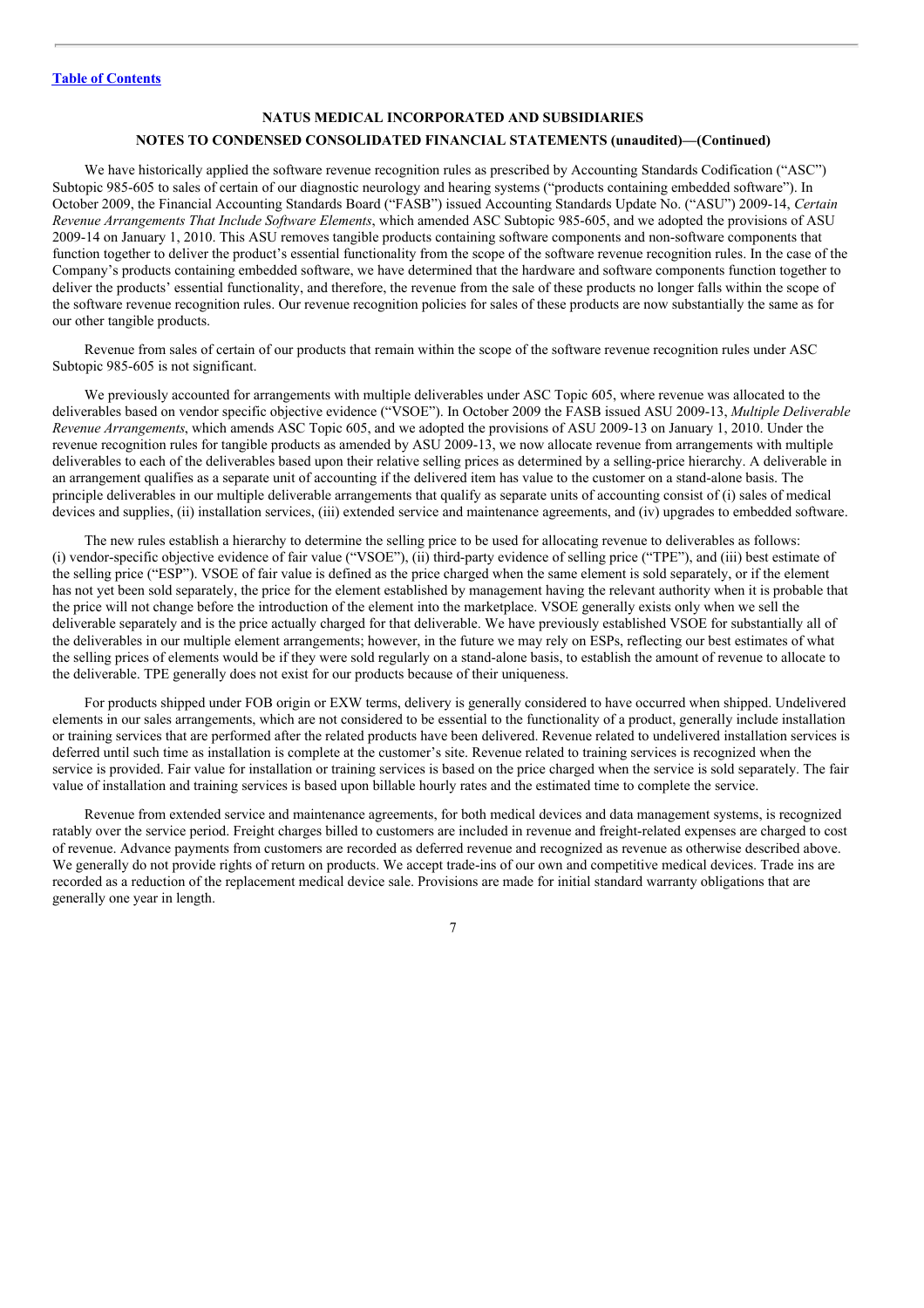## **NATUS MEDICAL INCORPORATED AND SUBSIDIARIES**

## **NOTES TO CONDENSED CONSOLIDATED FINANCIAL STATEMENTS (unaudited)—(Continued)**

We have historically applied the software revenue recognition rules as prescribed by Accounting Standards Codification ("ASC") Subtopic 985-605 to sales of certain of our diagnostic neurology and hearing systems ("products containing embedded software"). In October 2009, the Financial Accounting Standards Board ("FASB") issued Accounting Standards Update No. ("ASU") 2009-14, *Certain Revenue Arrangements That Include Software Elements*, which amended ASC Subtopic 985-605, and we adopted the provisions of ASU 2009-14 on January 1, 2010. This ASU removes tangible products containing software components and non-software components that function together to deliver the product's essential functionality from the scope of the software revenue recognition rules. In the case of the Company's products containing embedded software, we have determined that the hardware and software components function together to deliver the products' essential functionality, and therefore, the revenue from the sale of these products no longer falls within the scope of the software revenue recognition rules. Our revenue recognition policies for sales of these products are now substantially the same as for our other tangible products.

Revenue from sales of certain of our products that remain within the scope of the software revenue recognition rules under ASC Subtopic 985-605 is not significant.

We previously accounted for arrangements with multiple deliverables under ASC Topic 605, where revenue was allocated to the deliverables based on vendor specific objective evidence ("VSOE"). In October 2009 the FASB issued ASU 2009-13, *Multiple Deliverable Revenue Arrangements*, which amends ASC Topic 605, and we adopted the provisions of ASU 2009-13 on January 1, 2010. Under the revenue recognition rules for tangible products as amended by ASU 2009-13, we now allocate revenue from arrangements with multiple deliverables to each of the deliverables based upon their relative selling prices as determined by a selling-price hierarchy. A deliverable in an arrangement qualifies as a separate unit of accounting if the delivered item has value to the customer on a stand-alone basis. The principle deliverables in our multiple deliverable arrangements that qualify as separate units of accounting consist of (i) sales of medical devices and supplies, (ii) installation services, (iii) extended service and maintenance agreements, and (iv) upgrades to embedded software.

The new rules establish a hierarchy to determine the selling price to be used for allocating revenue to deliverables as follows: (i) vendor-specific objective evidence of fair value ("VSOE"), (ii) third-party evidence of selling price ("TPE"), and (iii) best estimate of the selling price ("ESP"). VSOE of fair value is defined as the price charged when the same element is sold separately, or if the element has not yet been sold separately, the price for the element established by management having the relevant authority when it is probable that the price will not change before the introduction of the element into the marketplace. VSOE generally exists only when we sell the deliverable separately and is the price actually charged for that deliverable. We have previously established VSOE for substantially all of the deliverables in our multiple element arrangements; however, in the future we may rely on ESPs, reflecting our best estimates of what the selling prices of elements would be if they were sold regularly on a stand-alone basis, to establish the amount of revenue to allocate to the deliverable. TPE generally does not exist for our products because of their uniqueness.

For products shipped under FOB origin or EXW terms, delivery is generally considered to have occurred when shipped. Undelivered elements in our sales arrangements, which are not considered to be essential to the functionality of a product, generally include installation or training services that are performed after the related products have been delivered. Revenue related to undelivered installation services is deferred until such time as installation is complete at the customer's site. Revenue related to training services is recognized when the service is provided. Fair value for installation or training services is based on the price charged when the service is sold separately. The fair value of installation and training services is based upon billable hourly rates and the estimated time to complete the service.

Revenue from extended service and maintenance agreements, for both medical devices and data management systems, is recognized ratably over the service period. Freight charges billed to customers are included in revenue and freight-related expenses are charged to cost of revenue. Advance payments from customers are recorded as deferred revenue and recognized as revenue as otherwise described above. We generally do not provide rights of return on products. We accept trade-ins of our own and competitive medical devices. Trade ins are recorded as a reduction of the replacement medical device sale. Provisions are made for initial standard warranty obligations that are generally one year in length.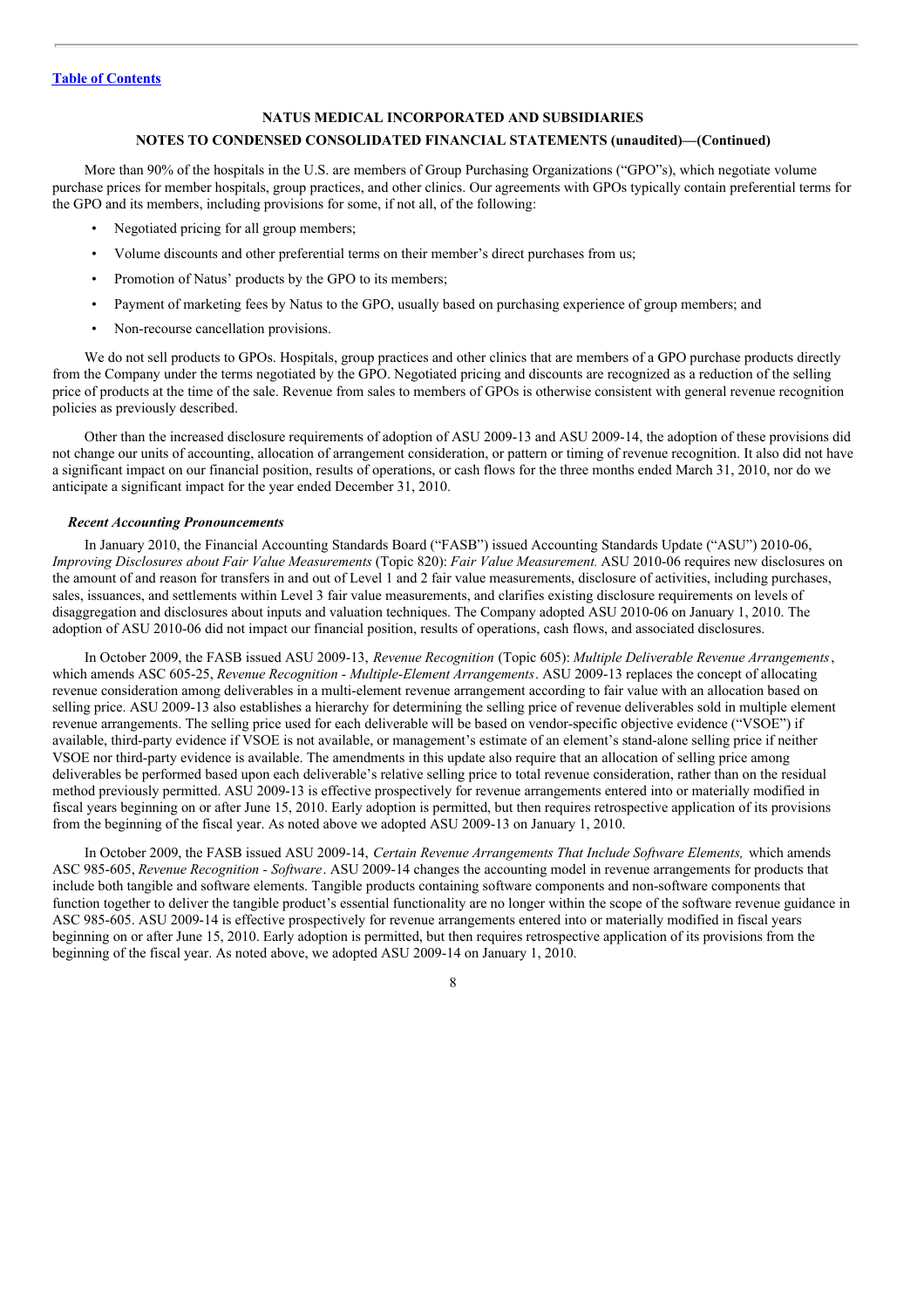## **NATUS MEDICAL INCORPORATED AND SUBSIDIARIES**

## **NOTES TO CONDENSED CONSOLIDATED FINANCIAL STATEMENTS (unaudited)—(Continued)**

More than 90% of the hospitals in the U.S. are members of Group Purchasing Organizations ("GPO"s), which negotiate volume purchase prices for member hospitals, group practices, and other clinics. Our agreements with GPOs typically contain preferential terms for the GPO and its members, including provisions for some, if not all, of the following:

- Negotiated pricing for all group members;
- Volume discounts and other preferential terms on their member's direct purchases from us;
- Promotion of Natus' products by the GPO to its members;
- Payment of marketing fees by Natus to the GPO, usually based on purchasing experience of group members; and
- Non-recourse cancellation provisions.

We do not sell products to GPOs. Hospitals, group practices and other clinics that are members of a GPO purchase products directly from the Company under the terms negotiated by the GPO. Negotiated pricing and discounts are recognized as a reduction of the selling price of products at the time of the sale. Revenue from sales to members of GPOs is otherwise consistent with general revenue recognition policies as previously described.

Other than the increased disclosure requirements of adoption of ASU 2009-13 and ASU 2009-14, the adoption of these provisions did not change our units of accounting, allocation of arrangement consideration, or pattern or timing of revenue recognition. It also did not have a significant impact on our financial position, results of operations, or cash flows for the three months ended March 31, 2010, nor do we anticipate a significant impact for the year ended December 31, 2010.

## *Recent Accounting Pronouncements*

In January 2010, the Financial Accounting Standards Board ("FASB") issued Accounting Standards Update ("ASU") 2010-06, *Improving Disclosures about Fair Value Measurements* (Topic 820): *Fair Value Measurement.* ASU 2010-06 requires new disclosures on the amount of and reason for transfers in and out of Level 1 and 2 fair value measurements, disclosure of activities, including purchases, sales, issuances, and settlements within Level 3 fair value measurements, and clarifies existing disclosure requirements on levels of disaggregation and disclosures about inputs and valuation techniques. The Company adopted ASU 2010-06 on January 1, 2010. The adoption of ASU 2010-06 did not impact our financial position, results of operations, cash flows, and associated disclosures.

In October 2009, the FASB issued ASU 2009-13, *Revenue Recognition* (Topic 605): *Multiple Deliverable Revenue Arrangements*, which amends ASC 605-25, *Revenue Recognition - Multiple-Element Arrangements*. ASU 2009-13 replaces the concept of allocating revenue consideration among deliverables in a multi-element revenue arrangement according to fair value with an allocation based on selling price. ASU 2009-13 also establishes a hierarchy for determining the selling price of revenue deliverables sold in multiple element revenue arrangements. The selling price used for each deliverable will be based on vendor-specific objective evidence ("VSOE") if available, third-party evidence if VSOE is not available, or management's estimate of an element's stand-alone selling price if neither VSOE nor third-party evidence is available. The amendments in this update also require that an allocation of selling price among deliverables be performed based upon each deliverable's relative selling price to total revenue consideration, rather than on the residual method previously permitted. ASU 2009-13 is effective prospectively for revenue arrangements entered into or materially modified in fiscal years beginning on or after June 15, 2010. Early adoption is permitted, but then requires retrospective application of its provisions from the beginning of the fiscal year. As noted above we adopted ASU 2009-13 on January 1, 2010.

In October 2009, the FASB issued ASU 2009-14, *Certain Revenue Arrangements That Include Software Elements,* which amends ASC 985-605, *Revenue Recognition - Software*. ASU 2009-14 changes the accounting model in revenue arrangements for products that include both tangible and software elements. Tangible products containing software components and non-software components that function together to deliver the tangible product's essential functionality are no longer within the scope of the software revenue guidance in ASC 985-605. ASU 2009-14 is effective prospectively for revenue arrangements entered into or materially modified in fiscal years beginning on or after June 15, 2010. Early adoption is permitted, but then requires retrospective application of its provisions from the beginning of the fiscal year. As noted above, we adopted ASU 2009-14 on January 1, 2010.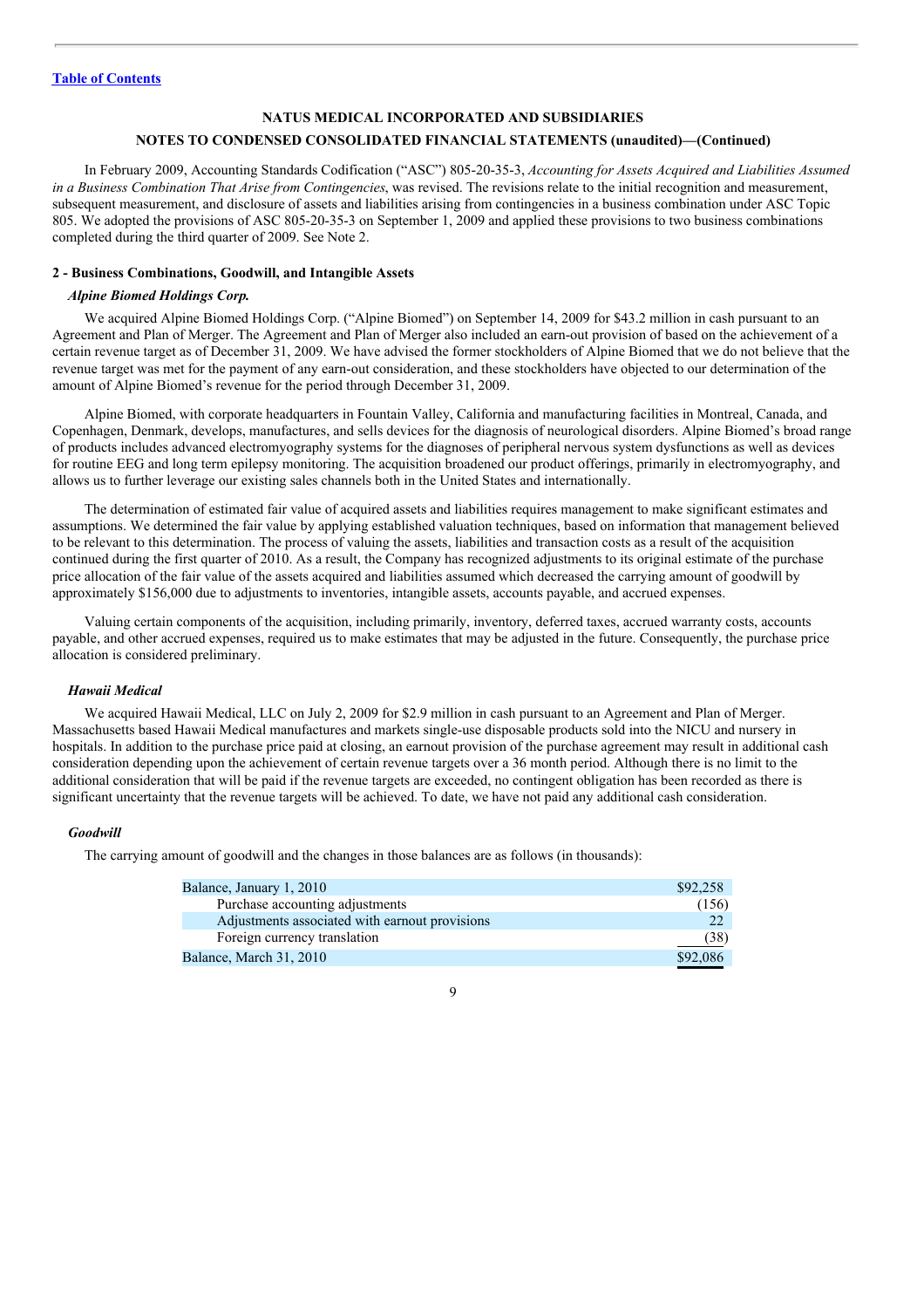## **NATUS MEDICAL INCORPORATED AND SUBSIDIARIES**

## **NOTES TO CONDENSED CONSOLIDATED FINANCIAL STATEMENTS (unaudited)—(Continued)**

In February 2009, Accounting Standards Codification ("ASC") 805-20-35-3, *Accounting for Assets Acquired and Liabilities Assumed in a Business Combination That Arise from Contingencies*, was revised. The revisions relate to the initial recognition and measurement, subsequent measurement, and disclosure of assets and liabilities arising from contingencies in a business combination under ASC Topic 805. We adopted the provisions of ASC 805-20-35-3 on September 1, 2009 and applied these provisions to two business combinations completed during the third quarter of 2009. See Note 2.

#### **2 - Business Combinations, Goodwill, and Intangible Assets**

## *Alpine Biomed Holdings Corp.*

We acquired Alpine Biomed Holdings Corp. ("Alpine Biomed") on September 14, 2009 for \$43.2 million in cash pursuant to an Agreement and Plan of Merger. The Agreement and Plan of Merger also included an earn-out provision of based on the achievement of a certain revenue target as of December 31, 2009. We have advised the former stockholders of Alpine Biomed that we do not believe that the revenue target was met for the payment of any earn-out consideration, and these stockholders have objected to our determination of the amount of Alpine Biomed's revenue for the period through December 31, 2009.

Alpine Biomed, with corporate headquarters in Fountain Valley, California and manufacturing facilities in Montreal, Canada, and Copenhagen, Denmark, develops, manufactures, and sells devices for the diagnosis of neurological disorders. Alpine Biomed's broad range of products includes advanced electromyography systems for the diagnoses of peripheral nervous system dysfunctions as well as devices for routine EEG and long term epilepsy monitoring. The acquisition broadened our product offerings, primarily in electromyography, and allows us to further leverage our existing sales channels both in the United States and internationally.

The determination of estimated fair value of acquired assets and liabilities requires management to make significant estimates and assumptions. We determined the fair value by applying established valuation techniques, based on information that management believed to be relevant to this determination. The process of valuing the assets, liabilities and transaction costs as a result of the acquisition continued during the first quarter of 2010. As a result, the Company has recognized adjustments to its original estimate of the purchase price allocation of the fair value of the assets acquired and liabilities assumed which decreased the carrying amount of goodwill by approximately \$156,000 due to adjustments to inventories, intangible assets, accounts payable, and accrued expenses.

Valuing certain components of the acquisition, including primarily, inventory, deferred taxes, accrued warranty costs, accounts payable, and other accrued expenses, required us to make estimates that may be adjusted in the future. Consequently, the purchase price allocation is considered preliminary.

#### *Hawaii Medical*

We acquired Hawaii Medical, LLC on July 2, 2009 for \$2.9 million in cash pursuant to an Agreement and Plan of Merger. Massachusetts based Hawaii Medical manufactures and markets single-use disposable products sold into the NICU and nursery in hospitals. In addition to the purchase price paid at closing, an earnout provision of the purchase agreement may result in additional cash consideration depending upon the achievement of certain revenue targets over a 36 month period. Although there is no limit to the additional consideration that will be paid if the revenue targets are exceeded, no contingent obligation has been recorded as there is significant uncertainty that the revenue targets will be achieved. To date, we have not paid any additional cash consideration.

#### *Goodwill*

The carrying amount of goodwill and the changes in those balances are as follows (in thousands):

| Balance, January 1, 2010                       | \$92,258 |
|------------------------------------------------|----------|
| Purchase accounting adjustments                | (156)    |
| Adjustments associated with earnout provisions |          |
| Foreign currency translation                   | (38)     |
| Balance, March 31, 2010                        | \$92,086 |

 $\overline{Q}$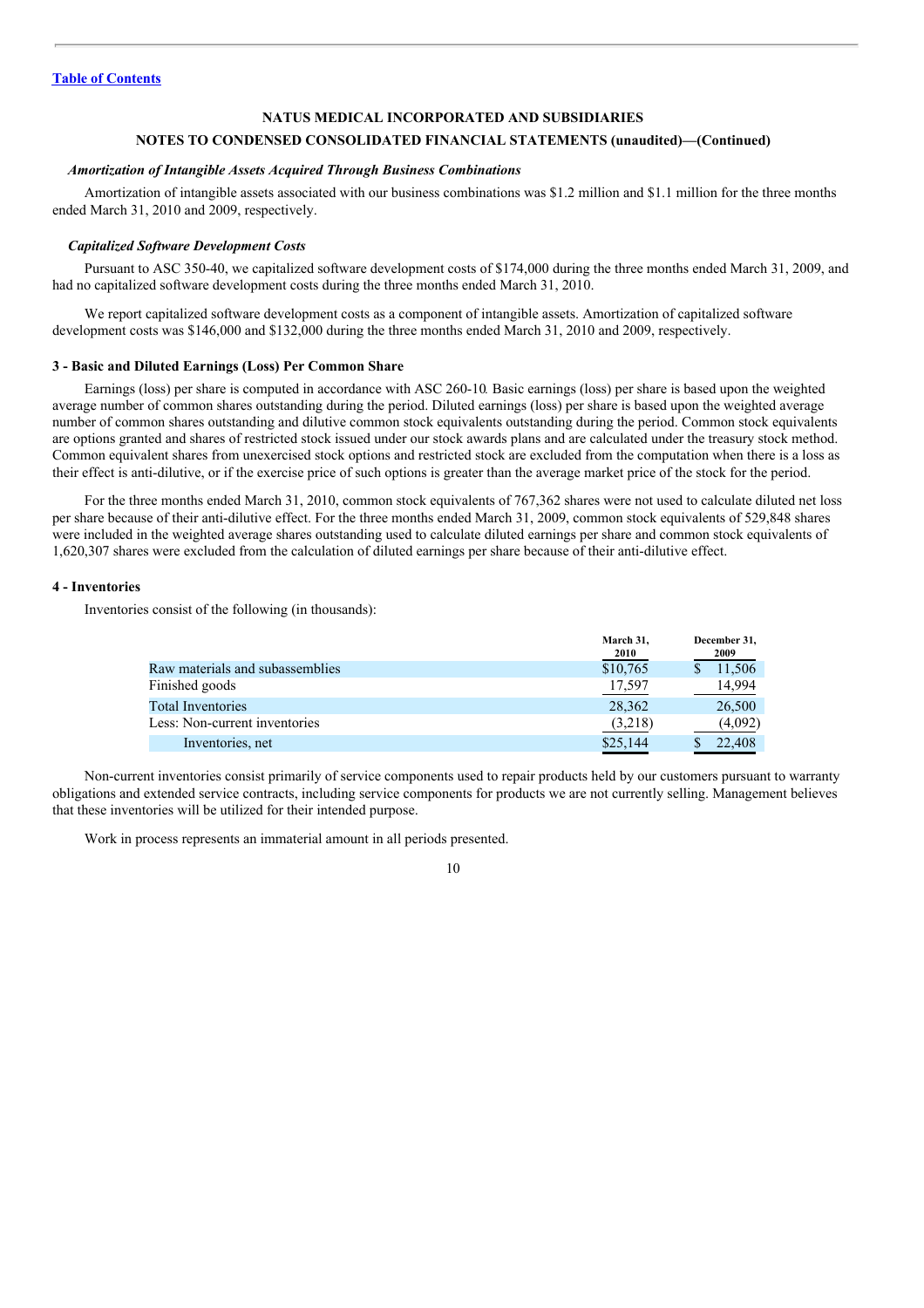## **NATUS MEDICAL INCORPORATED AND SUBSIDIARIES**

## **NOTES TO CONDENSED CONSOLIDATED FINANCIAL STATEMENTS (unaudited)—(Continued)**

## *Amortization of Intangible Assets Acquired Through Business Combinations*

Amortization of intangible assets associated with our business combinations was \$1.2 million and \$1.1 million for the three months ended March 31, 2010 and 2009, respectively.

#### *Capitalized Software Development Costs*

Pursuant to ASC 350-40, we capitalized software development costs of \$174,000 during the three months ended March 31, 2009, and had no capitalized software development costs during the three months ended March 31, 2010.

We report capitalized software development costs as a component of intangible assets. Amortization of capitalized software development costs was \$146,000 and \$132,000 during the three months ended March 31, 2010 and 2009, respectively.

## **3 - Basic and Diluted Earnings (Loss) Per Common Share**

Earnings (loss) per share is computed in accordance with ASC 260-10*.* Basic earnings (loss) per share is based upon the weighted average number of common shares outstanding during the period. Diluted earnings (loss) per share is based upon the weighted average number of common shares outstanding and dilutive common stock equivalents outstanding during the period. Common stock equivalents are options granted and shares of restricted stock issued under our stock awards plans and are calculated under the treasury stock method. Common equivalent shares from unexercised stock options and restricted stock are excluded from the computation when there is a loss as their effect is anti-dilutive, or if the exercise price of such options is greater than the average market price of the stock for the period.

For the three months ended March 31, 2010, common stock equivalents of 767,362 shares were not used to calculate diluted net loss per share because of their anti-dilutive effect. For the three months ended March 31, 2009, common stock equivalents of 529,848 shares were included in the weighted average shares outstanding used to calculate diluted earnings per share and common stock equivalents of 1,620,307 shares were excluded from the calculation of diluted earnings per share because of their anti-dilutive effect.

#### **4 - Inventories**

Inventories consist of the following (in thousands):

|                                 | March 31, | December 31, |
|---------------------------------|-----------|--------------|
|                                 | 2010      | 2009         |
| Raw materials and subassemblies | \$10,765  | 11.506       |
| Finished goods                  | 17,597    | 14.994       |
| <b>Total Inventories</b>        | 28,362    | 26,500       |
| Less: Non-current inventories   | (3,218)   | (4,092)      |
| Inventories, net                | \$25,144  | 22,408       |

Non-current inventories consist primarily of service components used to repair products held by our customers pursuant to warranty obligations and extended service contracts, including service components for products we are not currently selling. Management believes that these inventories will be utilized for their intended purpose.

Work in process represents an immaterial amount in all periods presented.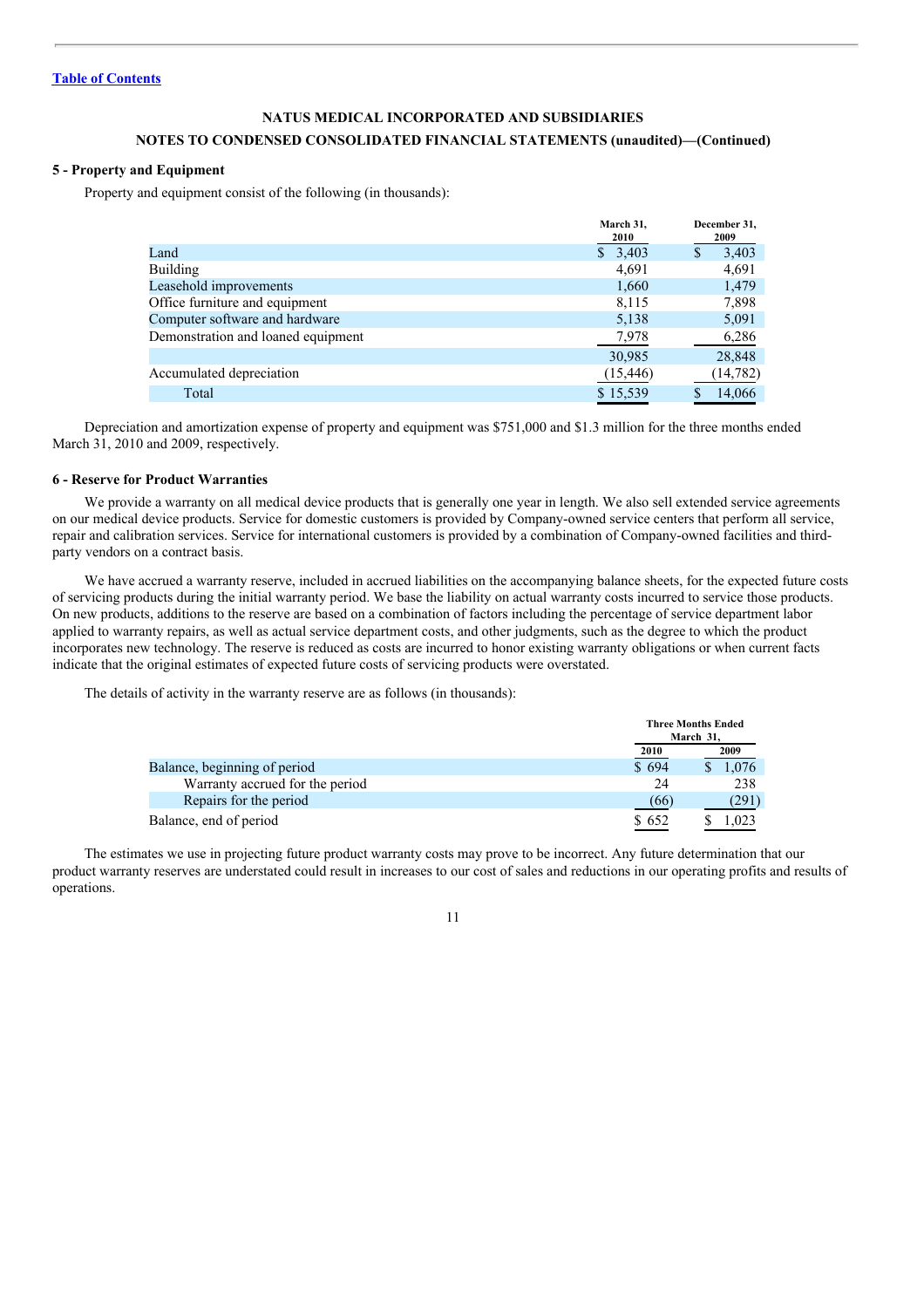# **NATUS MEDICAL INCORPORATED AND SUBSIDIARIES NOTES TO CONDENSED CONSOLIDATED FINANCIAL STATEMENTS (unaudited)—(Continued)**

## **5 - Property and Equipment**

Property and equipment consist of the following (in thousands):

|                                    | March 31,<br>2010 | December 31,<br>2009 |
|------------------------------------|-------------------|----------------------|
| Land                               | \$3,403           | 3,403<br>S           |
| Building                           | 4,691             | 4,691                |
| Leasehold improvements             | 1,660             | 1,479                |
| Office furniture and equipment     | 8,115             | 7,898                |
| Computer software and hardware     | 5,138             | 5,091                |
| Demonstration and loaned equipment | 7,978             | 6,286                |
|                                    | 30,985            | 28,848               |
| Accumulated depreciation           | (15, 446)         | (14, 782)            |
| Total                              | \$15,539          | 14,066               |

Depreciation and amortization expense of property and equipment was \$751,000 and \$1.3 million for the three months ended March 31, 2010 and 2009, respectively.

## **6 - Reserve for Product Warranties**

We provide a warranty on all medical device products that is generally one year in length. We also sell extended service agreements on our medical device products. Service for domestic customers is provided by Company-owned service centers that perform all service, repair and calibration services. Service for international customers is provided by a combination of Company-owned facilities and thirdparty vendors on a contract basis.

We have accrued a warranty reserve, included in accrued liabilities on the accompanying balance sheets, for the expected future costs of servicing products during the initial warranty period. We base the liability on actual warranty costs incurred to service those products. On new products, additions to the reserve are based on a combination of factors including the percentage of service department labor applied to warranty repairs, as well as actual service department costs, and other judgments, such as the degree to which the product incorporates new technology. The reserve is reduced as costs are incurred to honor existing warranty obligations or when current facts indicate that the original estimates of expected future costs of servicing products were overstated.

The details of activity in the warranty reserve are as follows (in thousands):

|                                 |       | <b>Three Months Ended</b> |  |
|---------------------------------|-------|---------------------------|--|
|                                 |       | March 31,                 |  |
|                                 | 2010  | 2009                      |  |
| Balance, beginning of period    | \$694 | 1,076                     |  |
| Warranty accrued for the period | 24    | 238                       |  |
| Repairs for the period          | (66)  | (291)                     |  |
| Balance, end of period          | \$652 | .023                      |  |

The estimates we use in projecting future product warranty costs may prove to be incorrect. Any future determination that our product warranty reserves are understated could result in increases to our cost of sales and reductions in our operating profits and results of operations.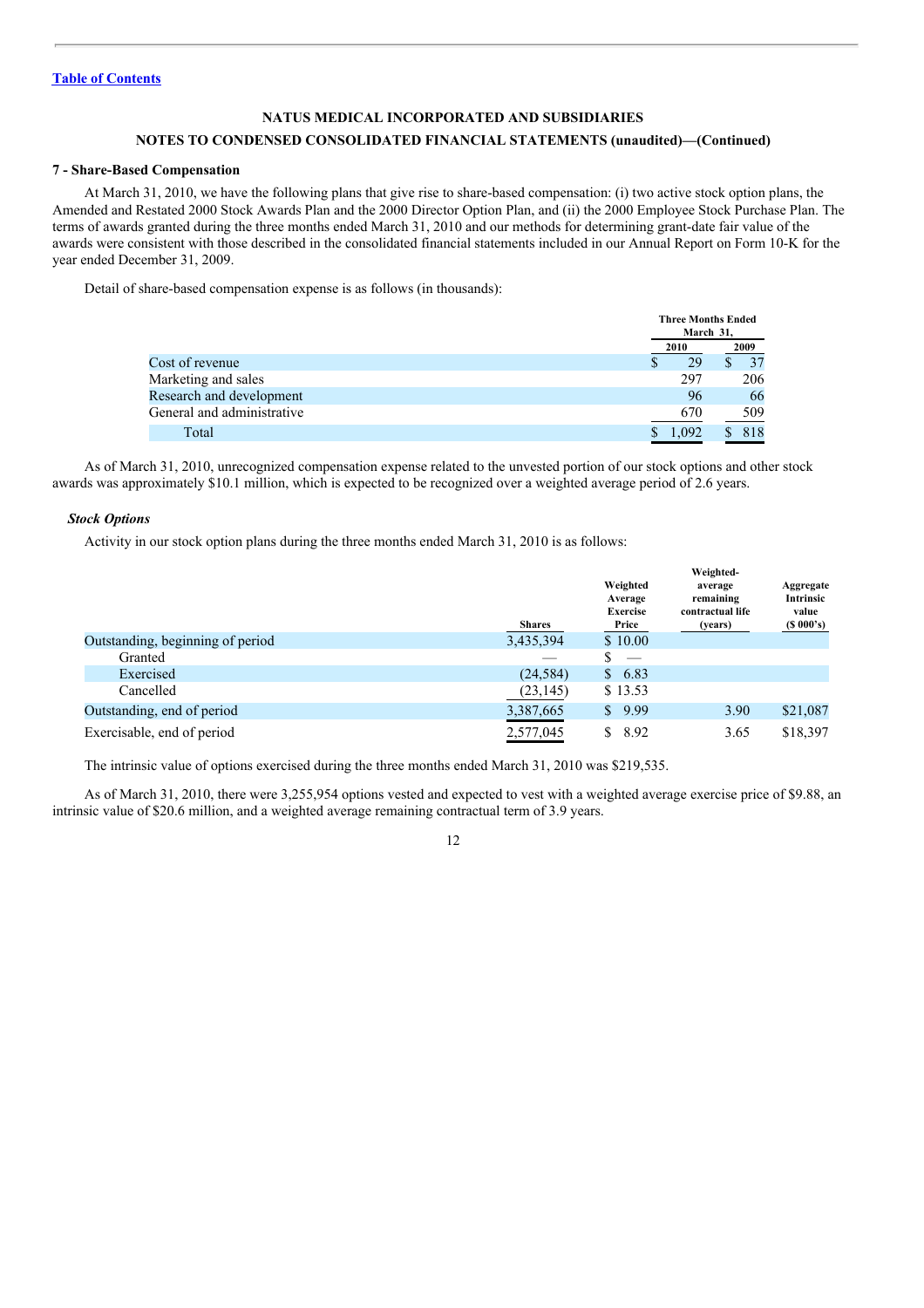## **NATUS MEDICAL INCORPORATED AND SUBSIDIARIES**

## **NOTES TO CONDENSED CONSOLIDATED FINANCIAL STATEMENTS (unaudited)—(Continued)**

### **7 - Share-Based Compensation**

At March 31, 2010, we have the following plans that give rise to share-based compensation: (i) two active stock option plans, the Amended and Restated 2000 Stock Awards Plan and the 2000 Director Option Plan, and (ii) the 2000 Employee Stock Purchase Plan. The terms of awards granted during the three months ended March 31, 2010 and our methods for determining grant-date fair value of the awards were consistent with those described in the consolidated financial statements included in our Annual Report on Form 10-K for the year ended December 31, 2009.

Detail of share-based compensation expense is as follows (in thousands):

|                            |      | <b>Three Months Ended</b><br>March 31, |  |
|----------------------------|------|----------------------------------------|--|
|                            | 2010 | 2009                                   |  |
| Cost of revenue            | 29   | 37                                     |  |
| Marketing and sales        | 297  | 206                                    |  |
| Research and development   | 96   | 66                                     |  |
| General and administrative | 670  | 509                                    |  |
| Total                      |      | 818                                    |  |

As of March 31, 2010, unrecognized compensation expense related to the unvested portion of our stock options and other stock awards was approximately \$10.1 million, which is expected to be recognized over a weighted average period of 2.6 years.

## *Stock Options*

Activity in our stock option plans during the three months ended March 31, 2010 is as follows:

|                                  |               | Weighted-                                       |                                                     |                                                 |
|----------------------------------|---------------|-------------------------------------------------|-----------------------------------------------------|-------------------------------------------------|
|                                  | <b>Shares</b> | Weighted<br>Average<br><b>Exercise</b><br>Price | average<br>remaining<br>contractual life<br>(years) | Aggregate<br>Intrinsic<br>value<br>$(S\ 000's)$ |
| Outstanding, beginning of period | 3,435,394     | \$10.00                                         |                                                     |                                                 |
| Granted                          |               | \$                                              |                                                     |                                                 |
| Exercised                        | (24, 584)     | 6.83<br>S.                                      |                                                     |                                                 |
| Cancelled                        | (23, 145)     | \$13.53                                         |                                                     |                                                 |
| Outstanding, end of period       | 3,387,665     | \$9.99                                          | 3.90                                                | \$21,087                                        |
| Exercisable, end of period       | 2,577,045     | 8.92<br>S.                                      | 3.65                                                | \$18,397                                        |

The intrinsic value of options exercised during the three months ended March 31, 2010 was \$219,535.

As of March 31, 2010, there were 3,255,954 options vested and expected to vest with a weighted average exercise price of \$9.88, an intrinsic value of \$20.6 million, and a weighted average remaining contractual term of 3.9 years.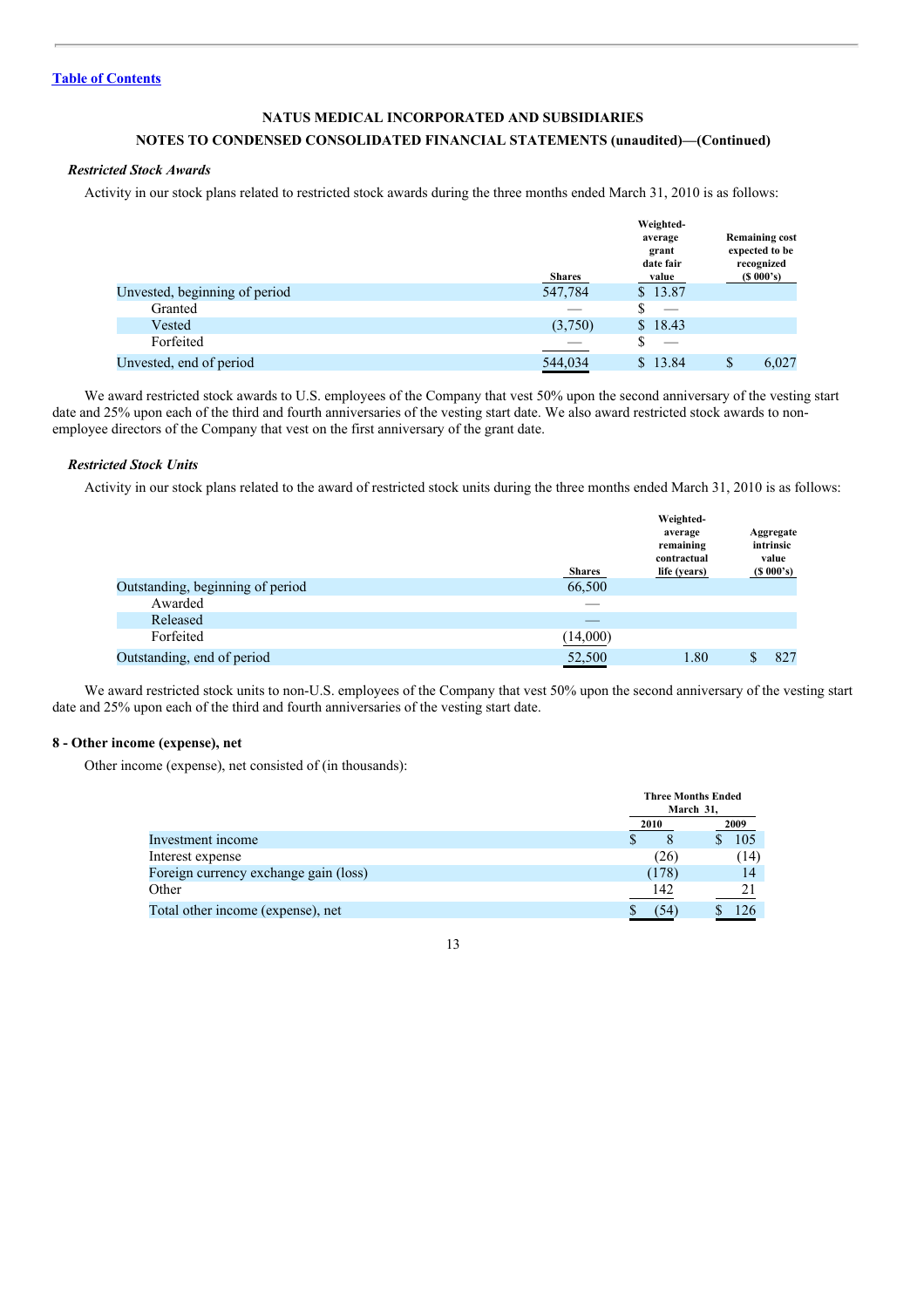# **NATUS MEDICAL INCORPORATED AND SUBSIDIARIES NOTES TO CONDENSED CONSOLIDATED FINANCIAL STATEMENTS (unaudited)—(Continued)**

## *Restricted Stock Awards*

Activity in our stock plans related to restricted stock awards during the three months ended March 31, 2010 is as follows:

|                               | <b>Shares</b> | Weighted-<br>average<br>grant<br>date fair<br>value | <b>Remaining cost</b><br>expected to be<br>recognized<br>$(S\ 000's)$ |
|-------------------------------|---------------|-----------------------------------------------------|-----------------------------------------------------------------------|
| Unvested, beginning of period | 547,784       | \$13.87                                             |                                                                       |
| Granted                       |               |                                                     |                                                                       |
| Vested                        | (3,750)       | \$18.43                                             |                                                                       |
| Forfeited                     |               |                                                     |                                                                       |
| Unvested, end of period       | 544,034       | \$13.84                                             | 6,027                                                                 |

We award restricted stock awards to U.S. employees of the Company that vest 50% upon the second anniversary of the vesting start date and 25% upon each of the third and fourth anniversaries of the vesting start date. We also award restricted stock awards to nonemployee directors of the Company that vest on the first anniversary of the grant date.

## *Restricted Stock Units*

Activity in our stock plans related to the award of restricted stock units during the three months ended March 31, 2010 is as follows:

|                                  |               | Weighted-                           |                                 |
|----------------------------------|---------------|-------------------------------------|---------------------------------|
|                                  |               | average<br>remaining<br>contractual | Aggregate<br>intrinsic<br>value |
|                                  | <b>Shares</b> | life (years)                        | $(S\ 000's)$                    |
| Outstanding, beginning of period | 66,500        |                                     |                                 |
| Awarded                          |               |                                     |                                 |
| Released                         |               |                                     |                                 |
| Forfeited                        | (14,000)      |                                     |                                 |
| Outstanding, end of period       | 52,500        | 1.80                                | 827                             |

We award restricted stock units to non-U.S. employees of the Company that vest 50% upon the second anniversary of the vesting start date and 25% upon each of the third and fourth anniversaries of the vesting start date.

## **8 - Other income (expense), net**

Other income (expense), net consisted of (in thousands):

|                                       | <b>Three Months Ended</b> |      |
|---------------------------------------|---------------------------|------|
|                                       | March 31,                 |      |
|                                       | 2010                      | 2009 |
| Investment income                     |                           | 105  |
| Interest expense                      | (26)                      | (14) |
| Foreign currency exchange gain (loss) | (178)                     | 14   |
| Other                                 | 142                       |      |
| Total other income (expense), net     | 54                        | 26   |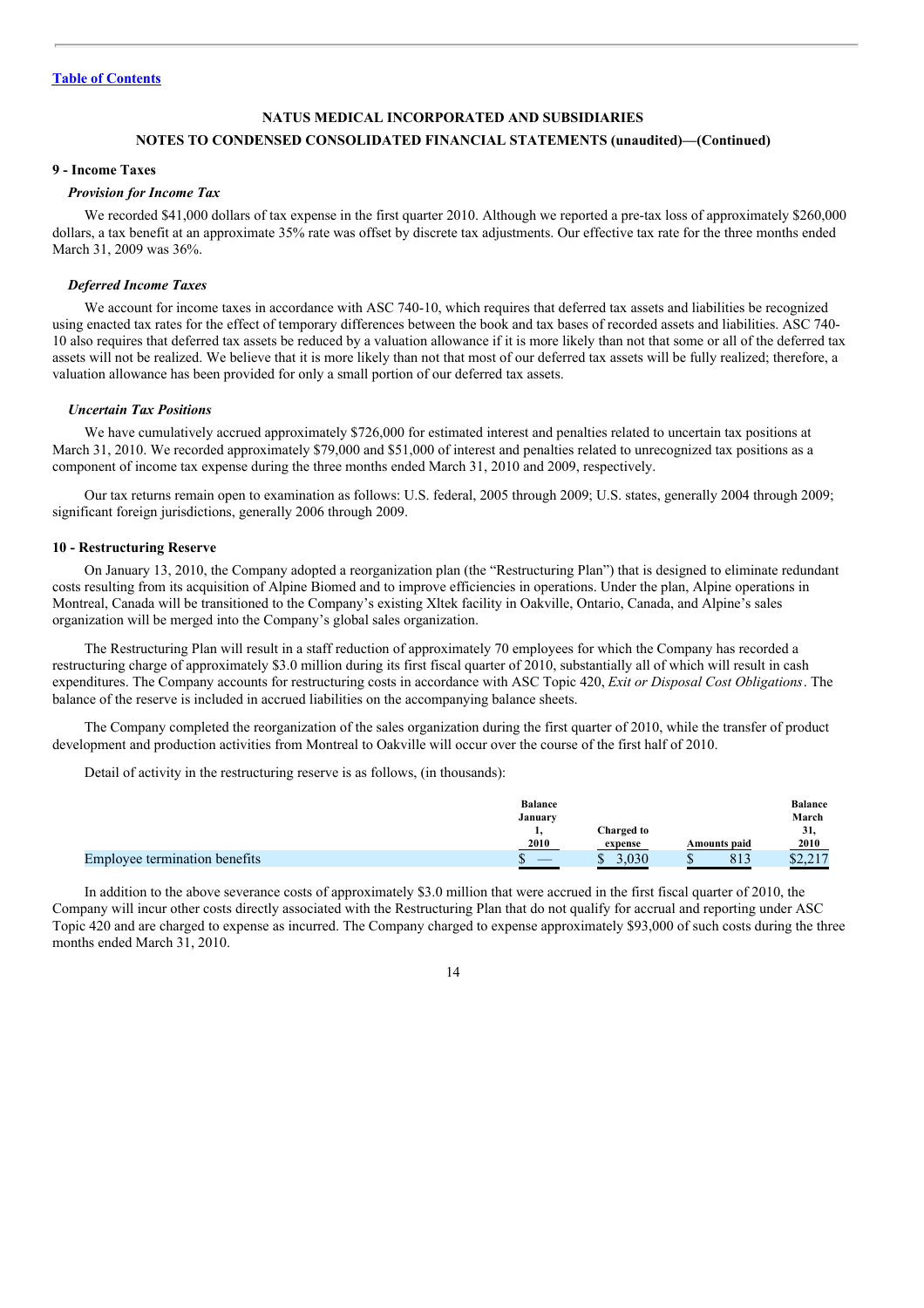## **NATUS MEDICAL INCORPORATED AND SUBSIDIARIES**

## **NOTES TO CONDENSED CONSOLIDATED FINANCIAL STATEMENTS (unaudited)—(Continued)**

#### **9 - Income Taxes**

## *Provision for Income Tax*

We recorded \$41,000 dollars of tax expense in the first quarter 2010. Although we reported a pre-tax loss of approximately \$260,000 dollars, a tax benefit at an approximate 35% rate was offset by discrete tax adjustments. Our effective tax rate for the three months ended March 31, 2009 was 36%.

#### *Deferred Income Taxes*

We account for income taxes in accordance with ASC 740-10, which requires that deferred tax assets and liabilities be recognized using enacted tax rates for the effect of temporary differences between the book and tax bases of recorded assets and liabilities. ASC 740- 10 also requires that deferred tax assets be reduced by a valuation allowance if it is more likely than not that some or all of the deferred tax assets will not be realized. We believe that it is more likely than not that most of our deferred tax assets will be fully realized; therefore, a valuation allowance has been provided for only a small portion of our deferred tax assets.

#### *Uncertain Tax Positions*

We have cumulatively accrued approximately \$726,000 for estimated interest and penalties related to uncertain tax positions at March 31, 2010. We recorded approximately \$79,000 and \$51,000 of interest and penalties related to unrecognized tax positions as a component of income tax expense during the three months ended March 31, 2010 and 2009, respectively.

Our tax returns remain open to examination as follows: U.S. federal, 2005 through 2009; U.S. states, generally 2004 through 2009; significant foreign jurisdictions, generally 2006 through 2009.

#### **10 - Restructuring Reserve**

On January 13, 2010, the Company adopted a reorganization plan (the "Restructuring Plan") that is designed to eliminate redundant costs resulting from its acquisition of Alpine Biomed and to improve efficiencies in operations. Under the plan, Alpine operations in Montreal, Canada will be transitioned to the Company's existing Xltek facility in Oakville, Ontario, Canada, and Alpine's sales organization will be merged into the Company's global sales organization.

The Restructuring Plan will result in a staff reduction of approximately 70 employees for which the Company has recorded a restructuring charge of approximately \$3.0 million during its first fiscal quarter of 2010, substantially all of which will result in cash expenditures. The Company accounts for restructuring costs in accordance with ASC Topic 420, *Exit or Disposal Cost Obligations*. The balance of the reserve is included in accrued liabilities on the accompanying balance sheets.

The Company completed the reorganization of the sales organization during the first quarter of 2010, while the transfer of product development and production activities from Montreal to Oakville will occur over the course of the first half of 2010.

Detail of activity in the restructuring reserve is as follows, (in thousands):

|                                      | <b>Balance</b> |            |                     | <b>Balance</b>              |
|--------------------------------------|----------------|------------|---------------------|-----------------------------|
|                                      | January        |            |                     | March                       |
|                                      |                | Charged to |                     | 31.                         |
|                                      | 2010           | expense    | <b>Amounts paid</b> | 2010                        |
| <b>Employee termination benefits</b> |                | .030       | 813                 | ሰኅ<br>$0 \angle 1 \angle 1$ |

In addition to the above severance costs of approximately \$3.0 million that were accrued in the first fiscal quarter of 2010, the Company will incur other costs directly associated with the Restructuring Plan that do not qualify for accrual and reporting under ASC Topic 420 and are charged to expense as incurred. The Company charged to expense approximately \$93,000 of such costs during the three months ended March 31, 2010.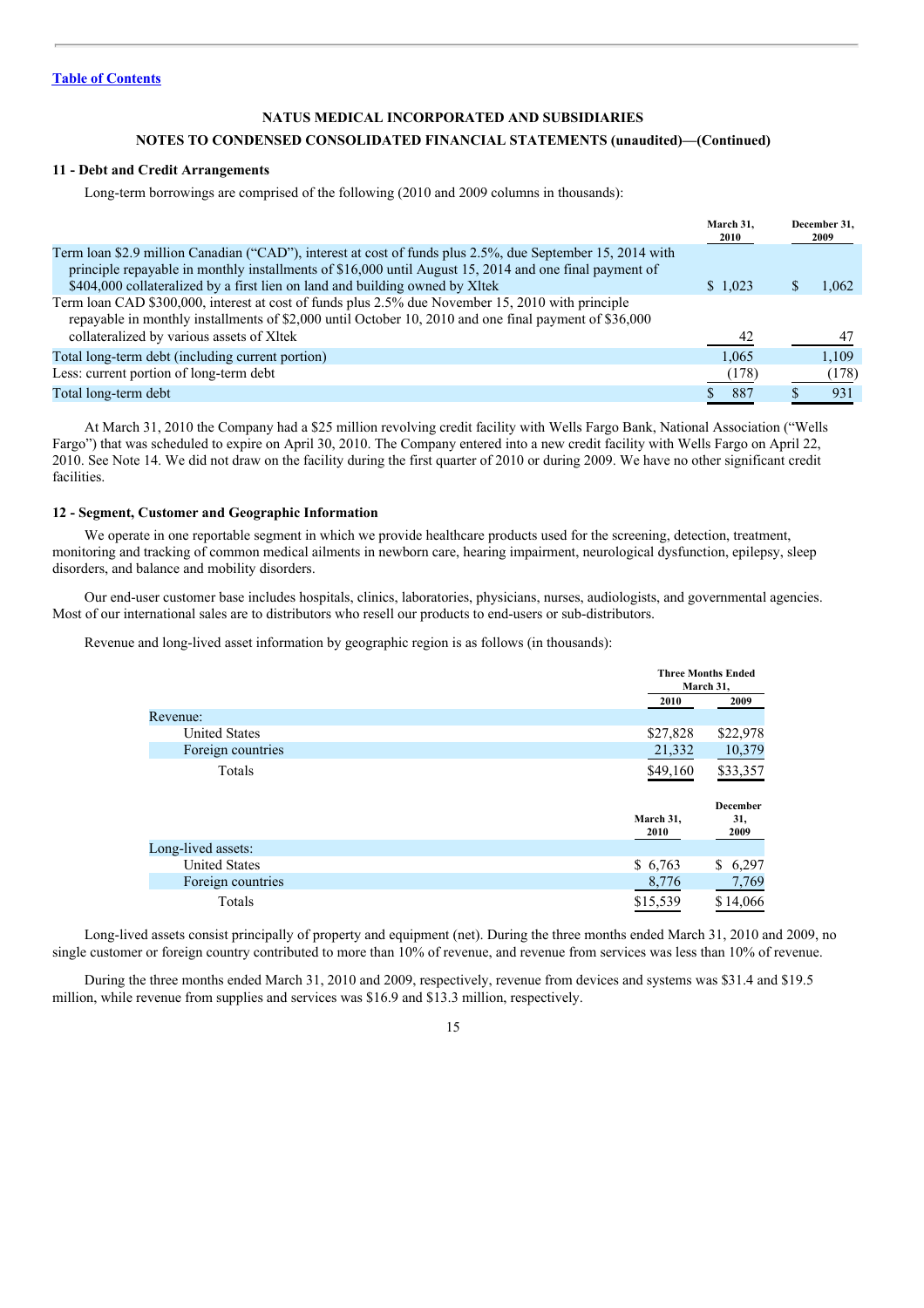## **NATUS MEDICAL INCORPORATED AND SUBSIDIARIES**

## **NOTES TO CONDENSED CONSOLIDATED FINANCIAL STATEMENTS (unaudited)—(Continued)**

## **11 - Debt and Credit Arrangements**

Long-term borrowings are comprised of the following (2010 and 2009 columns in thousands):

|                                                                                                            | March 31.<br>2010 | December 31.<br>2009 |
|------------------------------------------------------------------------------------------------------------|-------------------|----------------------|
| Term loan \$2.9 million Canadian ("CAD"), interest at cost of funds plus 2.5%, due September 15, 2014 with |                   |                      |
| principle repayable in monthly installments of \$16,000 until August 15, 2014 and one final payment of     |                   |                      |
| \$404,000 collateralized by a first lien on land and building owned by Xltek                               | \$1.023           | 1.062                |
| Term loan CAD \$300,000, interest at cost of funds plus 2.5% due November 15, 2010 with principle          |                   |                      |
| repayable in monthly installments of \$2,000 until October 10, 2010 and one final payment of \$36,000      |                   |                      |
| collateralized by various assets of Xltek                                                                  | 42                | 47                   |
| Total long-term debt (including current portion)                                                           | 1.065             | 1.109                |
| Less: current portion of long-term debt                                                                    | (178)             | (178)                |
| Total long-term debt                                                                                       | 887               | 931                  |

At March 31, 2010 the Company had a \$25 million revolving credit facility with Wells Fargo Bank, National Association ("Wells Fargo") that was scheduled to expire on April 30, 2010. The Company entered into a new credit facility with Wells Fargo on April 22, 2010. See Note 14. We did not draw on the facility during the first quarter of 2010 or during 2009. We have no other significant credit facilities.

#### **12 - Segment, Customer and Geographic Information**

We operate in one reportable segment in which we provide healthcare products used for the screening, detection, treatment, monitoring and tracking of common medical ailments in newborn care, hearing impairment, neurological dysfunction, epilepsy, sleep disorders, and balance and mobility disorders.

Our end-user customer base includes hospitals, clinics, laboratories, physicians, nurses, audiologists, and governmental agencies. Most of our international sales are to distributors who resell our products to end-users or sub-distributors.

Revenue and long-lived asset information by geographic region is as follows (in thousands):

|                      |                   | <b>Three Months Ended</b>      |
|----------------------|-------------------|--------------------------------|
|                      |                   | March 31,                      |
|                      | 2010              | 2009                           |
| Revenue:             |                   |                                |
| <b>United States</b> | \$27,828          | \$22,978                       |
| Foreign countries    | 21,332            | 10,379                         |
| Totals               | \$49,160          | \$33,357                       |
|                      | March 31,<br>2010 | <b>December</b><br>31,<br>2009 |
| Long-lived assets:   |                   |                                |
| <b>United States</b> | \$6,763           | \$6,297                        |
| Foreign countries    | 8,776             | 7,769                          |
| Totals               | \$15,539          | \$14,066                       |

Long-lived assets consist principally of property and equipment (net). During the three months ended March 31, 2010 and 2009, no single customer or foreign country contributed to more than 10% of revenue, and revenue from services was less than 10% of revenue.

During the three months ended March 31, 2010 and 2009, respectively, revenue from devices and systems was \$31.4 and \$19.5 million, while revenue from supplies and services was \$16.9 and \$13.3 million, respectively.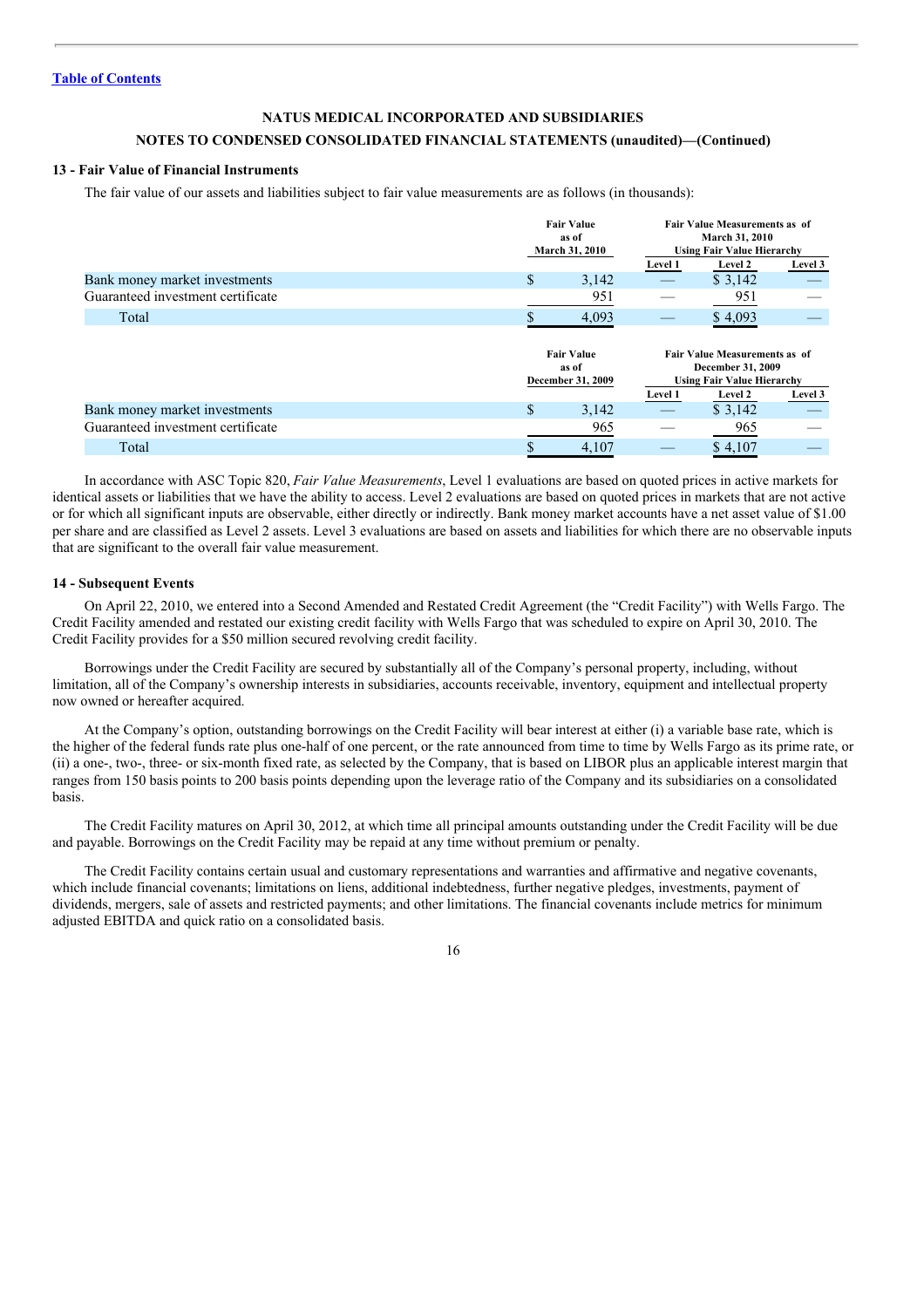# **NATUS MEDICAL INCORPORATED AND SUBSIDIARIES**

## **NOTES TO CONDENSED CONSOLIDATED FINANCIAL STATEMENTS (unaudited)—(Continued)**

# **13 - Fair Value of Financial Instruments**

The fair value of our assets and liabilities subject to fair value measurements are as follows (in thousands):

|                                   | <b>Fair Value</b><br>as of<br>March 31, 2010    |         | <b>Fair Value Measurements as of</b><br>March 31, 2010<br><b>Using Fair Value Hierarchy</b>    |         |
|-----------------------------------|-------------------------------------------------|---------|------------------------------------------------------------------------------------------------|---------|
|                                   |                                                 | Level 1 | Level 2                                                                                        | Level 3 |
| Bank money market investments     | \$<br>3,142                                     |         | \$3,142                                                                                        |         |
| Guaranteed investment certificate | 951                                             |         | 951                                                                                            |         |
| Total                             | 4,093                                           |         | \$4,093                                                                                        |         |
|                                   | <b>Fair Value</b><br>as of<br>December 31, 2009 |         | <b>Fair Value Measurements as of</b><br>December 31, 2009<br><b>Using Fair Value Hierarchy</b> |         |
|                                   |                                                 | Level 1 | Level 2                                                                                        | Level 3 |
| Bank money market investments     | \$<br>3,142                                     |         | \$3,142                                                                                        |         |
| Guaranteed investment certificate | 965                                             |         | 965                                                                                            |         |
| Total                             | 4,107                                           |         | \$4.107                                                                                        |         |

In accordance with ASC Topic 820, *Fair Value Measurements*, Level 1 evaluations are based on quoted prices in active markets for identical assets or liabilities that we have the ability to access. Level 2 evaluations are based on quoted prices in markets that are not active or for which all significant inputs are observable, either directly or indirectly. Bank money market accounts have a net asset value of \$1.00 per share and are classified as Level 2 assets. Level 3 evaluations are based on assets and liabilities for which there are no observable inputs that are significant to the overall fair value measurement.

## **14 - Subsequent Events**

On April 22, 2010, we entered into a Second Amended and Restated Credit Agreement (the "Credit Facility") with Wells Fargo. The Credit Facility amended and restated our existing credit facility with Wells Fargo that was scheduled to expire on April 30, 2010. The Credit Facility provides for a \$50 million secured revolving credit facility.

Borrowings under the Credit Facility are secured by substantially all of the Company's personal property, including, without limitation, all of the Company's ownership interests in subsidiaries, accounts receivable, inventory, equipment and intellectual property now owned or hereafter acquired.

At the Company's option, outstanding borrowings on the Credit Facility will bear interest at either (i) a variable base rate, which is the higher of the federal funds rate plus one-half of one percent, or the rate announced from time to time by Wells Fargo as its prime rate, or (ii) a one-, two-, three- or six-month fixed rate, as selected by the Company, that is based on LIBOR plus an applicable interest margin that ranges from 150 basis points to 200 basis points depending upon the leverage ratio of the Company and its subsidiaries on a consolidated basis.

The Credit Facility matures on April 30, 2012, at which time all principal amounts outstanding under the Credit Facility will be due and payable. Borrowings on the Credit Facility may be repaid at any time without premium or penalty.

The Credit Facility contains certain usual and customary representations and warranties and affirmative and negative covenants, which include financial covenants; limitations on liens, additional indebtedness, further negative pledges, investments, payment of dividends, mergers, sale of assets and restricted payments; and other limitations. The financial covenants include metrics for minimum adjusted EBITDA and quick ratio on a consolidated basis.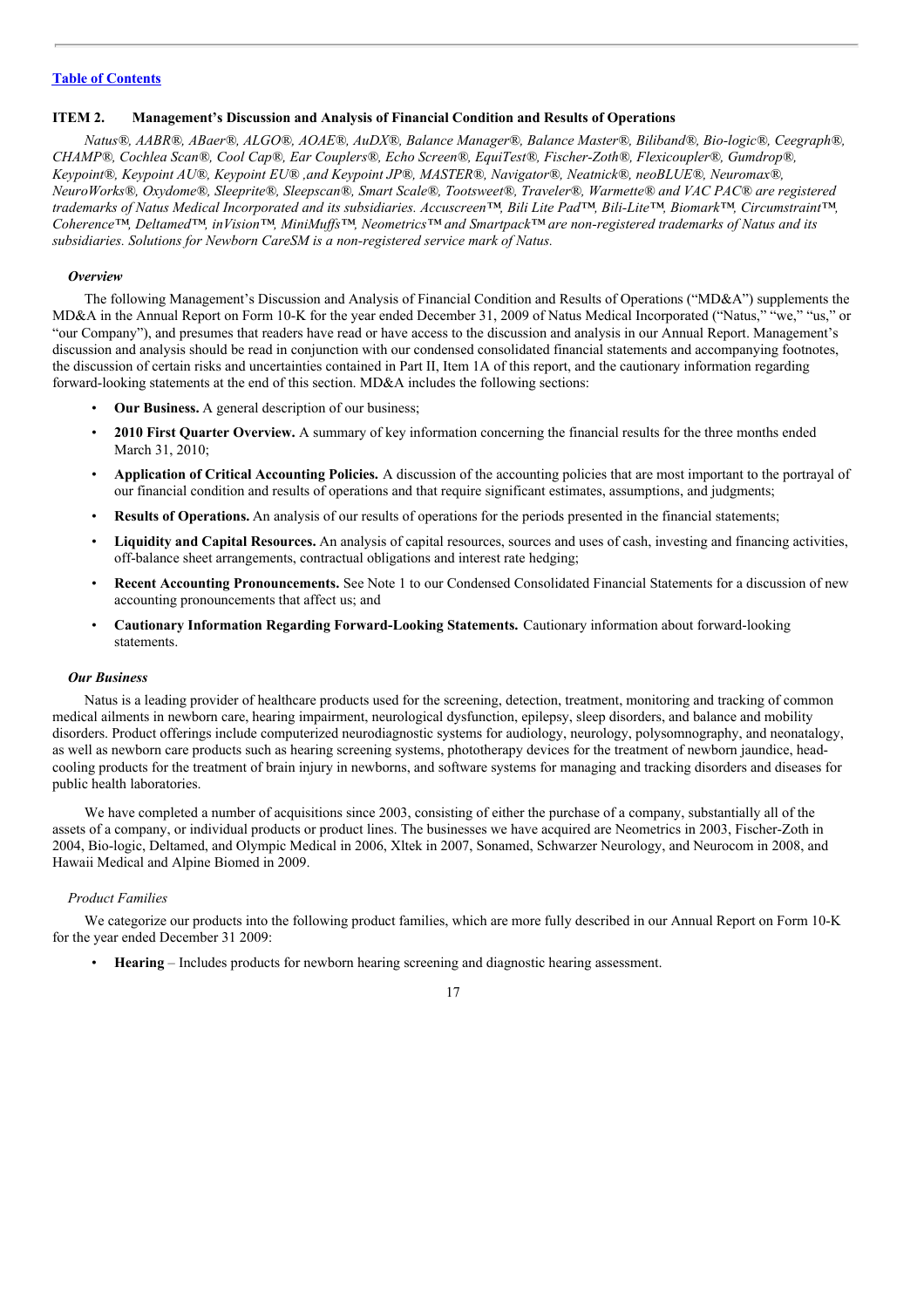## **ITEM 2. Management's Discussion and Analysis of Financial Condition and Results of Operations**

*Natus®, AABR®, ABaer®, ALGO®, AOAE®, AuDX®, Balance Manager®, Balance Master®, Biliband®, Bio-logic®, Ceegraph®, CHAMP®, Cochlea Scan®, Cool Cap®, Ear Couplers®, Echo Screen®, EquiTest®, Fischer-Zoth®, Flexicoupler®, Gumdrop®, Keypoint®, Keypoint AU®, Keypoint EU® ,and Keypoint JP®, MASTER®, Navigator®, Neatnick®, neoBLUE®, Neuromax®, NeuroWorks®, Oxydome®, Sleeprite®, Sleepscan®, Smart Scale®, Tootsweet®, Traveler®, Warmette® and VAC PAC® are registered* trademarks of Natus Medical Incorporated and its subsidiaries. Accuscreen™, Bili Lite Pad™, Bili-Lite™, Biomark™, Circumstraint™, *Coherence™, Deltamed™, inVision™, MiniMuf s™, Neometrics™ and Smartpack™ are non-registered trademarks of Natus and its subsidiaries. Solutions for Newborn CareSM is a non-registered service mark of Natus.*

#### *Overview*

The following Management's Discussion and Analysis of Financial Condition and Results of Operations ("MD&A") supplements the MD&A in the Annual Report on Form 10-K for the year ended December 31, 2009 of Natus Medical Incorporated ("Natus," "we," "us," or "our Company"), and presumes that readers have read or have access to the discussion and analysis in our Annual Report. Management's discussion and analysis should be read in conjunction with our condensed consolidated financial statements and accompanying footnotes, the discussion of certain risks and uncertainties contained in Part II, Item 1A of this report, and the cautionary information regarding forward-looking statements at the end of this section. MD&A includes the following sections:

- **Our Business.** A general description of our business;
- **2010 First Quarter Overview.** A summary of key information concerning the financial results for the three months ended March 31, 2010;
- **Application of Critical Accounting Policies.** A discussion of the accounting policies that are most important to the portrayal of our financial condition and results of operations and that require significant estimates, assumptions, and judgments;
- **Results of Operations.** An analysis of our results of operations for the periods presented in the financial statements;
- **Liquidity and Capital Resources.** An analysis of capital resources, sources and uses of cash, investing and financing activities, off-balance sheet arrangements, contractual obligations and interest rate hedging;
- **Recent Accounting Pronouncements.** See Note 1 to our Condensed Consolidated Financial Statements for a discussion of new accounting pronouncements that affect us; and
- **Cautionary Information Regarding Forward-Looking Statements.** Cautionary information about forward-looking statements.

#### *Our Business*

Natus is a leading provider of healthcare products used for the screening, detection, treatment, monitoring and tracking of common medical ailments in newborn care, hearing impairment, neurological dysfunction, epilepsy, sleep disorders, and balance and mobility disorders. Product offerings include computerized neurodiagnostic systems for audiology, neurology, polysomnography, and neonatalogy, as well as newborn care products such as hearing screening systems, phototherapy devices for the treatment of newborn jaundice, headcooling products for the treatment of brain injury in newborns, and software systems for managing and tracking disorders and diseases for public health laboratories.

We have completed a number of acquisitions since 2003, consisting of either the purchase of a company, substantially all of the assets of a company, or individual products or product lines. The businesses we have acquired are Neometrics in 2003, Fischer-Zoth in 2004, Bio-logic, Deltamed, and Olympic Medical in 2006, Xltek in 2007, Sonamed, Schwarzer Neurology, and Neurocom in 2008, and Hawaii Medical and Alpine Biomed in 2009.

#### *Product Families*

We categorize our products into the following product families, which are more fully described in our Annual Report on Form 10-K for the year ended December 31 2009:

• **Hearing** – Includes products for newborn hearing screening and diagnostic hearing assessment.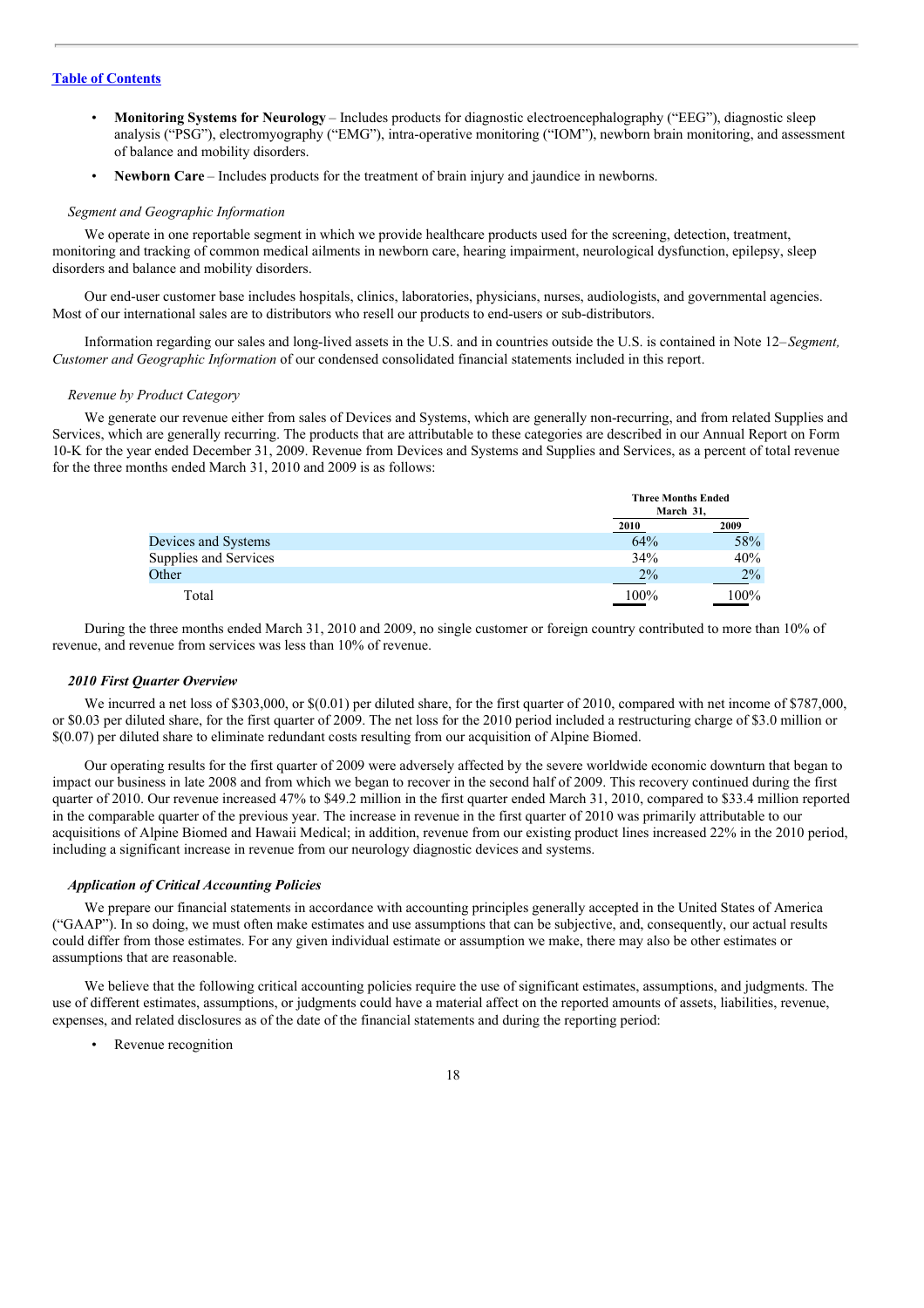- **Monitoring Systems for Neurology** *–* Includes products for diagnostic electroencephalography ("EEG"), diagnostic sleep analysis ("PSG"), electromyography ("EMG"), intra-operative monitoring ("IOM"), newborn brain monitoring, and assessment of balance and mobility disorders.
- **Newborn Care** Includes products for the treatment of brain injury and jaundice in newborns.

#### *Segment and Geographic Information*

We operate in one reportable segment in which we provide healthcare products used for the screening, detection, treatment, monitoring and tracking of common medical ailments in newborn care, hearing impairment, neurological dysfunction, epilepsy, sleep disorders and balance and mobility disorders.

Our end-user customer base includes hospitals, clinics, laboratories, physicians, nurses, audiologists, and governmental agencies. Most of our international sales are to distributors who resell our products to end-users or sub-distributors.

Information regarding our sales and long-lived assets in the U.S. and in countries outside the U.S. is contained in Note 12–*Segment, Customer and Geographic Information* of our condensed consolidated financial statements included in this report.

#### *Revenue by Product Category*

We generate our revenue either from sales of Devices and Systems, which are generally non-recurring, and from related Supplies and Services, which are generally recurring. The products that are attributable to these categories are described in our Annual Report on Form 10-K for the year ended December 31, 2009. Revenue from Devices and Systems and Supplies and Services, as a percent of total revenue for the three months ended March 31, 2010 and 2009 is as follows:

|                       | <b>Three Months Ended</b><br>March 31, |         |
|-----------------------|----------------------------------------|---------|
|                       | 2010                                   | 2009    |
| Devices and Systems   | 64%                                    | 58%     |
| Supplies and Services | 34%                                    | 40%     |
| Other                 | $2\%$                                  | $2\%$   |
| Total                 | 100%                                   | $100\%$ |

During the three months ended March 31, 2010 and 2009, no single customer or foreign country contributed to more than 10% of revenue, and revenue from services was less than 10% of revenue.

#### *2010 First Quarter Overview*

We incurred a net loss of \$303,000, or  $\$(0.01)$  per diluted share, for the first quarter of 2010, compared with net income of \$787,000, or \$0.03 per diluted share, for the first quarter of 2009. The net loss for the 2010 period included a restructuring charge of \$3.0 million or \$(0.07) per diluted share to eliminate redundant costs resulting from our acquisition of Alpine Biomed.

Our operating results for the first quarter of 2009 were adversely affected by the severe worldwide economic downturn that began to impact our business in late 2008 and from which we began to recover in the second half of 2009. This recovery continued during the first quarter of 2010. Our revenue increased 47% to \$49.2 million in the first quarter ended March 31, 2010, compared to \$33.4 million reported in the comparable quarter of the previous year. The increase in revenue in the first quarter of 2010 was primarily attributable to our acquisitions of Alpine Biomed and Hawaii Medical; in addition, revenue from our existing product lines increased 22% in the 2010 period, including a significant increase in revenue from our neurology diagnostic devices and systems.

#### *Application of Critical Accounting Policies*

We prepare our financial statements in accordance with accounting principles generally accepted in the United States of America ("GAAP"). In so doing, we must often make estimates and use assumptions that can be subjective, and, consequently, our actual results could differ from those estimates. For any given individual estimate or assumption we make, there may also be other estimates or assumptions that are reasonable.

We believe that the following critical accounting policies require the use of significant estimates, assumptions, and judgments. The use of different estimates, assumptions, or judgments could have a material affect on the reported amounts of assets, liabilities, revenue, expenses, and related disclosures as of the date of the financial statements and during the reporting period:

Revenue recognition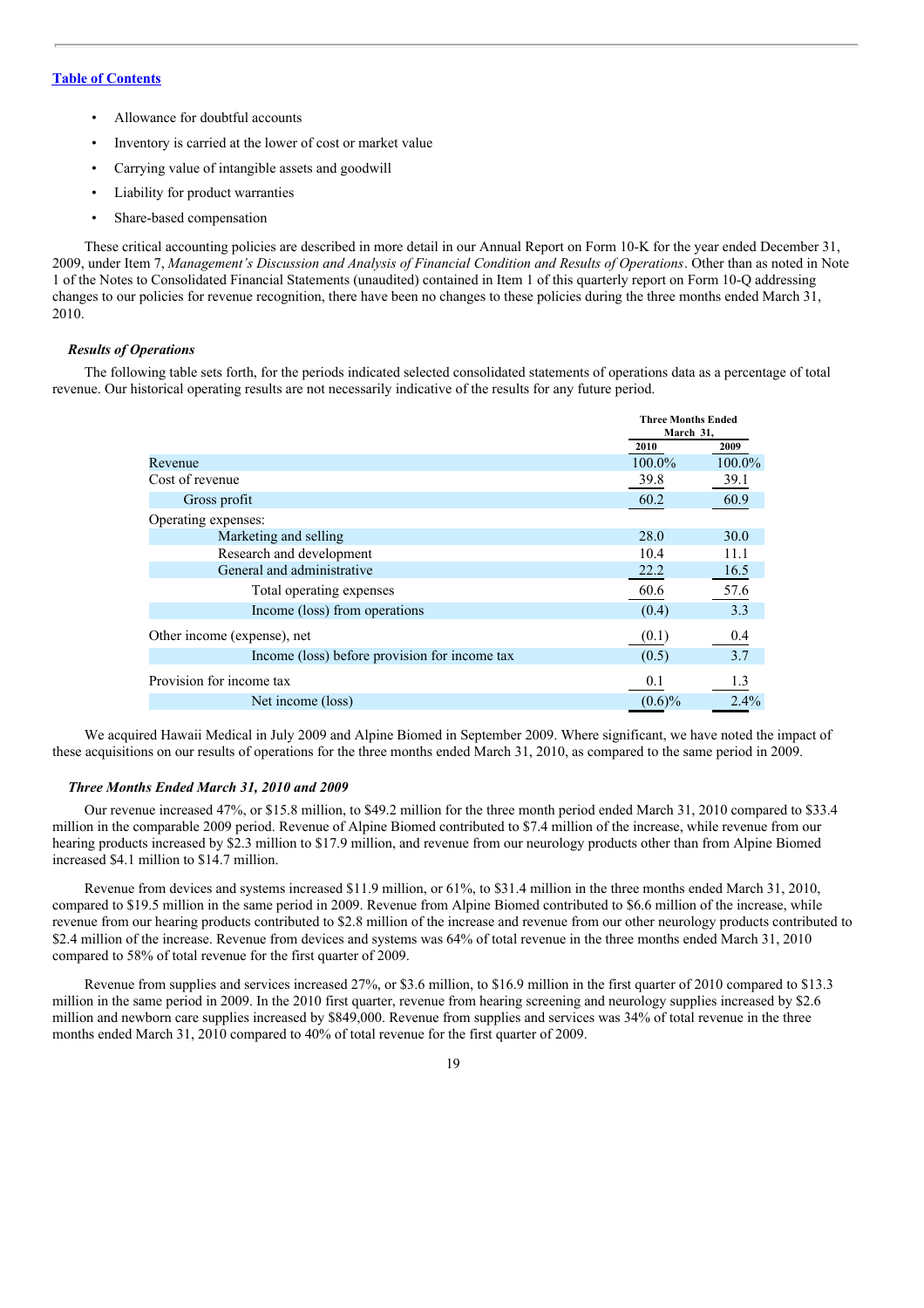- Allowance for doubtful accounts
- Inventory is carried at the lower of cost or market value
- Carrying value of intangible assets and goodwill
- Liability for product warranties
- Share-based compensation

These critical accounting policies are described in more detail in our Annual Report on Form 10-K for the year ended December 31, 2009, under Item 7, *Management's Discussion and Analysis of Financial Condition and Results of Operations*. Other than as noted in Note 1 of the Notes to Consolidated Financial Statements (unaudited) contained in Item 1 of this quarterly report on Form 10-Q addressing changes to our policies for revenue recognition, there have been no changes to these policies during the three months ended March 31, 2010.

## *Results of Operations*

The following table sets forth, for the periods indicated selected consolidated statements of operations data as a percentage of total revenue. Our historical operating results are not necessarily indicative of the results for any future period.

|                                               | <b>Three Months Ended</b> |           |
|-----------------------------------------------|---------------------------|-----------|
|                                               | March 31,<br>2010         | 2009      |
| Revenue                                       | 100.0%                    | $100.0\%$ |
| Cost of revenue                               | 39.8                      | 39.1      |
| Gross profit                                  | 60.2                      | 60.9      |
| Operating expenses:                           |                           |           |
| Marketing and selling                         | 28.0                      | 30.0      |
| Research and development                      | 10.4                      | 11.1      |
| General and administrative                    | 22.2                      | 16.5      |
| Total operating expenses                      | 60.6                      | 57.6      |
| Income (loss) from operations                 | (0.4)                     | 3.3       |
| Other income (expense), net                   | (0.1)                     | 0.4       |
| Income (loss) before provision for income tax | (0.5)                     | 3.7       |
| Provision for income tax                      | 0.1                       | 1.3       |
| Net income (loss)                             | $(0.6)\%$                 | 2.4%      |
|                                               |                           |           |

We acquired Hawaii Medical in July 2009 and Alpine Biomed in September 2009. Where significant, we have noted the impact of these acquisitions on our results of operations for the three months ended March 31, 2010, as compared to the same period in 2009.

## *Three Months Ended March 31, 2010 and 2009*

Our revenue increased 47%, or \$15.8 million, to \$49.2 million for the three month period ended March 31, 2010 compared to \$33.4 million in the comparable 2009 period. Revenue of Alpine Biomed contributed to \$7.4 million of the increase, while revenue from our hearing products increased by \$2.3 million to \$17.9 million, and revenue from our neurology products other than from Alpine Biomed increased \$4.1 million to \$14.7 million.

Revenue from devices and systems increased \$11.9 million, or 61%, to \$31.4 million in the three months ended March 31, 2010, compared to \$19.5 million in the same period in 2009. Revenue from Alpine Biomed contributed to \$6.6 million of the increase, while revenue from our hearing products contributed to \$2.8 million of the increase and revenue from our other neurology products contributed to \$2.4 million of the increase. Revenue from devices and systems was 64% of total revenue in the three months ended March 31, 2010 compared to 58% of total revenue for the first quarter of 2009.

Revenue from supplies and services increased 27%, or \$3.6 million, to \$16.9 million in the first quarter of 2010 compared to \$13.3 million in the same period in 2009. In the 2010 first quarter, revenue from hearing screening and neurology supplies increased by \$2.6 million and newborn care supplies increased by \$849,000. Revenue from supplies and services was 34% of total revenue in the three months ended March 31, 2010 compared to 40% of total revenue for the first quarter of 2009.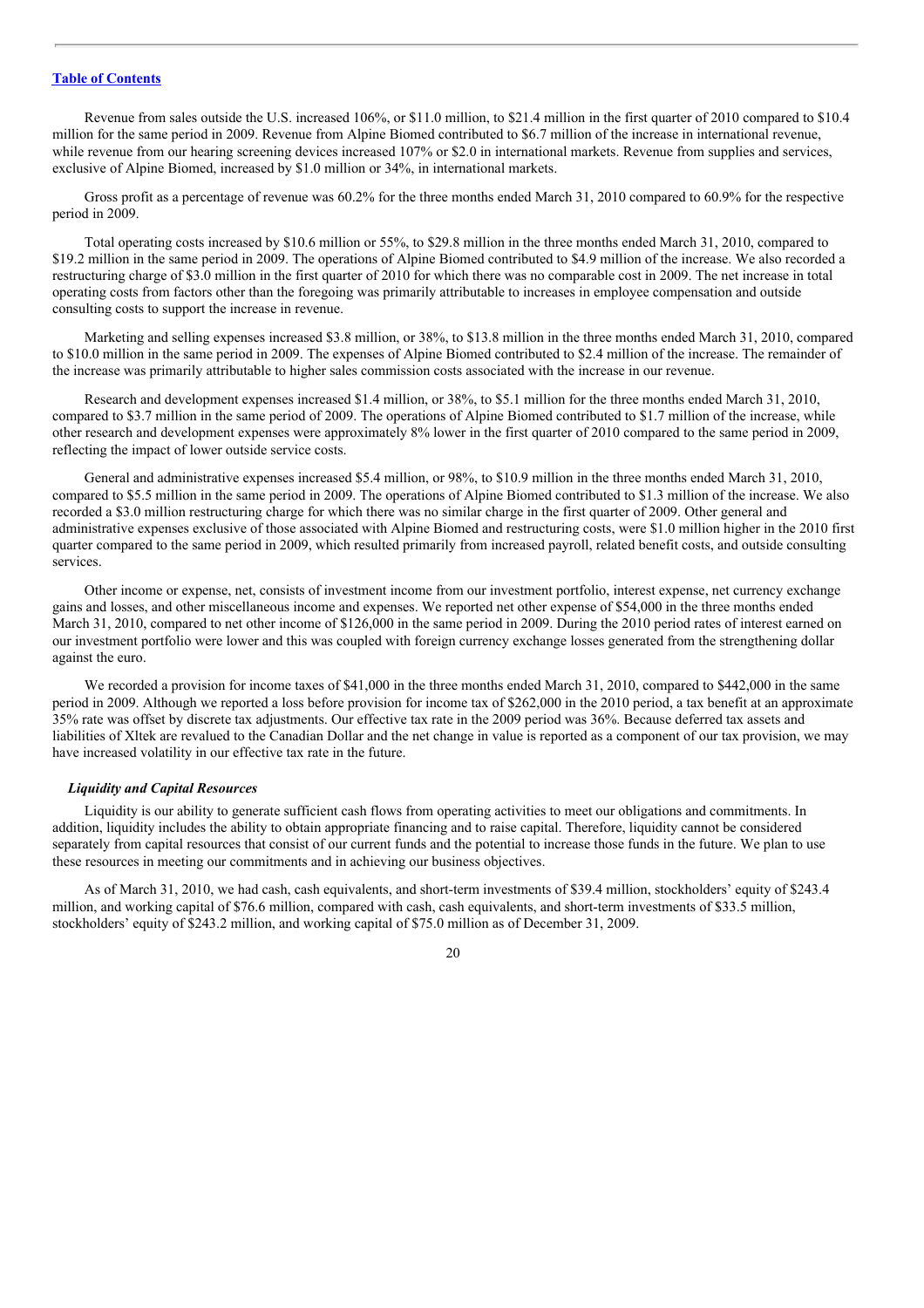Revenue from sales outside the U.S. increased 106%, or \$11.0 million, to \$21.4 million in the first quarter of 2010 compared to \$10.4 million for the same period in 2009. Revenue from Alpine Biomed contributed to \$6.7 million of the increase in international revenue, while revenue from our hearing screening devices increased 107% or \$2.0 in international markets. Revenue from supplies and services, exclusive of Alpine Biomed, increased by \$1.0 million or 34%, in international markets.

Gross profit as a percentage of revenue was 60.2% for the three months ended March 31, 2010 compared to 60.9% for the respective period in 2009.

Total operating costs increased by \$10.6 million or 55%, to \$29.8 million in the three months ended March 31, 2010, compared to \$19.2 million in the same period in 2009. The operations of Alpine Biomed contributed to \$4.9 million of the increase. We also recorded a restructuring charge of \$3.0 million in the first quarter of 2010 for which there was no comparable cost in 2009. The net increase in total operating costs from factors other than the foregoing was primarily attributable to increases in employee compensation and outside consulting costs to support the increase in revenue.

Marketing and selling expenses increased \$3.8 million, or 38%, to \$13.8 million in the three months ended March 31, 2010, compared to \$10.0 million in the same period in 2009. The expenses of Alpine Biomed contributed to \$2.4 million of the increase. The remainder of the increase was primarily attributable to higher sales commission costs associated with the increase in our revenue.

Research and development expenses increased \$1.4 million, or 38%, to \$5.1 million for the three months ended March 31, 2010, compared to \$3.7 million in the same period of 2009. The operations of Alpine Biomed contributed to \$1.7 million of the increase, while other research and development expenses were approximately 8% lower in the first quarter of 2010 compared to the same period in 2009, reflecting the impact of lower outside service costs.

General and administrative expenses increased \$5.4 million, or 98%, to \$10.9 million in the three months ended March 31, 2010, compared to \$5.5 million in the same period in 2009. The operations of Alpine Biomed contributed to \$1.3 million of the increase. We also recorded a \$3.0 million restructuring charge for which there was no similar charge in the first quarter of 2009. Other general and administrative expenses exclusive of those associated with Alpine Biomed and restructuring costs, were \$1.0 million higher in the 2010 first quarter compared to the same period in 2009, which resulted primarily from increased payroll, related benefit costs, and outside consulting services.

Other income or expense, net, consists of investment income from our investment portfolio, interest expense, net currency exchange gains and losses, and other miscellaneous income and expenses. We reported net other expense of \$54,000 in the three months ended March 31, 2010, compared to net other income of \$126,000 in the same period in 2009. During the 2010 period rates of interest earned on our investment portfolio were lower and this was coupled with foreign currency exchange losses generated from the strengthening dollar against the euro.

We recorded a provision for income taxes of \$41,000 in the three months ended March 31, 2010, compared to \$442,000 in the same period in 2009. Although we reported a loss before provision for income tax of \$262,000 in the 2010 period, a tax benefit at an approximate 35% rate was offset by discrete tax adjustments. Our effective tax rate in the 2009 period was 36%. Because deferred tax assets and liabilities of Xltek are revalued to the Canadian Dollar and the net change in value is reported as a component of our tax provision, we may have increased volatility in our effective tax rate in the future.

## *Liquidity and Capital Resources*

Liquidity is our ability to generate sufficient cash flows from operating activities to meet our obligations and commitments. In addition, liquidity includes the ability to obtain appropriate financing and to raise capital. Therefore, liquidity cannot be considered separately from capital resources that consist of our current funds and the potential to increase those funds in the future. We plan to use these resources in meeting our commitments and in achieving our business objectives.

As of March 31, 2010, we had cash, cash equivalents, and short-term investments of \$39.4 million, stockholders' equity of \$243.4 million, and working capital of \$76.6 million, compared with cash, cash equivalents, and short-term investments of \$33.5 million, stockholders' equity of \$243.2 million, and working capital of \$75.0 million as of December 31, 2009.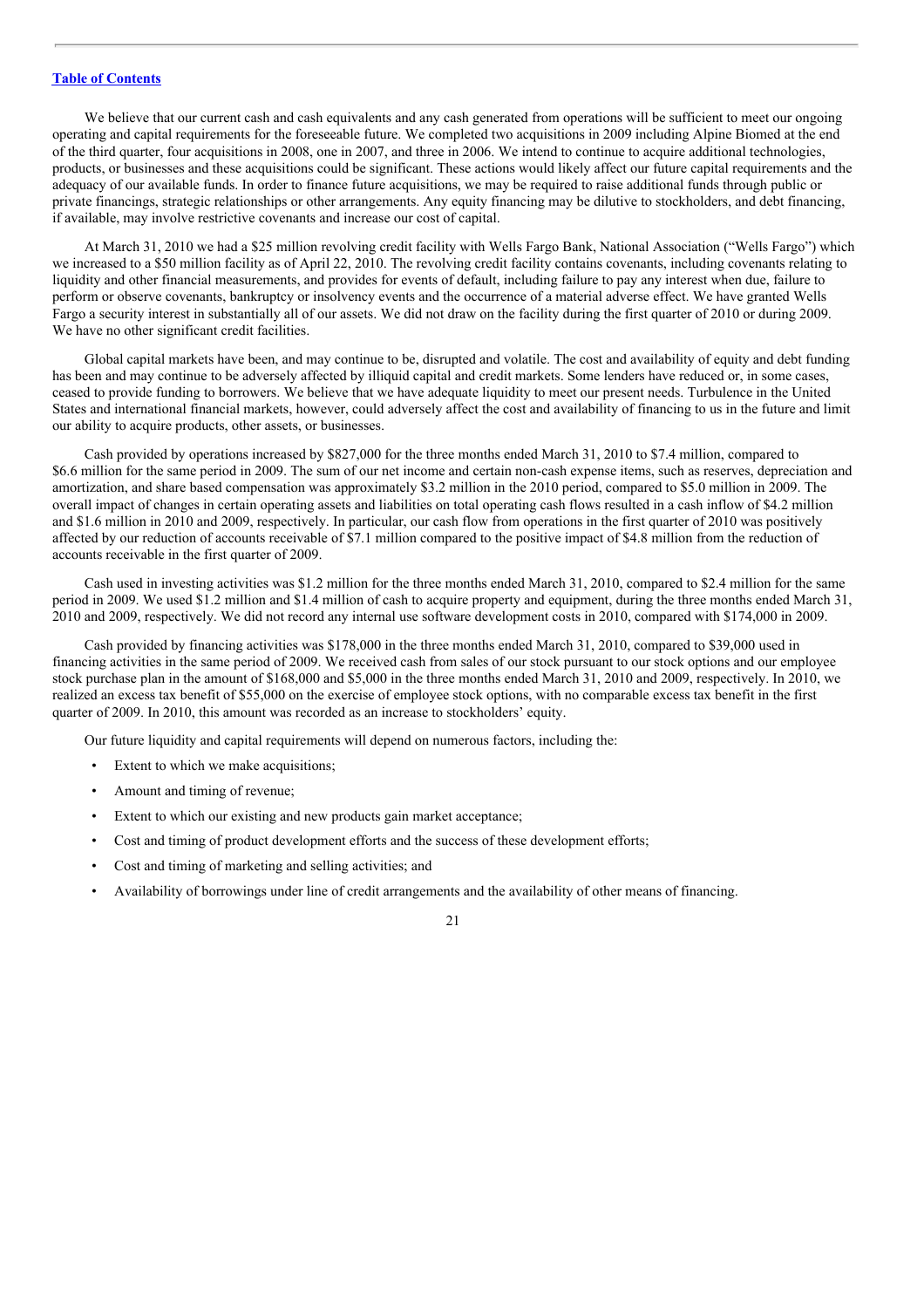We believe that our current cash and cash equivalents and any cash generated from operations will be sufficient to meet our ongoing operating and capital requirements for the foreseeable future. We completed two acquisitions in 2009 including Alpine Biomed at the end of the third quarter, four acquisitions in 2008, one in 2007, and three in 2006. We intend to continue to acquire additional technologies, products, or businesses and these acquisitions could be significant. These actions would likely affect our future capital requirements and the adequacy of our available funds. In order to finance future acquisitions, we may be required to raise additional funds through public or private financings, strategic relationships or other arrangements. Any equity financing may be dilutive to stockholders, and debt financing, if available, may involve restrictive covenants and increase our cost of capital.

At March 31, 2010 we had a \$25 million revolving credit facility with Wells Fargo Bank, National Association ("Wells Fargo") which we increased to a \$50 million facility as of April 22, 2010. The revolving credit facility contains covenants, including covenants relating to liquidity and other financial measurements, and provides for events of default, including failure to pay any interest when due, failure to perform or observe covenants, bankruptcy or insolvency events and the occurrence of a material adverse effect. We have granted Wells Fargo a security interest in substantially all of our assets. We did not draw on the facility during the first quarter of 2010 or during 2009. We have no other significant credit facilities.

Global capital markets have been, and may continue to be, disrupted and volatile. The cost and availability of equity and debt funding has been and may continue to be adversely affected by illiquid capital and credit markets. Some lenders have reduced or, in some cases, ceased to provide funding to borrowers. We believe that we have adequate liquidity to meet our present needs. Turbulence in the United States and international financial markets, however, could adversely affect the cost and availability of financing to us in the future and limit our ability to acquire products, other assets, or businesses.

Cash provided by operations increased by \$827,000 for the three months ended March 31, 2010 to \$7.4 million, compared to \$6.6 million for the same period in 2009. The sum of our net income and certain non-cash expense items, such as reserves, depreciation and amortization, and share based compensation was approximately \$3.2 million in the 2010 period, compared to \$5.0 million in 2009. The overall impact of changes in certain operating assets and liabilities on total operating cash flows resulted in a cash inflow of \$4.2 million and \$1.6 million in 2010 and 2009, respectively. In particular, our cash flow from operations in the first quarter of 2010 was positively affected by our reduction of accounts receivable of \$7.1 million compared to the positive impact of \$4.8 million from the reduction of accounts receivable in the first quarter of 2009.

Cash used in investing activities was \$1.2 million for the three months ended March 31, 2010, compared to \$2.4 million for the same period in 2009. We used \$1.2 million and \$1.4 million of cash to acquire property and equipment, during the three months ended March 31, 2010 and 2009, respectively. We did not record any internal use software development costs in 2010, compared with \$174,000 in 2009.

Cash provided by financing activities was \$178,000 in the three months ended March 31, 2010, compared to \$39,000 used in financing activities in the same period of 2009. We received cash from sales of our stock pursuant to our stock options and our employee stock purchase plan in the amount of \$168,000 and \$5,000 in the three months ended March 31, 2010 and 2009, respectively. In 2010, we realized an excess tax benefit of \$55,000 on the exercise of employee stock options, with no comparable excess tax benefit in the first quarter of 2009. In 2010, this amount was recorded as an increase to stockholders' equity.

Our future liquidity and capital requirements will depend on numerous factors, including the:

- Extent to which we make acquisitions;
- Amount and timing of revenue;
- Extent to which our existing and new products gain market acceptance;
- Cost and timing of product development efforts and the success of these development efforts;
- Cost and timing of marketing and selling activities; and
- Availability of borrowings under line of credit arrangements and the availability of other means of financing.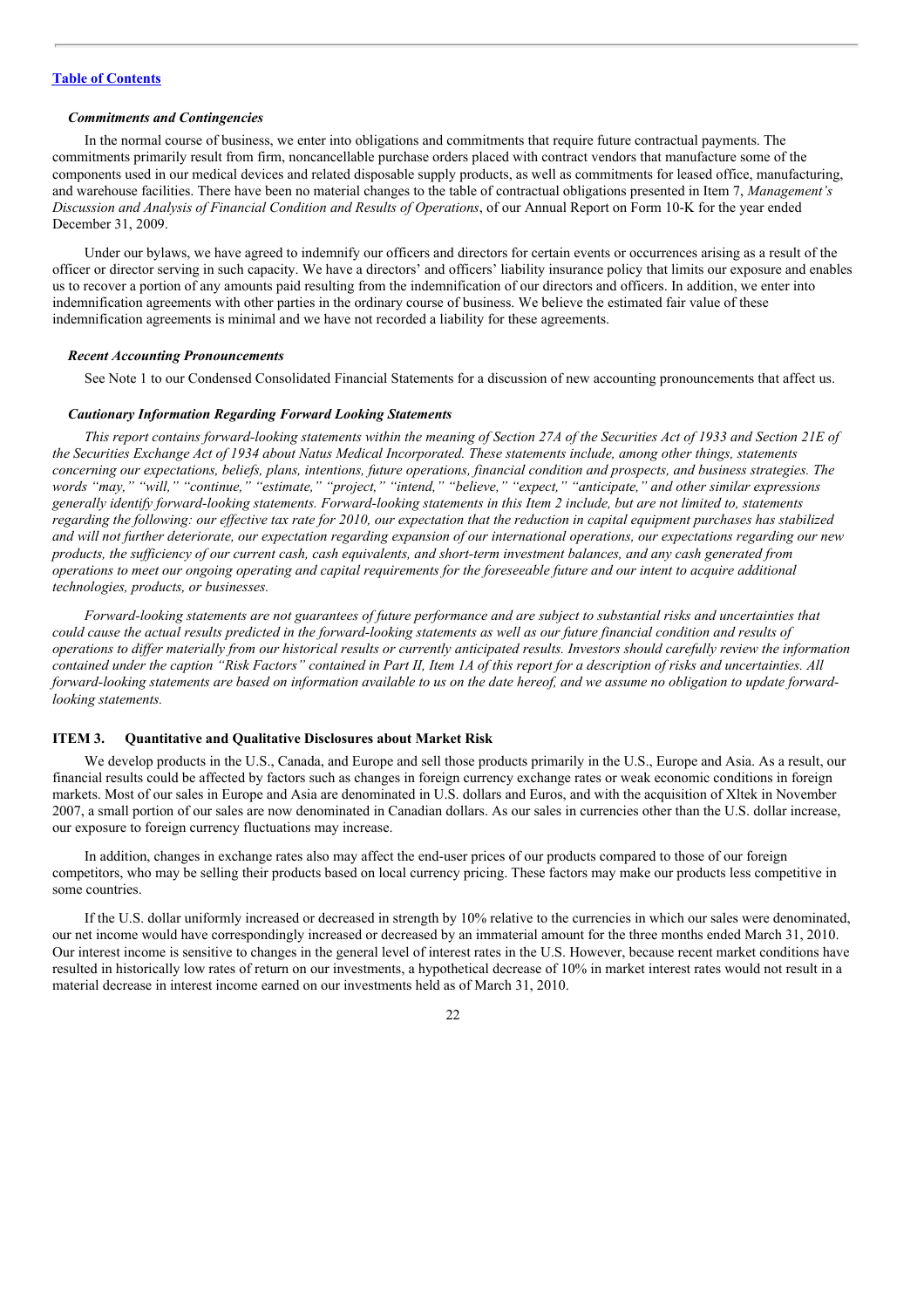## *Commitments and Contingencies*

In the normal course of business, we enter into obligations and commitments that require future contractual payments. The commitments primarily result from firm, noncancellable purchase orders placed with contract vendors that manufacture some of the components used in our medical devices and related disposable supply products, as well as commitments for leased office, manufacturing, and warehouse facilities. There have been no material changes to the table of contractual obligations presented in Item 7, *Management's Discussion and Analysis of Financial Condition and Results of Operations*, of our Annual Report on Form 10-K for the year ended December 31, 2009.

Under our bylaws, we have agreed to indemnify our officers and directors for certain events or occurrences arising as a result of the officer or director serving in such capacity. We have a directors' and officers' liability insurance policy that limits our exposure and enables us to recover a portion of any amounts paid resulting from the indemnification of our directors and officers. In addition, we enter into indemnification agreements with other parties in the ordinary course of business. We believe the estimated fair value of these indemnification agreements is minimal and we have not recorded a liability for these agreements.

#### *Recent Accounting Pronouncements*

See Note 1 to our Condensed Consolidated Financial Statements for a discussion of new accounting pronouncements that affect us.

#### *Cautionary Information Regarding Forward Looking Statements*

This report contains forward-looking statements within the meaning of Section 27A of the Securities Act of 1933 and Section 21E of the Securities Exchange Act of 1934 about Natus Medical Incorporated. These statements include, among other things, statements concerning our expectations, beliefs, plans, intentions, future operations, financial condition and prospects, and business strategies. The words "may," "will," "continue," "estimate," "project," "intend," "believe," "expect," "anticipate," and other similar expressions generally identify forward-looking statements. Forward-looking statements in this Item 2 include, but are not limited to, statements regarding the following: our effective tax rate for 2010, our expectation that the reduction in capital equipment purchases has stabilized and will not further deteriorate, our expectation regarding expansion of our international operations, our expectations regarding our new products, the sufficiency of our current cash, cash equivalents, and short-term investment balances, and any cash generated from operations to meet our ongoing operating and capital requirements for the foreseeable future and our intent to acquire additional *technologies, products, or businesses.*

Forward-looking statements are not guarantees of future performance and are subject to substantial risks and uncertainties that could cause the actual results predicted in the forward-looking statements as well as our future financial condition and results of operations to differ materially from our historical results or currently anticipated results. Investors should carefully review the information contained under the caption "Risk Factors" contained in Part II, Item 1A of this report for a description of risks and uncertainties. All forward-looking statements are based on information available to us on the date hereof, and we assume no obligation to update forward*looking statements.*

## **ITEM 3. Quantitative and Qualitative Disclosures about Market Risk**

We develop products in the U.S., Canada, and Europe and sell those products primarily in the U.S., Europe and Asia. As a result, our financial results could be affected by factors such as changes in foreign currency exchange rates or weak economic conditions in foreign markets. Most of our sales in Europe and Asia are denominated in U.S. dollars and Euros, and with the acquisition of Xltek in November 2007, a small portion of our sales are now denominated in Canadian dollars. As our sales in currencies other than the U.S. dollar increase, our exposure to foreign currency fluctuations may increase.

In addition, changes in exchange rates also may affect the end-user prices of our products compared to those of our foreign competitors, who may be selling their products based on local currency pricing. These factors may make our products less competitive in some countries.

If the U.S. dollar uniformly increased or decreased in strength by 10% relative to the currencies in which our sales were denominated, our net income would have correspondingly increased or decreased by an immaterial amount for the three months ended March 31, 2010. Our interest income is sensitive to changes in the general level of interest rates in the U.S. However, because recent market conditions have resulted in historically low rates of return on our investments, a hypothetical decrease of 10% in market interest rates would not result in a material decrease in interest income earned on our investments held as of March 31, 2010.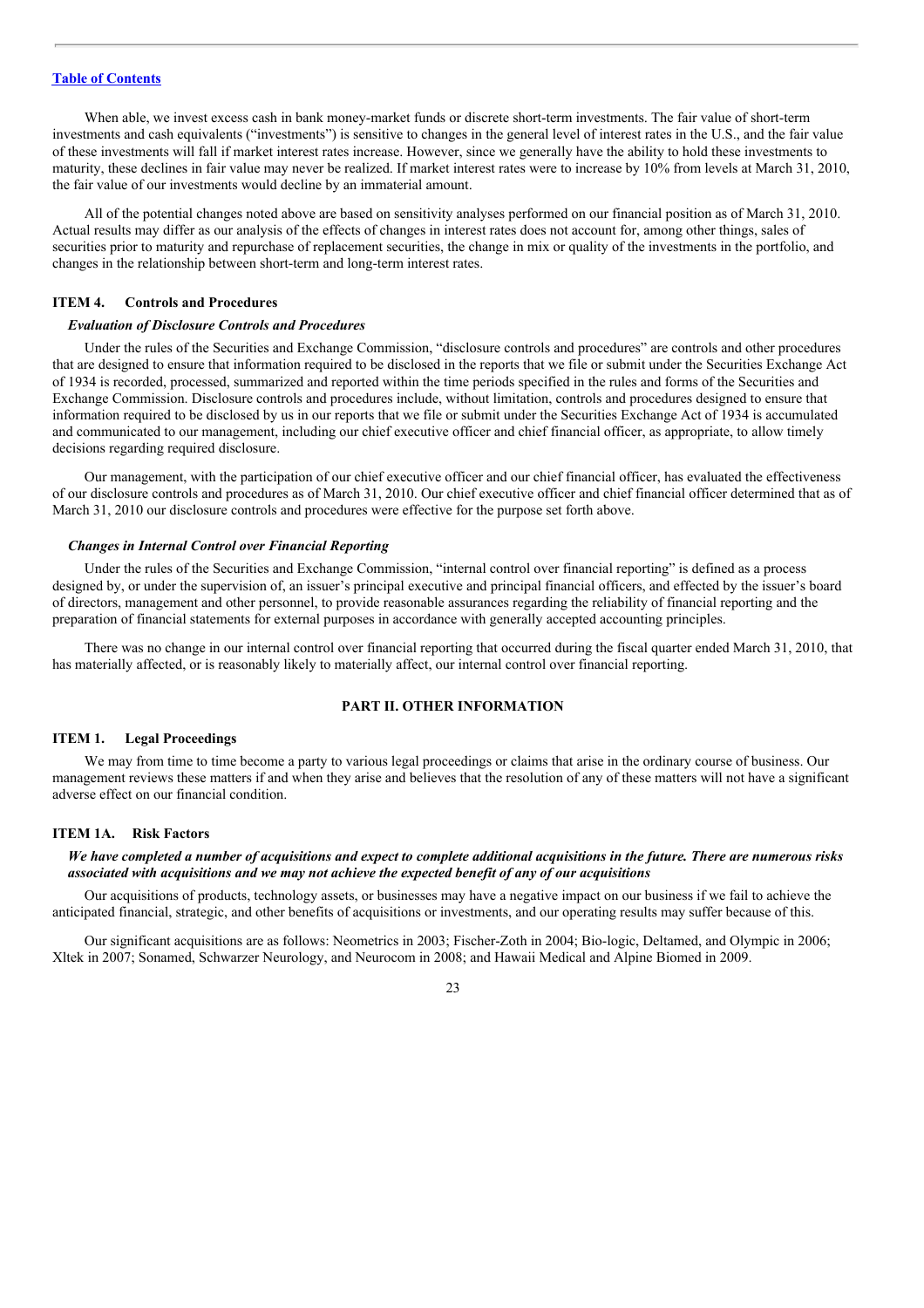When able, we invest excess cash in bank money-market funds or discrete short-term investments. The fair value of short-term investments and cash equivalents ("investments") is sensitive to changes in the general level of interest rates in the U.S., and the fair value of these investments will fall if market interest rates increase. However, since we generally have the ability to hold these investments to maturity, these declines in fair value may never be realized. If market interest rates were to increase by 10% from levels at March 31, 2010, the fair value of our investments would decline by an immaterial amount.

All of the potential changes noted above are based on sensitivity analyses performed on our financial position as of March 31, 2010. Actual results may differ as our analysis of the effects of changes in interest rates does not account for, among other things, sales of securities prior to maturity and repurchase of replacement securities, the change in mix or quality of the investments in the portfolio, and changes in the relationship between short-term and long-term interest rates.

#### **ITEM 4. Controls and Procedures**

#### *Evaluation of Disclosure Controls and Procedures*

Under the rules of the Securities and Exchange Commission, "disclosure controls and procedures" are controls and other procedures that are designed to ensure that information required to be disclosed in the reports that we file or submit under the Securities Exchange Act of 1934 is recorded, processed, summarized and reported within the time periods specified in the rules and forms of the Securities and Exchange Commission. Disclosure controls and procedures include, without limitation, controls and procedures designed to ensure that information required to be disclosed by us in our reports that we file or submit under the Securities Exchange Act of 1934 is accumulated and communicated to our management, including our chief executive officer and chief financial officer, as appropriate, to allow timely decisions regarding required disclosure.

Our management, with the participation of our chief executive officer and our chief financial officer, has evaluated the effectiveness of our disclosure controls and procedures as of March 31, 2010. Our chief executive officer and chief financial officer determined that as of March 31, 2010 our disclosure controls and procedures were effective for the purpose set forth above.

#### *Changes in Internal Control over Financial Reporting*

Under the rules of the Securities and Exchange Commission, "internal control over financial reporting" is defined as a process designed by, or under the supervision of, an issuer's principal executive and principal financial officers, and effected by the issuer's board of directors, management and other personnel, to provide reasonable assurances regarding the reliability of financial reporting and the preparation of financial statements for external purposes in accordance with generally accepted accounting principles.

There was no change in our internal control over financial reporting that occurred during the fiscal quarter ended March 31, 2010, that has materially affected, or is reasonably likely to materially affect, our internal control over financial reporting.

## **PART II. OTHER INFORMATION**

## **ITEM 1. Legal Proceedings**

We may from time to time become a party to various legal proceedings or claims that arise in the ordinary course of business. Our management reviews these matters if and when they arise and believes that the resolution of any of these matters will not have a significant adverse effect on our financial condition.

## **ITEM 1A. Risk Factors**

## We have completed a number of acquisitions and expect to complete additional acquisitions in the future. There are numerous risks *associated with acquisitions and we may not achieve the expected benefit of any of our acquisitions*

Our acquisitions of products, technology assets, or businesses may have a negative impact on our business if we fail to achieve the anticipated financial, strategic, and other benefits of acquisitions or investments, and our operating results may suffer because of this.

Our significant acquisitions are as follows: Neometrics in 2003; Fischer-Zoth in 2004; Bio-logic, Deltamed, and Olympic in 2006; Xltek in 2007; Sonamed, Schwarzer Neurology, and Neurocom in 2008; and Hawaii Medical and Alpine Biomed in 2009.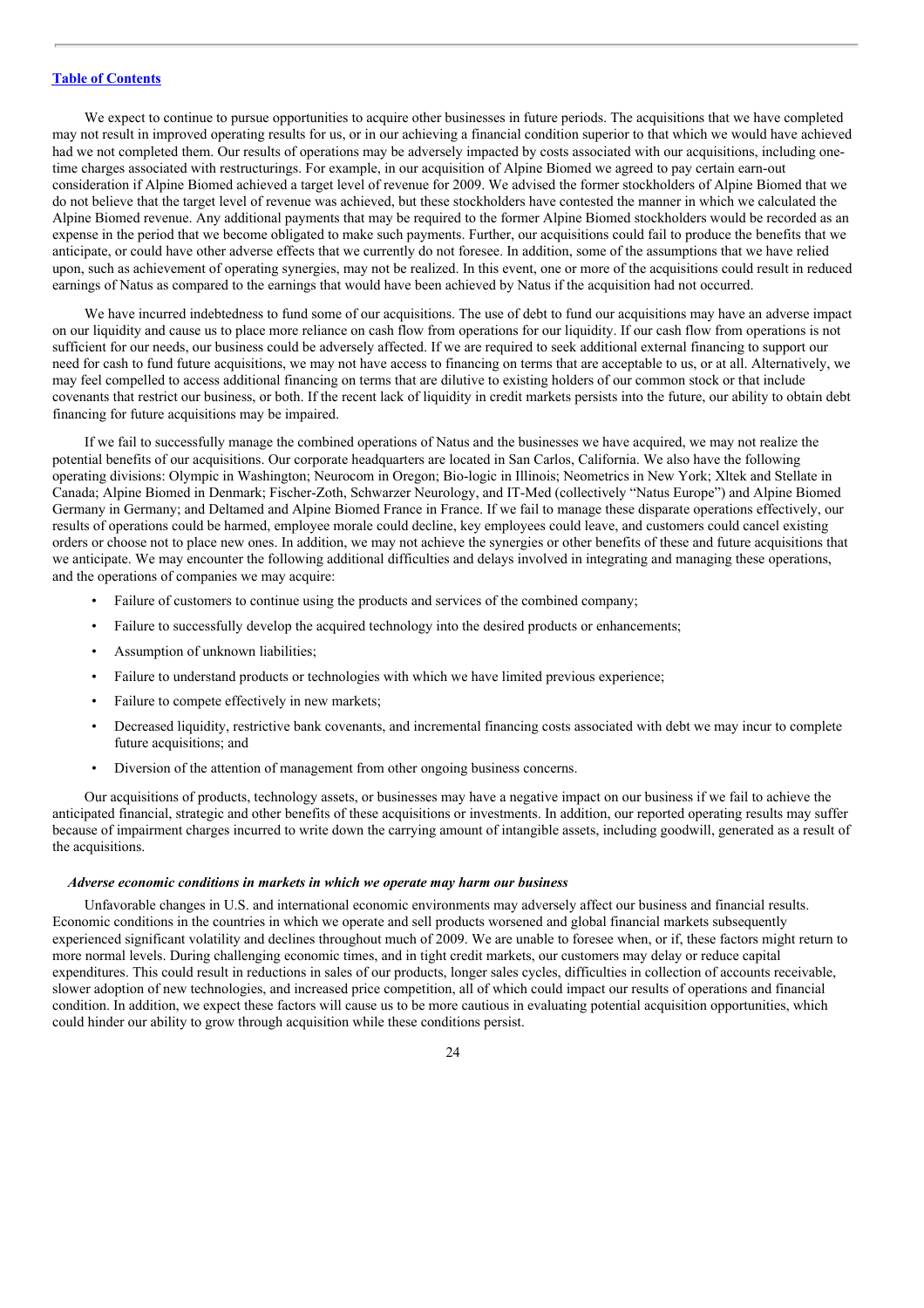We expect to continue to pursue opportunities to acquire other businesses in future periods. The acquisitions that we have completed may not result in improved operating results for us, or in our achieving a financial condition superior to that which we would have achieved had we not completed them. Our results of operations may be adversely impacted by costs associated with our acquisitions, including onetime charges associated with restructurings. For example, in our acquisition of Alpine Biomed we agreed to pay certain earn-out consideration if Alpine Biomed achieved a target level of revenue for 2009. We advised the former stockholders of Alpine Biomed that we do not believe that the target level of revenue was achieved, but these stockholders have contested the manner in which we calculated the Alpine Biomed revenue. Any additional payments that may be required to the former Alpine Biomed stockholders would be recorded as an expense in the period that we become obligated to make such payments. Further, our acquisitions could fail to produce the benefits that we anticipate, or could have other adverse effects that we currently do not foresee. In addition, some of the assumptions that we have relied upon, such as achievement of operating synergies, may not be realized. In this event, one or more of the acquisitions could result in reduced earnings of Natus as compared to the earnings that would have been achieved by Natus if the acquisition had not occurred.

We have incurred indebtedness to fund some of our acquisitions. The use of debt to fund our acquisitions may have an adverse impact on our liquidity and cause us to place more reliance on cash flow from operations for our liquidity. If our cash flow from operations is not sufficient for our needs, our business could be adversely affected. If we are required to seek additional external financing to support our need for cash to fund future acquisitions, we may not have access to financing on terms that are acceptable to us, or at all. Alternatively, we may feel compelled to access additional financing on terms that are dilutive to existing holders of our common stock or that include covenants that restrict our business, or both. If the recent lack of liquidity in credit markets persists into the future, our ability to obtain debt financing for future acquisitions may be impaired.

If we fail to successfully manage the combined operations of Natus and the businesses we have acquired, we may not realize the potential benefits of our acquisitions. Our corporate headquarters are located in San Carlos, California. We also have the following operating divisions: Olympic in Washington; Neurocom in Oregon; Bio-logic in Illinois; Neometrics in New York; Xltek and Stellate in Canada; Alpine Biomed in Denmark; Fischer-Zoth, Schwarzer Neurology, and IT-Med (collectively "Natus Europe") and Alpine Biomed Germany in Germany; and Deltamed and Alpine Biomed France in France. If we fail to manage these disparate operations effectively, our results of operations could be harmed, employee morale could decline, key employees could leave, and customers could cancel existing orders or choose not to place new ones. In addition, we may not achieve the synergies or other benefits of these and future acquisitions that we anticipate. We may encounter the following additional difficulties and delays involved in integrating and managing these operations, and the operations of companies we may acquire:

- Failure of customers to continue using the products and services of the combined company;
- Failure to successfully develop the acquired technology into the desired products or enhancements;
- Assumption of unknown liabilities;
- Failure to understand products or technologies with which we have limited previous experience;
- Failure to compete effectively in new markets;
- Decreased liquidity, restrictive bank covenants, and incremental financing costs associated with debt we may incur to complete future acquisitions; and
- Diversion of the attention of management from other ongoing business concerns.

Our acquisitions of products, technology assets, or businesses may have a negative impact on our business if we fail to achieve the anticipated financial, strategic and other benefits of these acquisitions or investments. In addition, our reported operating results may suffer because of impairment charges incurred to write down the carrying amount of intangible assets, including goodwill, generated as a result of the acquisitions.

#### *Adverse economic conditions in markets in which we operate may harm our business*

Unfavorable changes in U.S. and international economic environments may adversely affect our business and financial results. Economic conditions in the countries in which we operate and sell products worsened and global financial markets subsequently experienced significant volatility and declines throughout much of 2009. We are unable to foresee when, or if, these factors might return to more normal levels. During challenging economic times, and in tight credit markets, our customers may delay or reduce capital expenditures. This could result in reductions in sales of our products, longer sales cycles, difficulties in collection of accounts receivable, slower adoption of new technologies, and increased price competition, all of which could impact our results of operations and financial condition. In addition, we expect these factors will cause us to be more cautious in evaluating potential acquisition opportunities, which could hinder our ability to grow through acquisition while these conditions persist.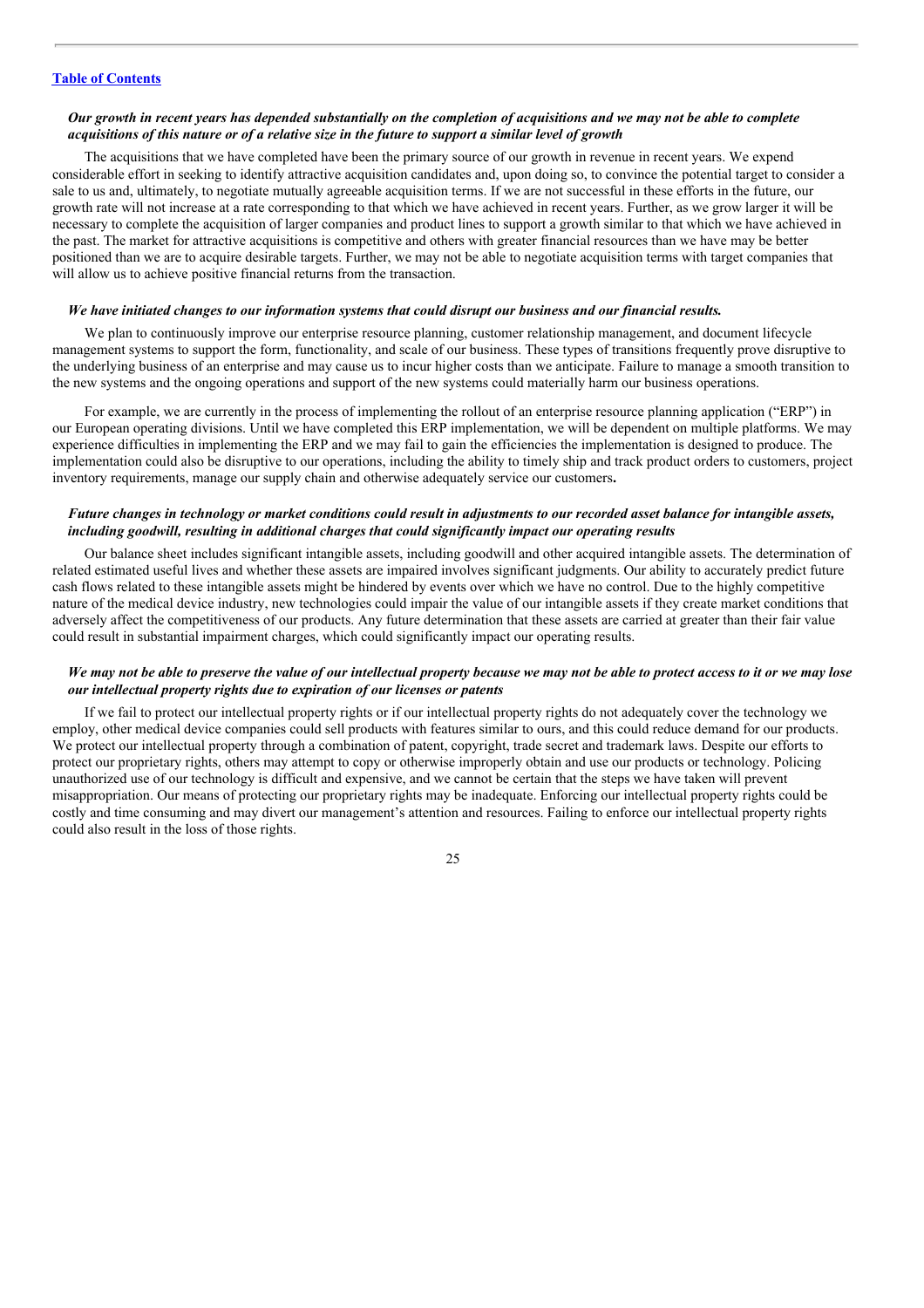## Our growth in recent vears has depended substantially on the completion of acauisitions and we may not be able to complete acquisitions of this nature or of a relative size in the future to support a similar level of growth

The acquisitions that we have completed have been the primary source of our growth in revenue in recent years. We expend considerable effort in seeking to identify attractive acquisition candidates and, upon doing so, to convince the potential target to consider a sale to us and, ultimately, to negotiate mutually agreeable acquisition terms. If we are not successful in these efforts in the future, our growth rate will not increase at a rate corresponding to that which we have achieved in recent years. Further, as we grow larger it will be necessary to complete the acquisition of larger companies and product lines to support a growth similar to that which we have achieved in the past. The market for attractive acquisitions is competitive and others with greater financial resources than we have may be better positioned than we are to acquire desirable targets. Further, we may not be able to negotiate acquisition terms with target companies that will allow us to achieve positive financial returns from the transaction.

## We have initiated changes to our information systems that could disrupt our business and our financial results.

We plan to continuously improve our enterprise resource planning, customer relationship management, and document lifecycle management systems to support the form, functionality, and scale of our business. These types of transitions frequently prove disruptive to the underlying business of an enterprise and may cause us to incur higher costs than we anticipate. Failure to manage a smooth transition to the new systems and the ongoing operations and support of the new systems could materially harm our business operations.

For example, we are currently in the process of implementing the rollout of an enterprise resource planning application ("ERP") in our European operating divisions. Until we have completed this ERP implementation, we will be dependent on multiple platforms. We may experience difficulties in implementing the ERP and we may fail to gain the efficiencies the implementation is designed to produce. The implementation could also be disruptive to our operations, including the ability to timely ship and track product orders to customers, project inventory requirements, manage our supply chain and otherwise adequately service our customers**.**

## Future changes in technology or market conditions could result in adjustments to our recorded asset balance for intangible assets, *including goodwill, resulting in additional charges that could significantly impact our operating results*

Our balance sheet includes significant intangible assets, including goodwill and other acquired intangible assets. The determination of related estimated useful lives and whether these assets are impaired involves significant judgments. Our ability to accurately predict future cash flows related to these intangible assets might be hindered by events over which we have no control. Due to the highly competitive nature of the medical device industry, new technologies could impair the value of our intangible assets if they create market conditions that adversely affect the competitiveness of our products. Any future determination that these assets are carried at greater than their fair value could result in substantial impairment charges, which could significantly impact our operating results.

## We may not be able to preserve the value of our intellectual property because we may not be able to protect access to it or we may lose *our intellectual property rights due to expiration of our licenses or patents*

If we fail to protect our intellectual property rights or if our intellectual property rights do not adequately cover the technology we employ, other medical device companies could sell products with features similar to ours, and this could reduce demand for our products. We protect our intellectual property through a combination of patent, copyright, trade secret and trademark laws. Despite our efforts to protect our proprietary rights, others may attempt to copy or otherwise improperly obtain and use our products or technology. Policing unauthorized use of our technology is difficult and expensive, and we cannot be certain that the steps we have taken will prevent misappropriation. Our means of protecting our proprietary rights may be inadequate. Enforcing our intellectual property rights could be costly and time consuming and may divert our management's attention and resources. Failing to enforce our intellectual property rights could also result in the loss of those rights.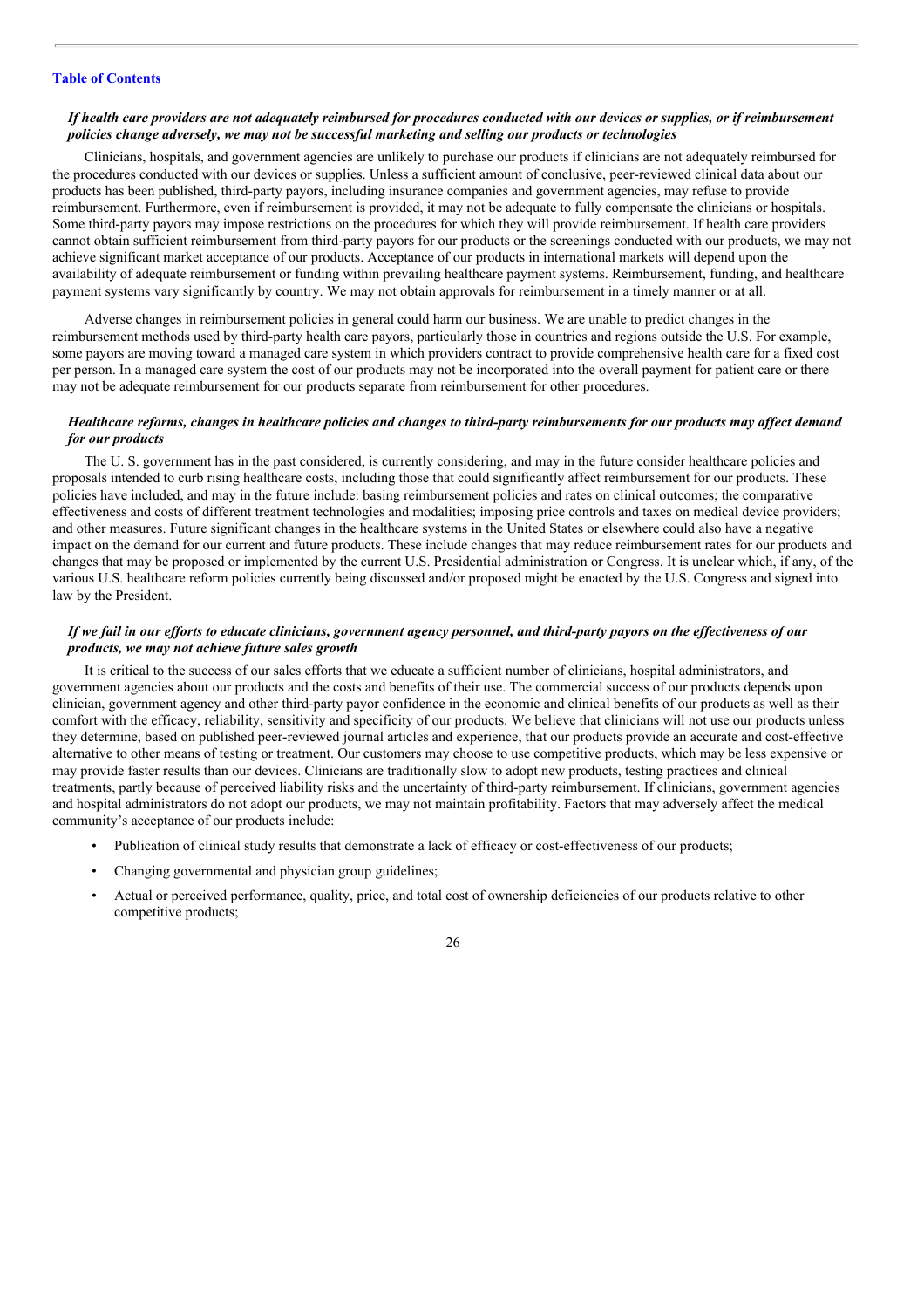## If health care providers are not adeauately reimbursed for procedures conducted with our devices or supplies, or if reimbursement *policies change adversely, we may not be successful marketing and selling our products or technologies*

Clinicians, hospitals, and government agencies are unlikely to purchase our products if clinicians are not adequately reimbursed for the procedures conducted with our devices or supplies. Unless a sufficient amount of conclusive, peer-reviewed clinical data about our products has been published, third-party payors, including insurance companies and government agencies, may refuse to provide reimbursement. Furthermore, even if reimbursement is provided, it may not be adequate to fully compensate the clinicians or hospitals. Some third-party payors may impose restrictions on the procedures for which they will provide reimbursement. If health care providers cannot obtain sufficient reimbursement from third-party payors for our products or the screenings conducted with our products, we may not achieve significant market acceptance of our products. Acceptance of our products in international markets will depend upon the availability of adequate reimbursement or funding within prevailing healthcare payment systems. Reimbursement, funding, and healthcare payment systems vary significantly by country. We may not obtain approvals for reimbursement in a timely manner or at all.

Adverse changes in reimbursement policies in general could harm our business. We are unable to predict changes in the reimbursement methods used by third-party health care payors, particularly those in countries and regions outside the U.S. For example, some payors are moving toward a managed care system in which providers contract to provide comprehensive health care for a fixed cost per person. In a managed care system the cost of our products may not be incorporated into the overall payment for patient care or there may not be adequate reimbursement for our products separate from reimbursement for other procedures.

## Healthcare reforms, changes in healthcare policies and changes to third-party reimbursements for our products may affect demand *for our products*

The U. S. government has in the past considered, is currently considering, and may in the future consider healthcare policies and proposals intended to curb rising healthcare costs, including those that could significantly affect reimbursement for our products. These policies have included, and may in the future include: basing reimbursement policies and rates on clinical outcomes; the comparative effectiveness and costs of different treatment technologies and modalities; imposing price controls and taxes on medical device providers; and other measures. Future significant changes in the healthcare systems in the United States or elsewhere could also have a negative impact on the demand for our current and future products. These include changes that may reduce reimbursement rates for our products and changes that may be proposed or implemented by the current U.S. Presidential administration or Congress. It is unclear which, if any, of the various U.S. healthcare reform policies currently being discussed and/or proposed might be enacted by the U.S. Congress and signed into law by the President.

## If we fail in our efforts to educate clinicians, government agency personnel, and third-party payors on the effectiveness of our *products, we may not achieve future sales growth*

It is critical to the success of our sales efforts that we educate a sufficient number of clinicians, hospital administrators, and government agencies about our products and the costs and benefits of their use. The commercial success of our products depends upon clinician, government agency and other third-party payor confidence in the economic and clinical benefits of our products as well as their comfort with the efficacy, reliability, sensitivity and specificity of our products. We believe that clinicians will not use our products unless they determine, based on published peer-reviewed journal articles and experience, that our products provide an accurate and cost-effective alternative to other means of testing or treatment. Our customers may choose to use competitive products, which may be less expensive or may provide faster results than our devices. Clinicians are traditionally slow to adopt new products, testing practices and clinical treatments, partly because of perceived liability risks and the uncertainty of third-party reimbursement. If clinicians, government agencies and hospital administrators do not adopt our products, we may not maintain profitability. Factors that may adversely affect the medical community's acceptance of our products include:

- Publication of clinical study results that demonstrate a lack of efficacy or cost-effectiveness of our products;
- Changing governmental and physician group guidelines;
- Actual or perceived performance, quality, price, and total cost of ownership deficiencies of our products relative to other competitive products;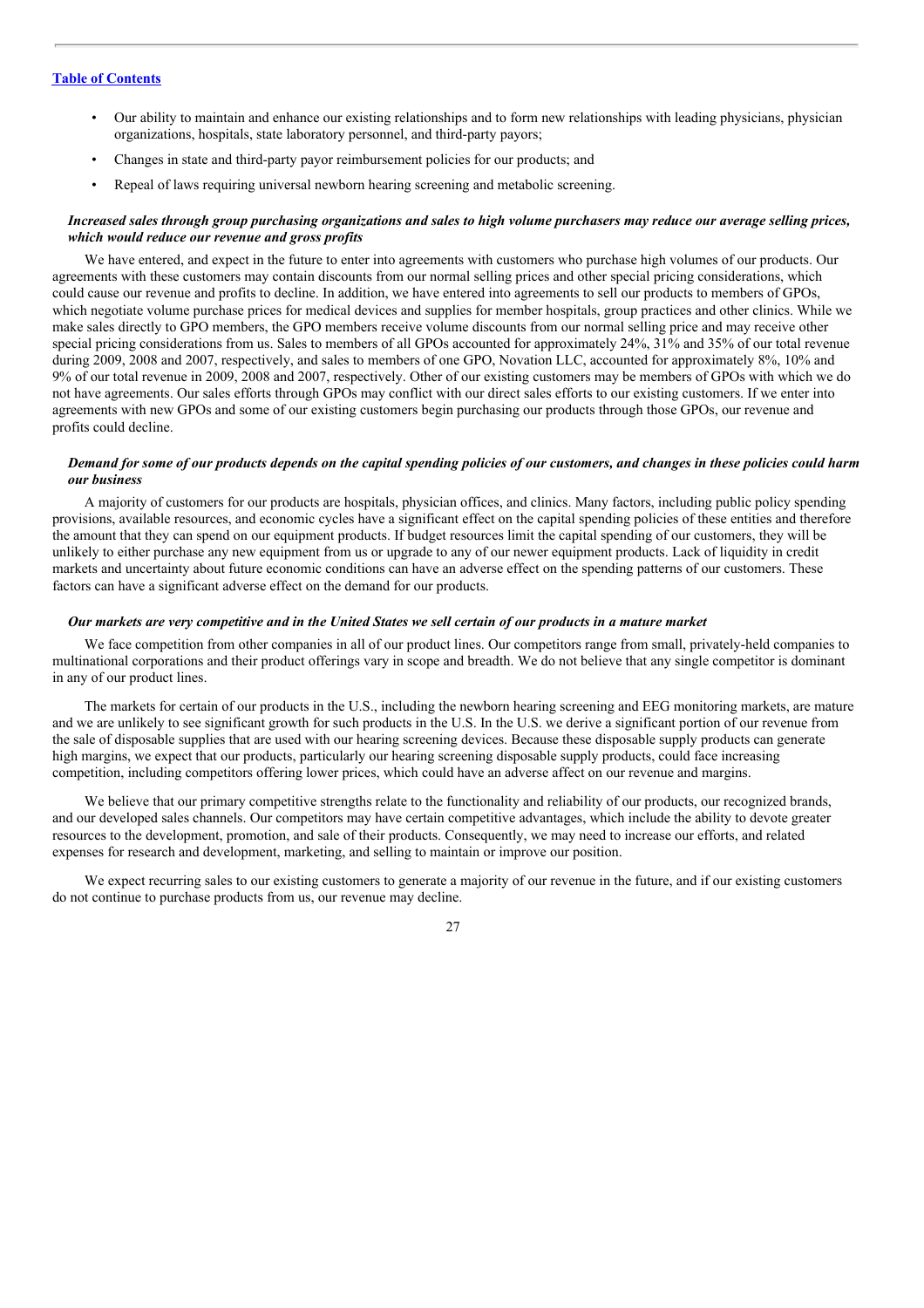- Our ability to maintain and enhance our existing relationships and to form new relationships with leading physicians, physician organizations, hospitals, state laboratory personnel, and third-party payors;
- Changes in state and third-party payor reimbursement policies for our products; and
- Repeal of laws requiring universal newborn hearing screening and metabolic screening.

## Increased sales through group purchasing organizations and sales to high volume purchasers may reduce our average selling prices, *which would reduce our revenue and gross profits*

We have entered, and expect in the future to enter into agreements with customers who purchase high volumes of our products. Our agreements with these customers may contain discounts from our normal selling prices and other special pricing considerations, which could cause our revenue and profits to decline. In addition, we have entered into agreements to sell our products to members of GPOs, which negotiate volume purchase prices for medical devices and supplies for member hospitals, group practices and other clinics. While we make sales directly to GPO members, the GPO members receive volume discounts from our normal selling price and may receive other special pricing considerations from us. Sales to members of all GPOs accounted for approximately 24%, 31% and 35% of our total revenue during 2009, 2008 and 2007, respectively, and sales to members of one GPO, Novation LLC, accounted for approximately 8%, 10% and 9% of our total revenue in 2009, 2008 and 2007, respectively. Other of our existing customers may be members of GPOs with which we do not have agreements. Our sales efforts through GPOs may conflict with our direct sales efforts to our existing customers. If we enter into agreements with new GPOs and some of our existing customers begin purchasing our products through those GPOs, our revenue and profits could decline.

## Demand for some of our products depends on the capital spending policies of our customers, and changes in these policies could harm *our business*

A majority of customers for our products are hospitals, physician offices, and clinics. Many factors, including public policy spending provisions, available resources, and economic cycles have a significant effect on the capital spending policies of these entities and therefore the amount that they can spend on our equipment products. If budget resources limit the capital spending of our customers, they will be unlikely to either purchase any new equipment from us or upgrade to any of our newer equipment products. Lack of liquidity in credit markets and uncertainty about future economic conditions can have an adverse effect on the spending patterns of our customers. These factors can have a significant adverse effect on the demand for our products.

## Our markets are very competitive and in the United States we sell certain of our products in a mature market

We face competition from other companies in all of our product lines. Our competitors range from small, privately-held companies to multinational corporations and their product offerings vary in scope and breadth. We do not believe that any single competitor is dominant in any of our product lines.

The markets for certain of our products in the U.S., including the newborn hearing screening and EEG monitoring markets, are mature and we are unlikely to see significant growth for such products in the U.S. In the U.S. we derive a significant portion of our revenue from the sale of disposable supplies that are used with our hearing screening devices. Because these disposable supply products can generate high margins, we expect that our products, particularly our hearing screening disposable supply products, could face increasing competition, including competitors offering lower prices, which could have an adverse affect on our revenue and margins.

We believe that our primary competitive strengths relate to the functionality and reliability of our products, our recognized brands, and our developed sales channels. Our competitors may have certain competitive advantages, which include the ability to devote greater resources to the development, promotion, and sale of their products. Consequently, we may need to increase our efforts, and related expenses for research and development, marketing, and selling to maintain or improve our position.

We expect recurring sales to our existing customers to generate a majority of our revenue in the future, and if our existing customers do not continue to purchase products from us, our revenue may decline.

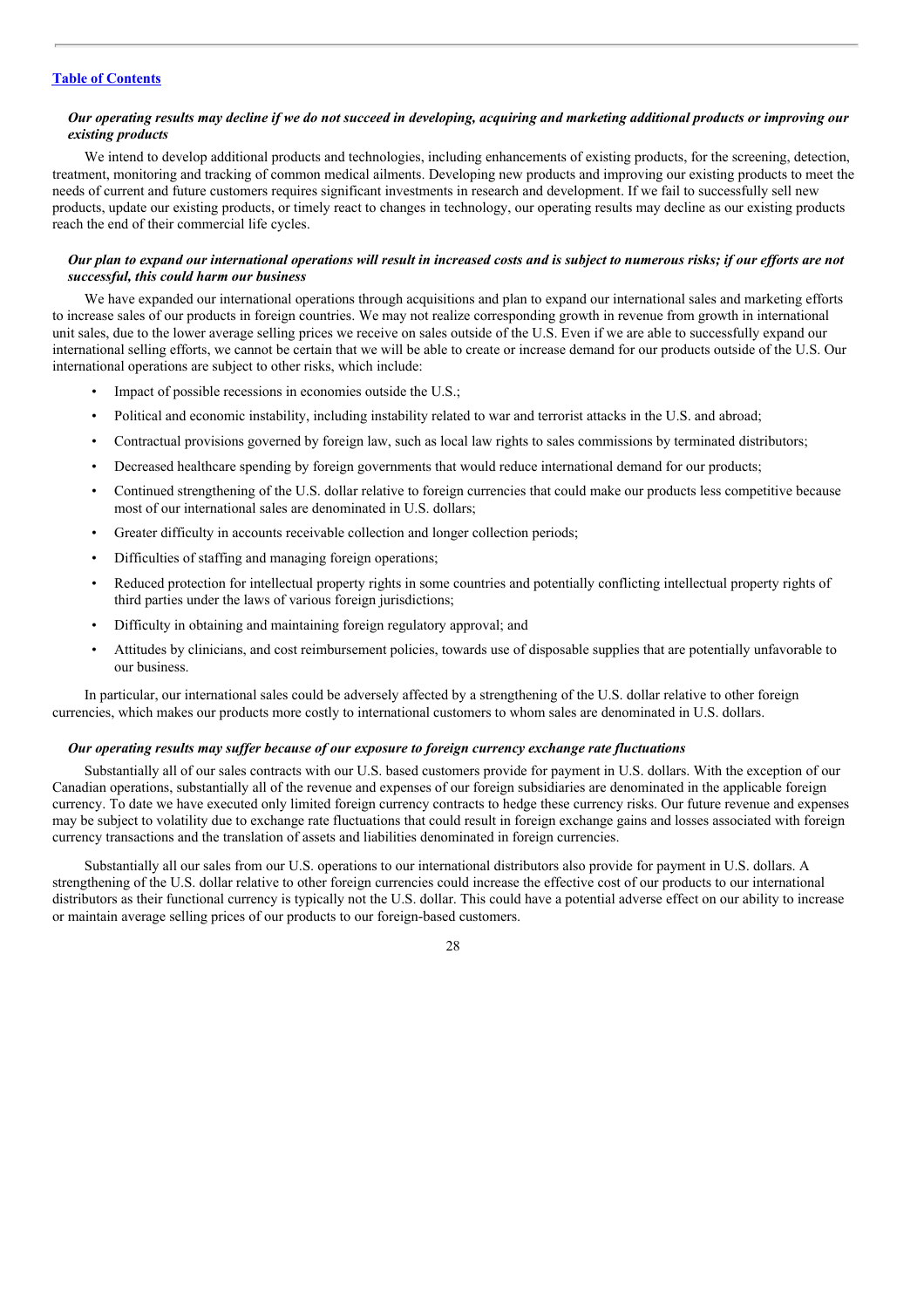## Our operating results may decline if we do not succeed in developing, acauiring and marketing additional products or improving our *existing products*

We intend to develop additional products and technologies, including enhancements of existing products, for the screening, detection, treatment, monitoring and tracking of common medical ailments. Developing new products and improving our existing products to meet the needs of current and future customers requires significant investments in research and development. If we fail to successfully sell new products, update our existing products, or timely react to changes in technology, our operating results may decline as our existing products reach the end of their commercial life cycles.

## Our plan to expand our international operations will result in increased costs and is subject to numerous risks; if our efforts are not *successful, this could harm our business*

We have expanded our international operations through acquisitions and plan to expand our international sales and marketing efforts to increase sales of our products in foreign countries. We may not realize corresponding growth in revenue from growth in international unit sales, due to the lower average selling prices we receive on sales outside of the U.S. Even if we are able to successfully expand our international selling efforts, we cannot be certain that we will be able to create or increase demand for our products outside of the U.S. Our international operations are subject to other risks, which include:

- Impact of possible recessions in economies outside the U.S.;
- Political and economic instability, including instability related to war and terrorist attacks in the U.S. and abroad;
- Contractual provisions governed by foreign law, such as local law rights to sales commissions by terminated distributors;
- Decreased healthcare spending by foreign governments that would reduce international demand for our products;
- Continued strengthening of the U.S. dollar relative to foreign currencies that could make our products less competitive because most of our international sales are denominated in U.S. dollars;
- Greater difficulty in accounts receivable collection and longer collection periods;
- Difficulties of staffing and managing foreign operations;
- Reduced protection for intellectual property rights in some countries and potentially conflicting intellectual property rights of third parties under the laws of various foreign jurisdictions;
- Difficulty in obtaining and maintaining foreign regulatory approval; and
- Attitudes by clinicians, and cost reimbursement policies, towards use of disposable supplies that are potentially unfavorable to our business.

In particular, our international sales could be adversely affected by a strengthening of the U.S. dollar relative to other foreign currencies, which makes our products more costly to international customers to whom sales are denominated in U.S. dollars.

#### *Our operating results may suf er because of our exposure to foreign currency exchange rate fluctuations*

Substantially all of our sales contracts with our U.S. based customers provide for payment in U.S. dollars. With the exception of our Canadian operations, substantially all of the revenue and expenses of our foreign subsidiaries are denominated in the applicable foreign currency. To date we have executed only limited foreign currency contracts to hedge these currency risks. Our future revenue and expenses may be subject to volatility due to exchange rate fluctuations that could result in foreign exchange gains and losses associated with foreign currency transactions and the translation of assets and liabilities denominated in foreign currencies.

Substantially all our sales from our U.S. operations to our international distributors also provide for payment in U.S. dollars. A strengthening of the U.S. dollar relative to other foreign currencies could increase the effective cost of our products to our international distributors as their functional currency is typically not the U.S. dollar. This could have a potential adverse effect on our ability to increase or maintain average selling prices of our products to our foreign-based customers.

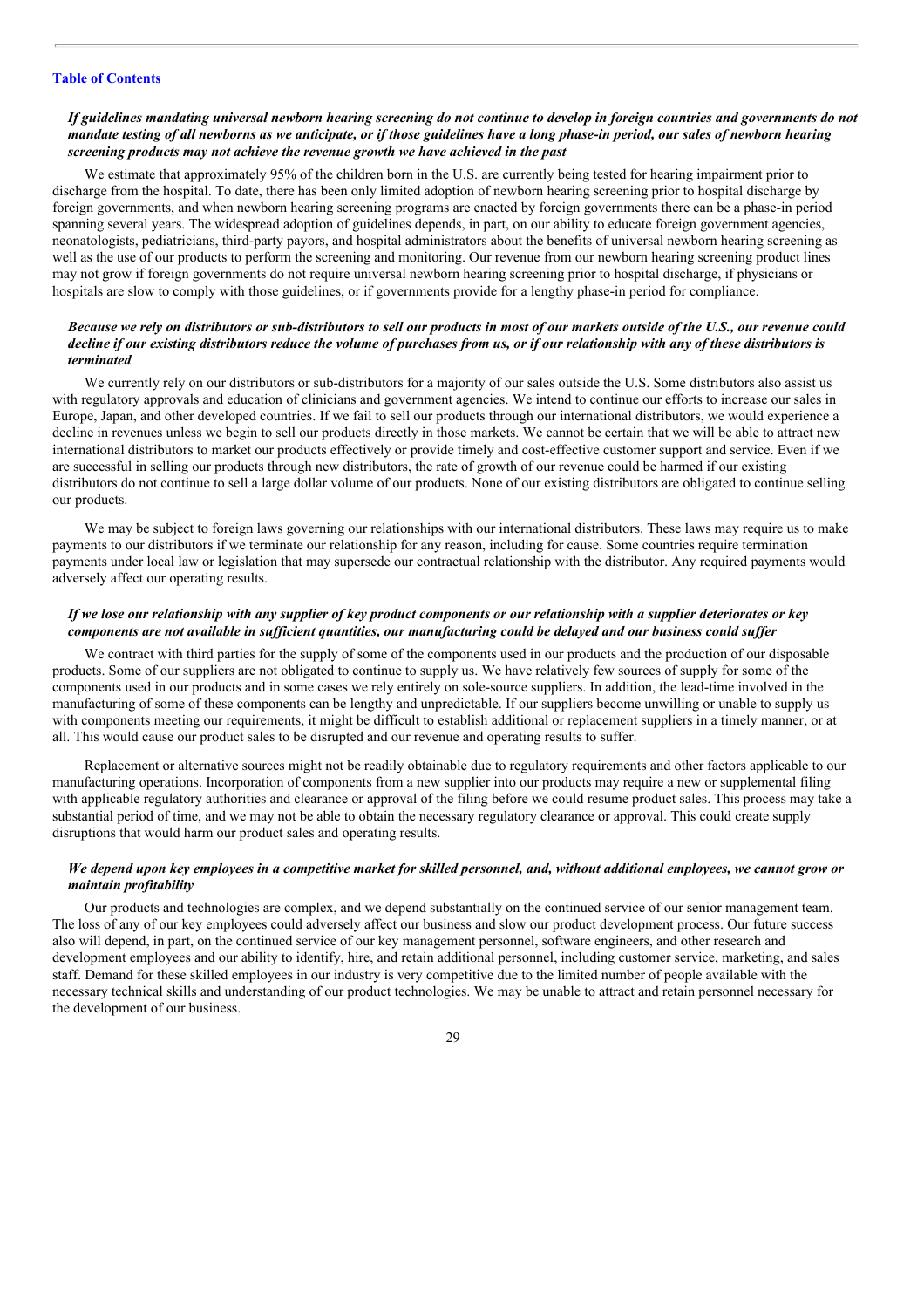## If guidelines mandating universal newborn hearing screening do not continue to develop in foreign countries and governments do not mandate testing of all newborns as we anticipate, or if those guidelines have a long phase-in period, our sales of newborn hearing *screening products may not achieve the revenue growth we have achieved in the past*

We estimate that approximately 95% of the children born in the U.S. are currently being tested for hearing impairment prior to discharge from the hospital. To date, there has been only limited adoption of newborn hearing screening prior to hospital discharge by foreign governments, and when newborn hearing screening programs are enacted by foreign governments there can be a phase-in period spanning several years. The widespread adoption of guidelines depends, in part, on our ability to educate foreign government agencies, neonatologists, pediatricians, third-party payors, and hospital administrators about the benefits of universal newborn hearing screening as well as the use of our products to perform the screening and monitoring. Our revenue from our newborn hearing screening product lines may not grow if foreign governments do not require universal newborn hearing screening prior to hospital discharge, if physicians or hospitals are slow to comply with those guidelines, or if governments provide for a lengthy phase-in period for compliance.

## Because we rely on distributors or sub-distributors to sell our products in most of our markets outside of the U.S., our revenue could decline if our existing distributors reduce the volume of purchases from us, or if our relationship with any of these distributors is *terminated*

We currently rely on our distributors or sub-distributors for a majority of our sales outside the U.S. Some distributors also assist us with regulatory approvals and education of clinicians and government agencies. We intend to continue our efforts to increase our sales in Europe, Japan, and other developed countries. If we fail to sell our products through our international distributors, we would experience a decline in revenues unless we begin to sell our products directly in those markets. We cannot be certain that we will be able to attract new international distributors to market our products effectively or provide timely and cost-effective customer support and service. Even if we are successful in selling our products through new distributors, the rate of growth of our revenue could be harmed if our existing distributors do not continue to sell a large dollar volume of our products. None of our existing distributors are obligated to continue selling our products.

We may be subject to foreign laws governing our relationships with our international distributors. These laws may require us to make payments to our distributors if we terminate our relationship for any reason, including for cause. Some countries require termination payments under local law or legislation that may supersede our contractual relationship with the distributor. Any required payments would adversely affect our operating results.

## If we lose our relationship with any supplier of key product components or our relationship with a supplier deteriorates or key components are not available in sufficient quantities, our manufacturing could be delayed and our business could suffer

We contract with third parties for the supply of some of the components used in our products and the production of our disposable products. Some of our suppliers are not obligated to continue to supply us. We have relatively few sources of supply for some of the components used in our products and in some cases we rely entirely on sole-source suppliers. In addition, the lead-time involved in the manufacturing of some of these components can be lengthy and unpredictable. If our suppliers become unwilling or unable to supply us with components meeting our requirements, it might be difficult to establish additional or replacement suppliers in a timely manner, or at all. This would cause our product sales to be disrupted and our revenue and operating results to suffer.

Replacement or alternative sources might not be readily obtainable due to regulatory requirements and other factors applicable to our manufacturing operations. Incorporation of components from a new supplier into our products may require a new or supplemental filing with applicable regulatory authorities and clearance or approval of the filing before we could resume product sales. This process may take a substantial period of time, and we may not be able to obtain the necessary regulatory clearance or approval. This could create supply disruptions that would harm our product sales and operating results.

## We depend upon key employees in a competitive market for skilled personnel, and, without additional employees, we cannot grow or *maintain profitability*

Our products and technologies are complex, and we depend substantially on the continued service of our senior management team. The loss of any of our key employees could adversely affect our business and slow our product development process. Our future success also will depend, in part, on the continued service of our key management personnel, software engineers, and other research and development employees and our ability to identify, hire, and retain additional personnel, including customer service, marketing, and sales staff. Demand for these skilled employees in our industry is very competitive due to the limited number of people available with the necessary technical skills and understanding of our product technologies. We may be unable to attract and retain personnel necessary for the development of our business.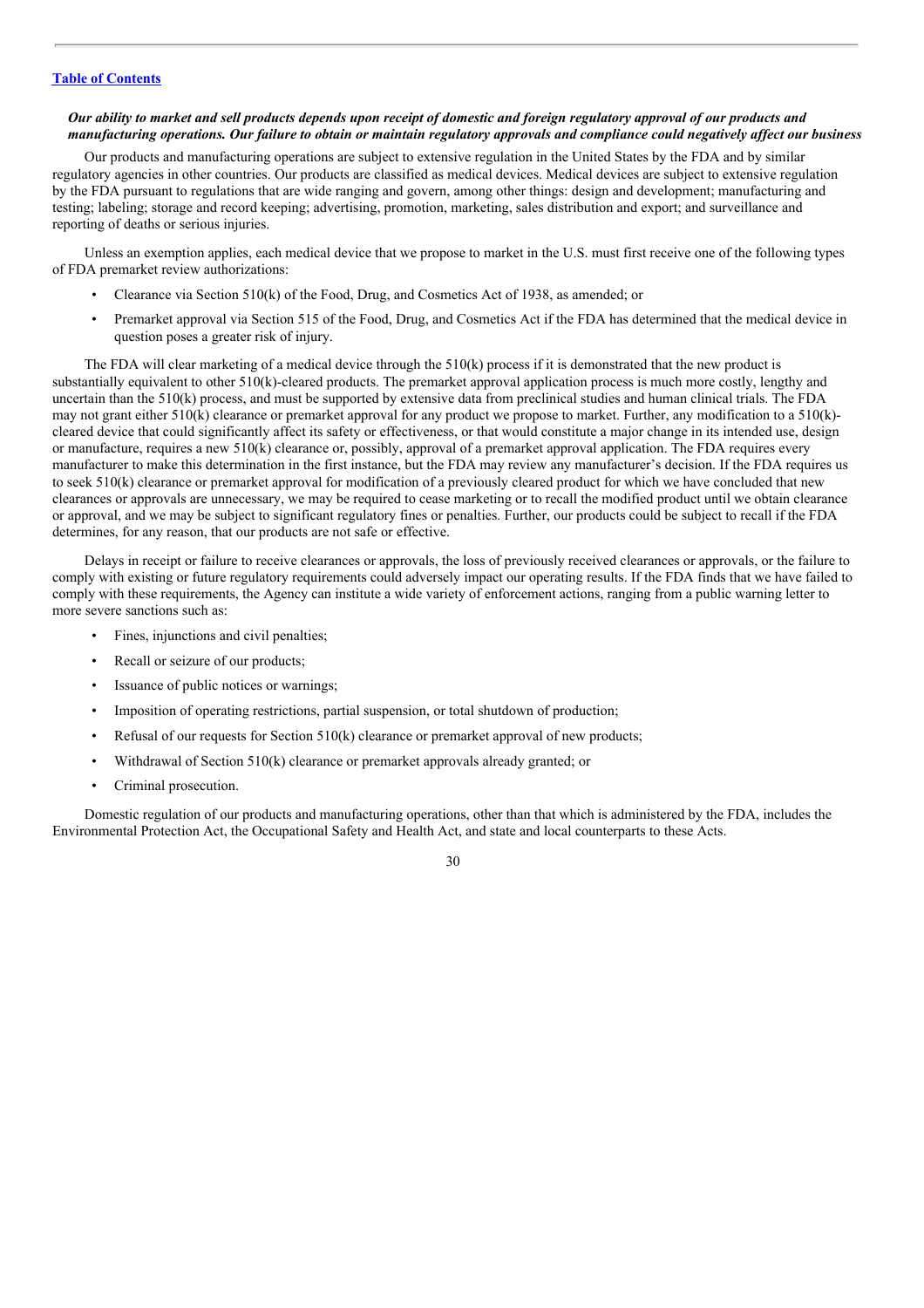## Our ability to market and sell products depends upon receipt of domestic and foreign regulatory approval of our products and manufacturing operations. Our failure to obtain or maintain regulatory approvals and compliance could negatively affect our business

Our products and manufacturing operations are subject to extensive regulation in the United States by the FDA and by similar regulatory agencies in other countries. Our products are classified as medical devices. Medical devices are subject to extensive regulation by the FDA pursuant to regulations that are wide ranging and govern, among other things: design and development; manufacturing and testing; labeling; storage and record keeping; advertising, promotion, marketing, sales distribution and export; and surveillance and reporting of deaths or serious injuries.

Unless an exemption applies, each medical device that we propose to market in the U.S. must first receive one of the following types of FDA premarket review authorizations:

- Clearance via Section 510(k) of the Food, Drug, and Cosmetics Act of 1938, as amended; or
- Premarket approval via Section 515 of the Food, Drug, and Cosmetics Act if the FDA has determined that the medical device in question poses a greater risk of injury.

The FDA will clear marketing of a medical device through the  $510(k)$  process if it is demonstrated that the new product is substantially equivalent to other 510(k)-cleared products. The premarket approval application process is much more costly, lengthy and uncertain than the 510(k) process, and must be supported by extensive data from preclinical studies and human clinical trials. The FDA may not grant either 510(k) clearance or premarket approval for any product we propose to market. Further, any modification to a 510(k) cleared device that could significantly affect its safety or effectiveness, or that would constitute a major change in its intended use, design or manufacture, requires a new 510(k) clearance or, possibly, approval of a premarket approval application. The FDA requires every manufacturer to make this determination in the first instance, but the FDA may review any manufacturer's decision. If the FDA requires us to seek 510(k) clearance or premarket approval for modification of a previously cleared product for which we have concluded that new clearances or approvals are unnecessary, we may be required to cease marketing or to recall the modified product until we obtain clearance or approval, and we may be subject to significant regulatory fines or penalties. Further, our products could be subject to recall if the FDA determines, for any reason, that our products are not safe or effective.

Delays in receipt or failure to receive clearances or approvals, the loss of previously received clearances or approvals, or the failure to comply with existing or future regulatory requirements could adversely impact our operating results. If the FDA finds that we have failed to comply with these requirements, the Agency can institute a wide variety of enforcement actions, ranging from a public warning letter to more severe sanctions such as:

- Fines, injunctions and civil penalties;
- Recall or seizure of our products;
- Issuance of public notices or warnings;
- Imposition of operating restrictions, partial suspension, or total shutdown of production;
- Refusal of our requests for Section  $510(k)$  clearance or premarket approval of new products;
- Withdrawal of Section 510(k) clearance or premarket approvals already granted; or
- Criminal prosecution.

Domestic regulation of our products and manufacturing operations, other than that which is administered by the FDA, includes the Environmental Protection Act, the Occupational Safety and Health Act, and state and local counterparts to these Acts.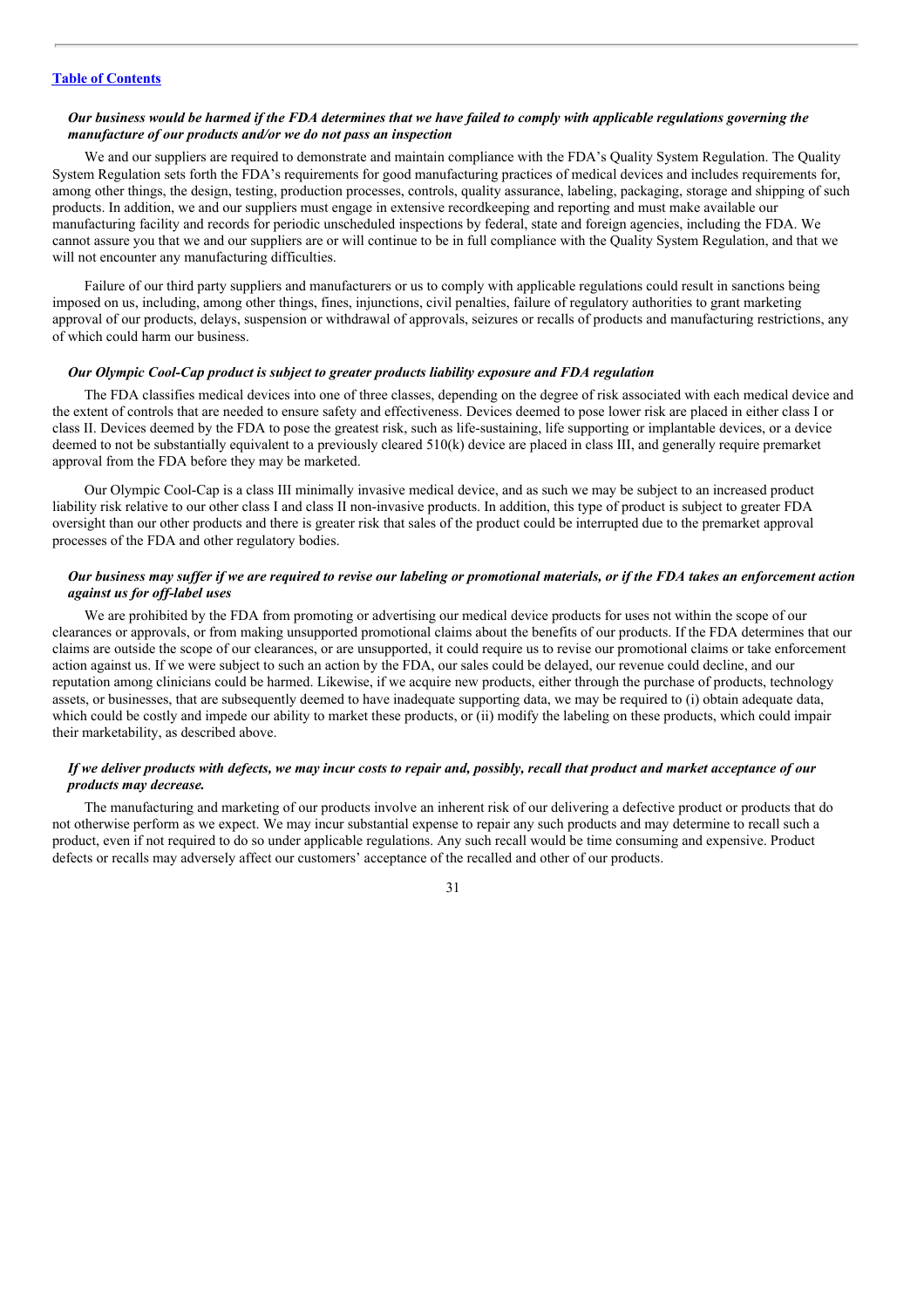## Our business would be harmed if the FDA determines that we have failed to comply with applicable regulations governing the *manufacture of our products and/or we do not pass an inspection*

We and our suppliers are required to demonstrate and maintain compliance with the FDA's Quality System Regulation. The Quality System Regulation sets forth the FDA's requirements for good manufacturing practices of medical devices and includes requirements for, among other things, the design, testing, production processes, controls, quality assurance, labeling, packaging, storage and shipping of such products. In addition, we and our suppliers must engage in extensive recordkeeping and reporting and must make available our manufacturing facility and records for periodic unscheduled inspections by federal, state and foreign agencies, including the FDA. We cannot assure you that we and our suppliers are or will continue to be in full compliance with the Quality System Regulation, and that we will not encounter any manufacturing difficulties.

Failure of our third party suppliers and manufacturers or us to comply with applicable regulations could result in sanctions being imposed on us, including, among other things, fines, injunctions, civil penalties, failure of regulatory authorities to grant marketing approval of our products, delays, suspension or withdrawal of approvals, seizures or recalls of products and manufacturing restrictions, any of which could harm our business.

#### *Our Olympic Cool-Cap product is subject to greater products liability exposure and FDA regulation*

The FDA classifies medical devices into one of three classes, depending on the degree of risk associated with each medical device and the extent of controls that are needed to ensure safety and effectiveness. Devices deemed to pose lower risk are placed in either class I or class II. Devices deemed by the FDA to pose the greatest risk, such as life-sustaining, life supporting or implantable devices, or a device deemed to not be substantially equivalent to a previously cleared 510(k) device are placed in class III, and generally require premarket approval from the FDA before they may be marketed.

Our Olympic Cool-Cap is a class III minimally invasive medical device, and as such we may be subject to an increased product liability risk relative to our other class I and class II non-invasive products. In addition, this type of product is subject to greater FDA oversight than our other products and there is greater risk that sales of the product could be interrupted due to the premarket approval processes of the FDA and other regulatory bodies.

## Our business may suffer if we are required to revise our labeling or promotional materials, or if the FDA takes an enforcement action *against us for of -label uses*

We are prohibited by the FDA from promoting or advertising our medical device products for uses not within the scope of our clearances or approvals, or from making unsupported promotional claims about the benefits of our products. If the FDA determines that our claims are outside the scope of our clearances, or are unsupported, it could require us to revise our promotional claims or take enforcement action against us. If we were subject to such an action by the FDA, our sales could be delayed, our revenue could decline, and our reputation among clinicians could be harmed. Likewise, if we acquire new products, either through the purchase of products, technology assets, or businesses, that are subsequently deemed to have inadequate supporting data, we may be required to (i) obtain adequate data, which could be costly and impede our ability to market these products, or (ii) modify the labeling on these products, which could impair their marketability, as described above.

## If we deliver products with defects, we may incur costs to repair and, possibly, recall that product and market acceptance of our *products may decrease.*

The manufacturing and marketing of our products involve an inherent risk of our delivering a defective product or products that do not otherwise perform as we expect. We may incur substantial expense to repair any such products and may determine to recall such a product, even if not required to do so under applicable regulations. Any such recall would be time consuming and expensive. Product defects or recalls may adversely affect our customers' acceptance of the recalled and other of our products.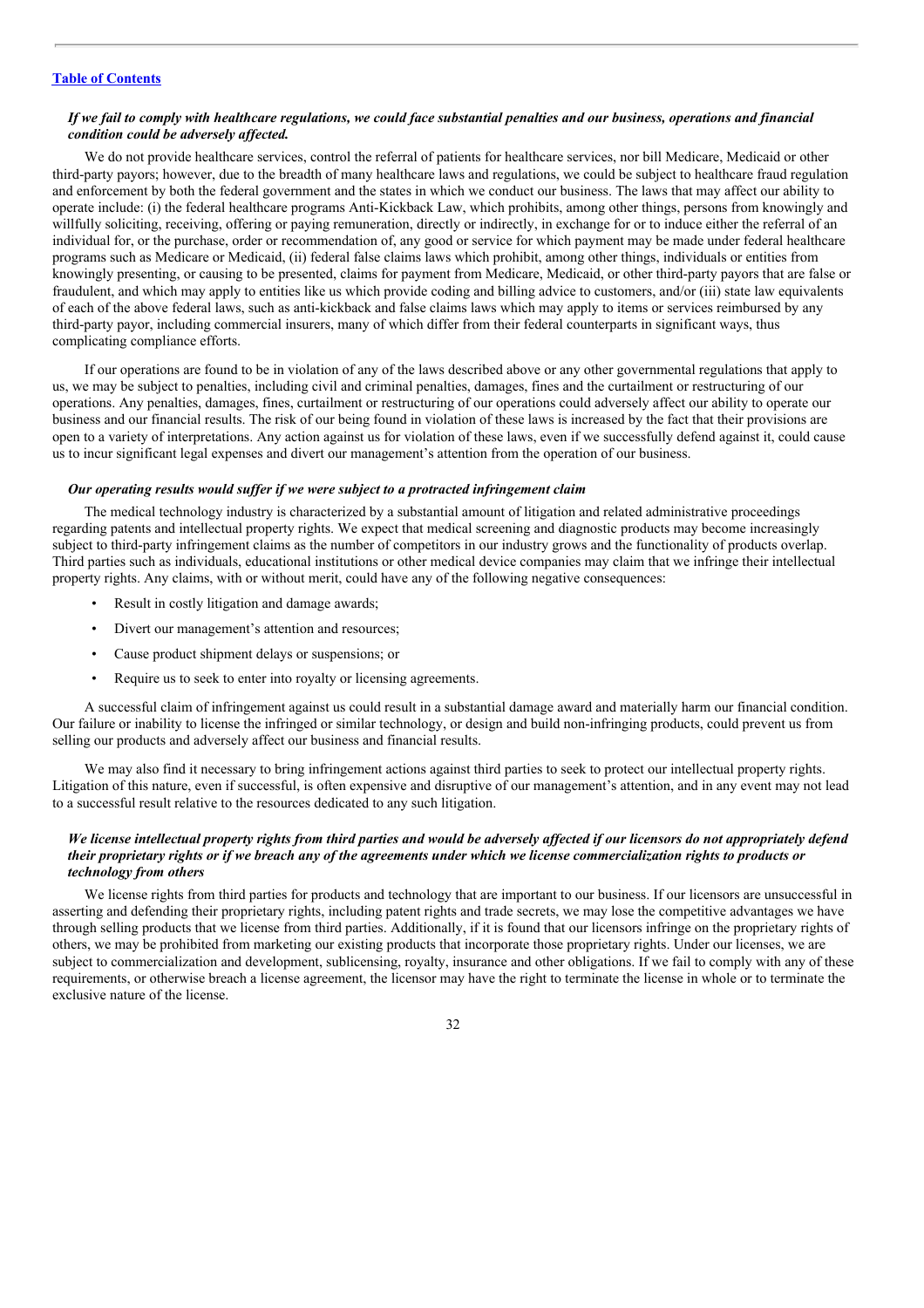## If we fail to comply with healthcare regulations, we could face substantial penalties and our business, operations and financial *condition could be adversely af ected.*

We do not provide healthcare services, control the referral of patients for healthcare services, nor bill Medicare, Medicaid or other third-party payors; however, due to the breadth of many healthcare laws and regulations, we could be subject to healthcare fraud regulation and enforcement by both the federal government and the states in which we conduct our business. The laws that may affect our ability to operate include: (i) the federal healthcare programs Anti-Kickback Law, which prohibits, among other things, persons from knowingly and willfully soliciting, receiving, offering or paying remuneration, directly or indirectly, in exchange for or to induce either the referral of an individual for, or the purchase, order or recommendation of, any good or service for which payment may be made under federal healthcare programs such as Medicare or Medicaid, (ii) federal false claims laws which prohibit, among other things, individuals or entities from knowingly presenting, or causing to be presented, claims for payment from Medicare, Medicaid, or other third-party payors that are false or fraudulent, and which may apply to entities like us which provide coding and billing advice to customers, and/or (iii) state law equivalents of each of the above federal laws, such as anti-kickback and false claims laws which may apply to items or services reimbursed by any third-party payor, including commercial insurers, many of which differ from their federal counterparts in significant ways, thus complicating compliance efforts.

If our operations are found to be in violation of any of the laws described above or any other governmental regulations that apply to us, we may be subject to penalties, including civil and criminal penalties, damages, fines and the curtailment or restructuring of our operations. Any penalties, damages, fines, curtailment or restructuring of our operations could adversely affect our ability to operate our business and our financial results. The risk of our being found in violation of these laws is increased by the fact that their provisions are open to a variety of interpretations. Any action against us for violation of these laws, even if we successfully defend against it, could cause us to incur significant legal expenses and divert our management's attention from the operation of our business.

## *Our operating results would suf er if we were subject to a protracted infringement claim*

The medical technology industry is characterized by a substantial amount of litigation and related administrative proceedings regarding patents and intellectual property rights. We expect that medical screening and diagnostic products may become increasingly subject to third-party infringement claims as the number of competitors in our industry grows and the functionality of products overlap. Third parties such as individuals, educational institutions or other medical device companies may claim that we infringe their intellectual property rights. Any claims, with or without merit, could have any of the following negative consequences:

- Result in costly litigation and damage awards;
- Divert our management's attention and resources;
- Cause product shipment delays or suspensions; or
- Require us to seek to enter into royalty or licensing agreements.

A successful claim of infringement against us could result in a substantial damage award and materially harm our financial condition. Our failure or inability to license the infringed or similar technology, or design and build non-infringing products, could prevent us from selling our products and adversely affect our business and financial results.

We may also find it necessary to bring infringement actions against third parties to seek to protect our intellectual property rights. Litigation of this nature, even if successful, is often expensive and disruptive of our management's attention, and in any event may not lead to a successful result relative to the resources dedicated to any such litigation.

## We license intellectual property rights from third parties and would be adversely affected if our licensors do not appropriately defend their proprietary rights or if we breach any of the agreements under which we license commercialization rights to products or *technology from others*

We license rights from third parties for products and technology that are important to our business. If our licensors are unsuccessful in asserting and defending their proprietary rights, including patent rights and trade secrets, we may lose the competitive advantages we have through selling products that we license from third parties. Additionally, if it is found that our licensors infringe on the proprietary rights of others, we may be prohibited from marketing our existing products that incorporate those proprietary rights. Under our licenses, we are subject to commercialization and development, sublicensing, royalty, insurance and other obligations. If we fail to comply with any of these requirements, or otherwise breach a license agreement, the licensor may have the right to terminate the license in whole or to terminate the exclusive nature of the license.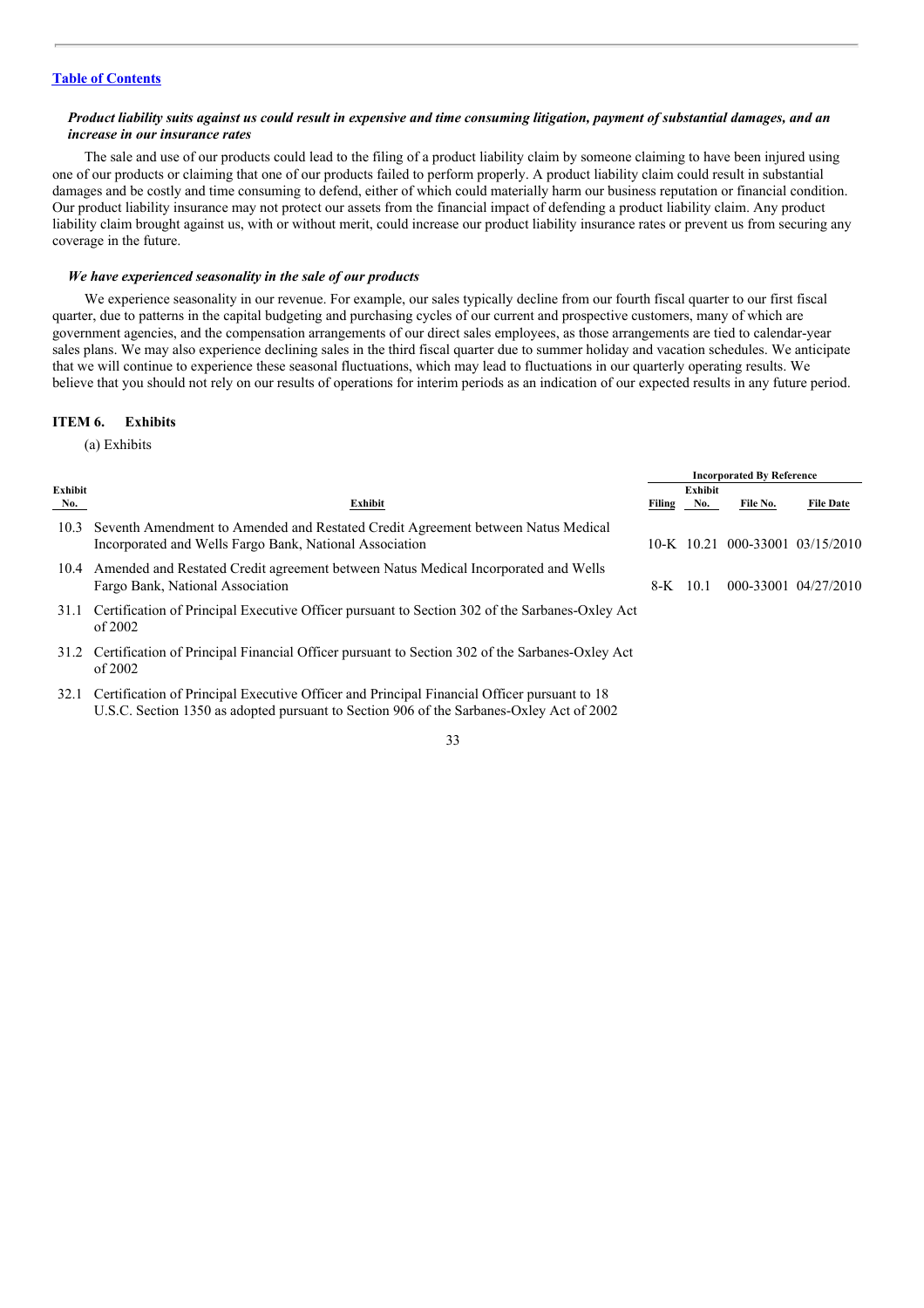## Product liability suits against us could result in expensive and time consuming litigation, payment of substantial damages, and an *increase in our insurance rates*

The sale and use of our products could lead to the filing of a product liability claim by someone claiming to have been injured using one of our products or claiming that one of our products failed to perform properly. A product liability claim could result in substantial damages and be costly and time consuming to defend, either of which could materially harm our business reputation or financial condition. Our product liability insurance may not protect our assets from the financial impact of defending a product liability claim. Any product liability claim brought against us, with or without merit, could increase our product liability insurance rates or prevent us from securing any coverage in the future.

#### *We have experienced seasonality in the sale of our products*

We experience seasonality in our revenue. For example, our sales typically decline from our fourth fiscal quarter to our first fiscal quarter, due to patterns in the capital budgeting and purchasing cycles of our current and prospective customers, many of which are government agencies, and the compensation arrangements of our direct sales employees, as those arrangements are tied to calendar-year sales plans. We may also experience declining sales in the third fiscal quarter due to summer holiday and vacation schedules. We anticipate that we will continue to experience these seasonal fluctuations, which may lead to fluctuations in our quarterly operating results. We believe that you should not rely on our results of operations for interim periods as an indication of our expected results in any future period.

## **ITEM 6. Exhibits**

(a) Exhibits

|                |                                                                                                                                                  |        |                |          | <b>Incorporated By Reference</b> |  |
|----------------|--------------------------------------------------------------------------------------------------------------------------------------------------|--------|----------------|----------|----------------------------------|--|
| Exhibit<br>No. | Exhibit                                                                                                                                          | Filing | Exhibit<br>No. | File No. | <b>File Date</b>                 |  |
|                | 10.3 Seventh Amendment to Amended and Restated Credit Agreement between Natus Medical<br>Incorporated and Wells Fargo Bank, National Association |        |                |          | 10-K 10.21 000-33001 03/15/2010  |  |
| 10.4           | Amended and Restated Credit agreement between Natus Medical Incorporated and Wells<br>Fargo Bank, National Association                           | 8-K    | 10.1           |          | 000-33001 04/27/2010             |  |
|                | 31.1 Certification of Principal Executive Officer pursuant to Section 302 of the Sarbanes-Oxley Act<br>of 2002                                   |        |                |          |                                  |  |

- 31.2 Certification of Principal Financial Officer pursuant to Section 302 of the Sarbanes-Oxley Act of 2002
- 32.1 Certification of Principal Executive Officer and Principal Financial Officer pursuant to 18 U.S.C. Section 1350 as adopted pursuant to Section 906 of the Sarbanes-Oxley Act of 2002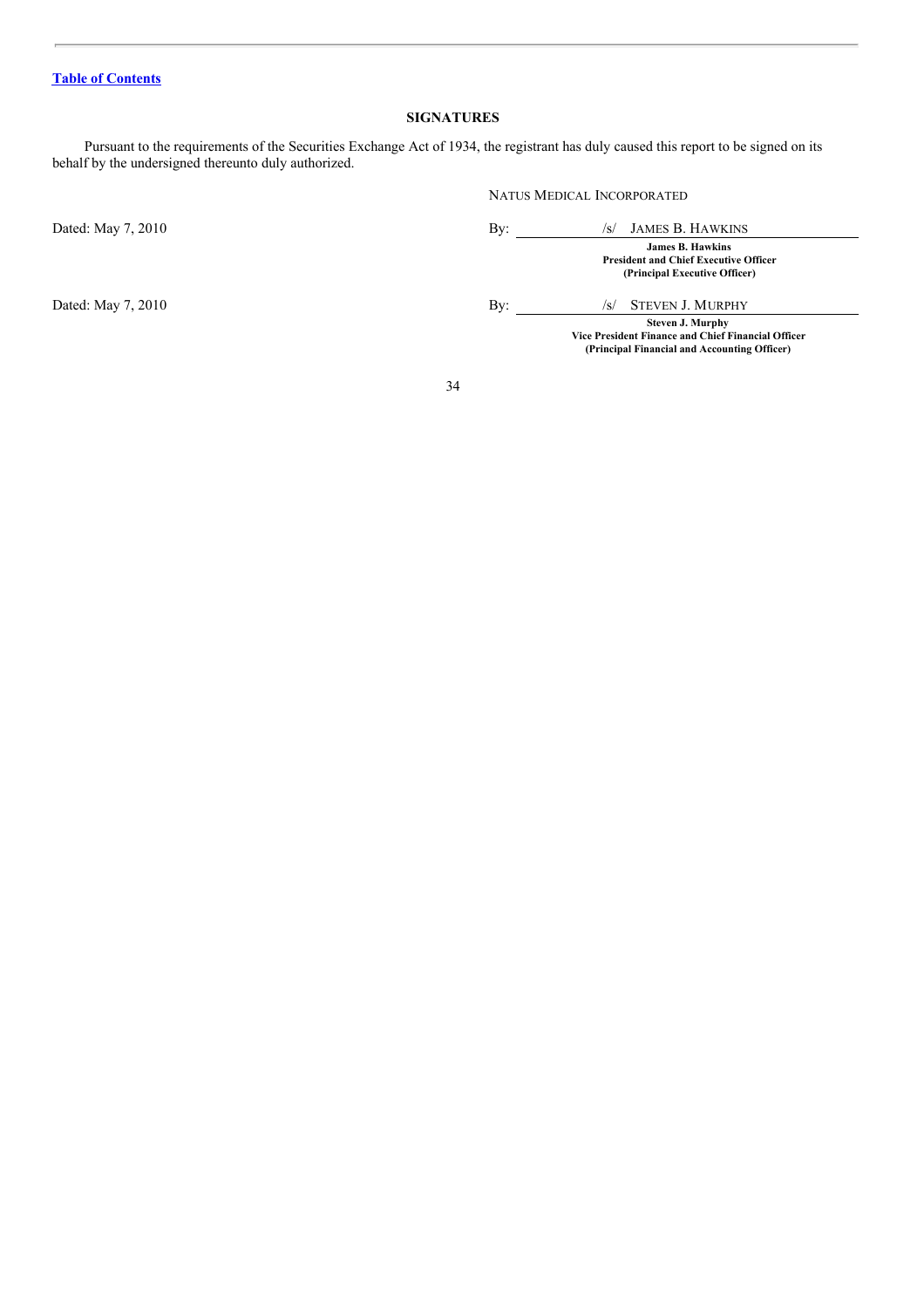## **SIGNATURES**

Pursuant to the requirements of the Securities Exchange Act of 1934, the registrant has duly caused this report to be signed on its behalf by the undersigned thereunto duly authorized.

NATUS MEDICAL INCORPORATED

Dated: May 7, 2010 By: /s/ JAMES B. HAWKINS **James B. Hawkins President and Chief Executive Officer (Principal Executive Officer)**

Dated: May 7, 2010 By: /s/ STEVEN J. MURPHY

**Steven J. Murphy Vice President Finance and Chief Financial Officer (Principal Financial and Accounting Officer)**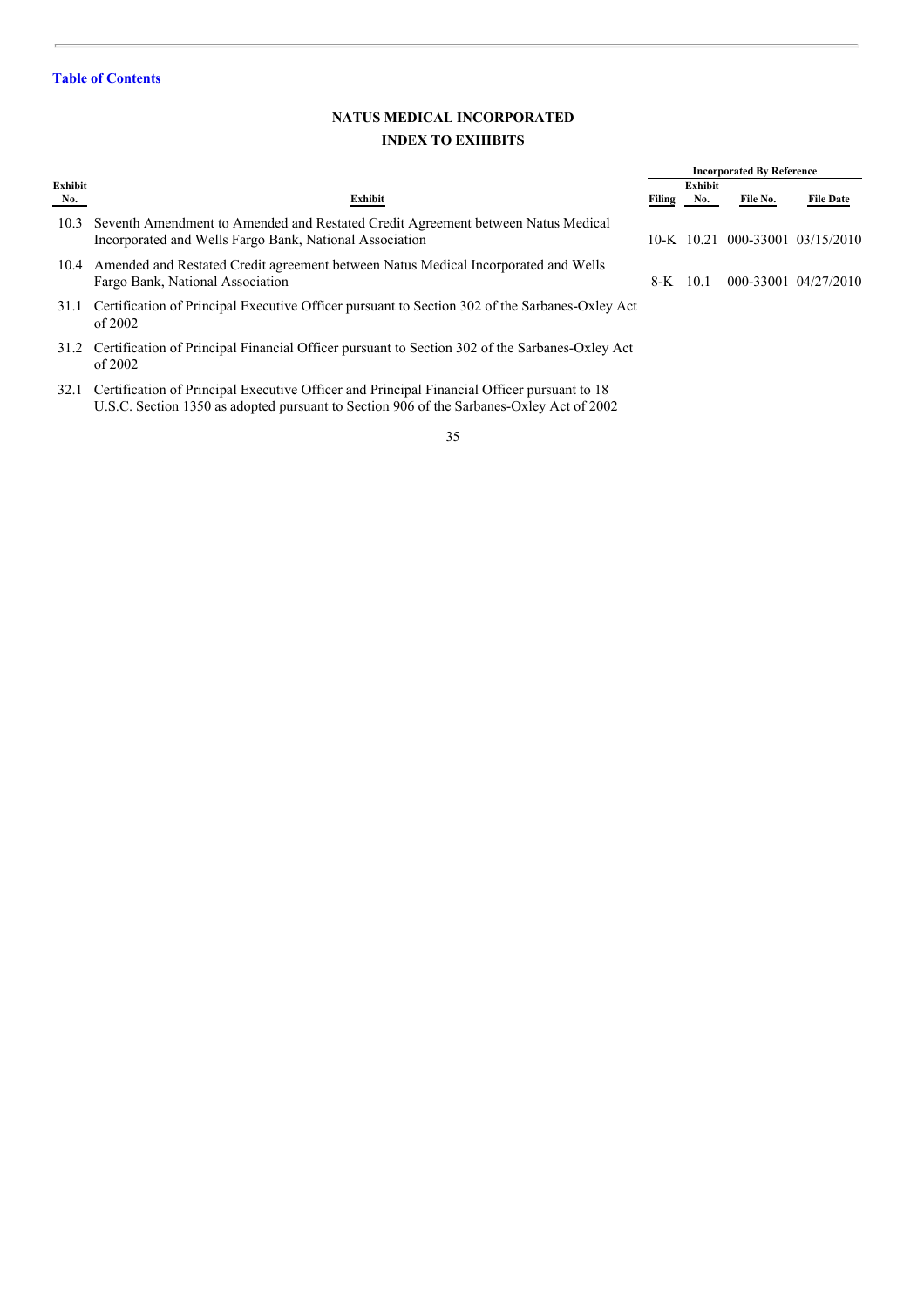# **NATUS MEDICAL INCORPORATED INDEX TO EXHIBITS**

|         |                                                                                                                                             |               | <b>Incorporated By Reference</b> |          |                                 |
|---------|---------------------------------------------------------------------------------------------------------------------------------------------|---------------|----------------------------------|----------|---------------------------------|
| Exhibit |                                                                                                                                             |               | Exhibit                          |          |                                 |
| No.     | Exhibit                                                                                                                                     | <b>Filing</b> | No.                              | File No. | <b>File Date</b>                |
| 10.3    | Seventh Amendment to Amended and Restated Credit Agreement between Natus Medical<br>Incorporated and Wells Fargo Bank, National Association |               |                                  |          | 10-K 10.21 000-33001 03/15/2010 |
|         | 10.4 Amended and Restated Credit agreement between Natus Medical Incorporated and Wells<br>Fargo Bank, National Association                 | 8-K           | 10.1                             |          | 000-33001 04/27/2010            |
|         | 31.1 Certification of Principal Executive Officer pursuant to Section 302 of the Sarbanes-Oxley Act<br>of $2002$                            |               |                                  |          |                                 |

31.2 Certification of Principal Financial Officer pursuant to Section 302 of the Sarbanes-Oxley Act of 2002

32.1 Certification of Principal Executive Officer and Principal Financial Officer pursuant to 18 U.S.C. Section 1350 as adopted pursuant to Section 906 of the Sarbanes-Oxley Act of 2002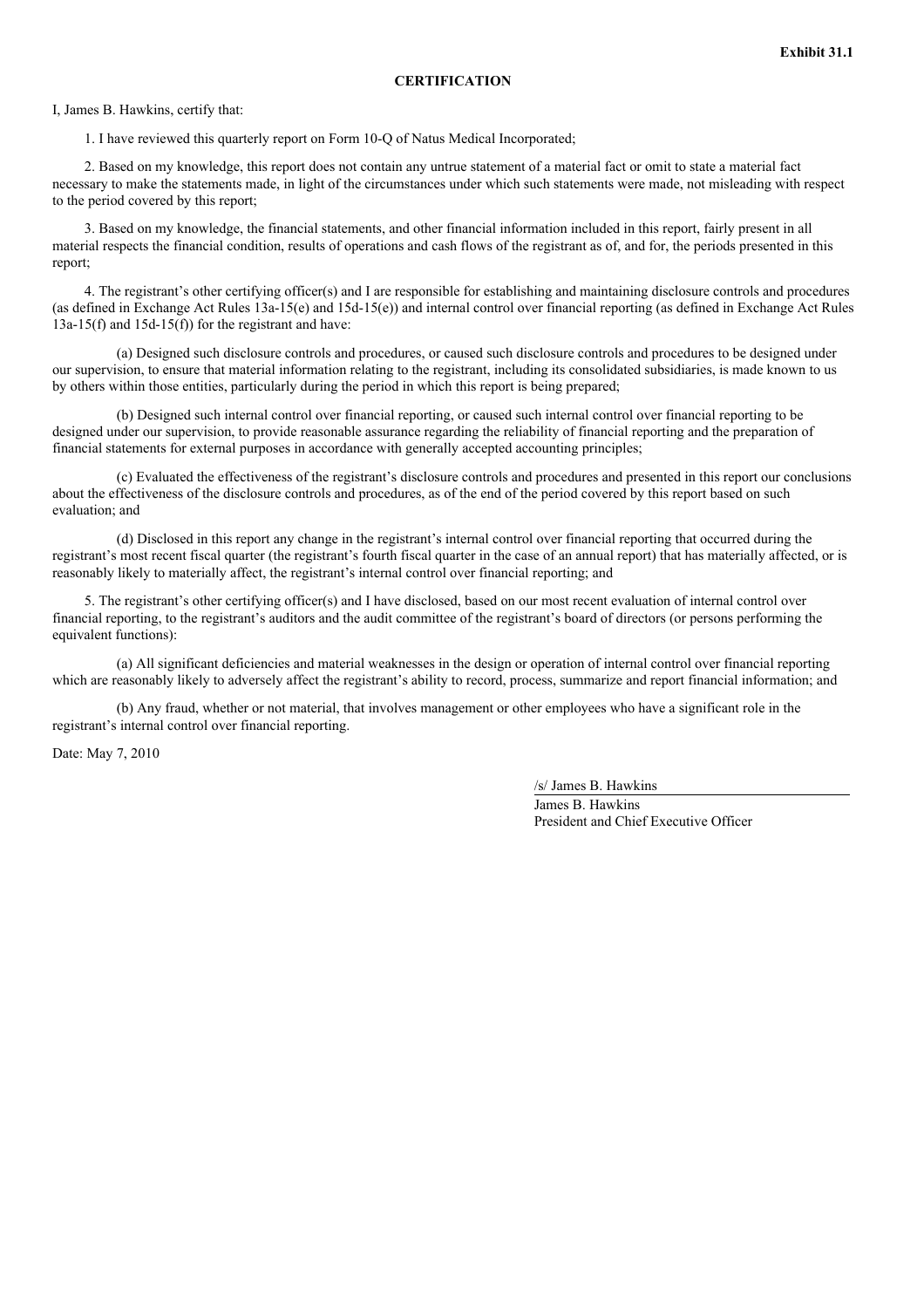## **CERTIFICATION**

## I, James B. Hawkins, certify that:

1. I have reviewed this quarterly report on Form 10-Q of Natus Medical Incorporated;

2. Based on my knowledge, this report does not contain any untrue statement of a material fact or omit to state a material fact necessary to make the statements made, in light of the circumstances under which such statements were made, not misleading with respect to the period covered by this report;

3. Based on my knowledge, the financial statements, and other financial information included in this report, fairly present in all material respects the financial condition, results of operations and cash flows of the registrant as of, and for, the periods presented in this report;

4. The registrant's other certifying officer(s) and I are responsible for establishing and maintaining disclosure controls and procedures (as defined in Exchange Act Rules 13a-15(e) and 15d-15(e)) and internal control over financial reporting (as defined in Exchange Act Rules 13a-15(f) and 15d-15(f)) for the registrant and have:

(a) Designed such disclosure controls and procedures, or caused such disclosure controls and procedures to be designed under our supervision, to ensure that material information relating to the registrant, including its consolidated subsidiaries, is made known to us by others within those entities, particularly during the period in which this report is being prepared;

(b) Designed such internal control over financial reporting, or caused such internal control over financial reporting to be designed under our supervision, to provide reasonable assurance regarding the reliability of financial reporting and the preparation of financial statements for external purposes in accordance with generally accepted accounting principles;

(c) Evaluated the effectiveness of the registrant's disclosure controls and procedures and presented in this report our conclusions about the effectiveness of the disclosure controls and procedures, as of the end of the period covered by this report based on such evaluation; and

(d) Disclosed in this report any change in the registrant's internal control over financial reporting that occurred during the registrant's most recent fiscal quarter (the registrant's fourth fiscal quarter in the case of an annual report) that has materially affected, or is reasonably likely to materially affect, the registrant's internal control over financial reporting; and

5. The registrant's other certifying officer(s) and I have disclosed, based on our most recent evaluation of internal control over financial reporting, to the registrant's auditors and the audit committee of the registrant's board of directors (or persons performing the equivalent functions):

(a) All significant deficiencies and material weaknesses in the design or operation of internal control over financial reporting which are reasonably likely to adversely affect the registrant's ability to record, process, summarize and report financial information; and

(b) Any fraud, whether or not material, that involves management or other employees who have a significant role in the registrant's internal control over financial reporting.

Date: May 7, 2010

/s/ James B. Hawkins James B. Hawkins President and Chief Executive Officer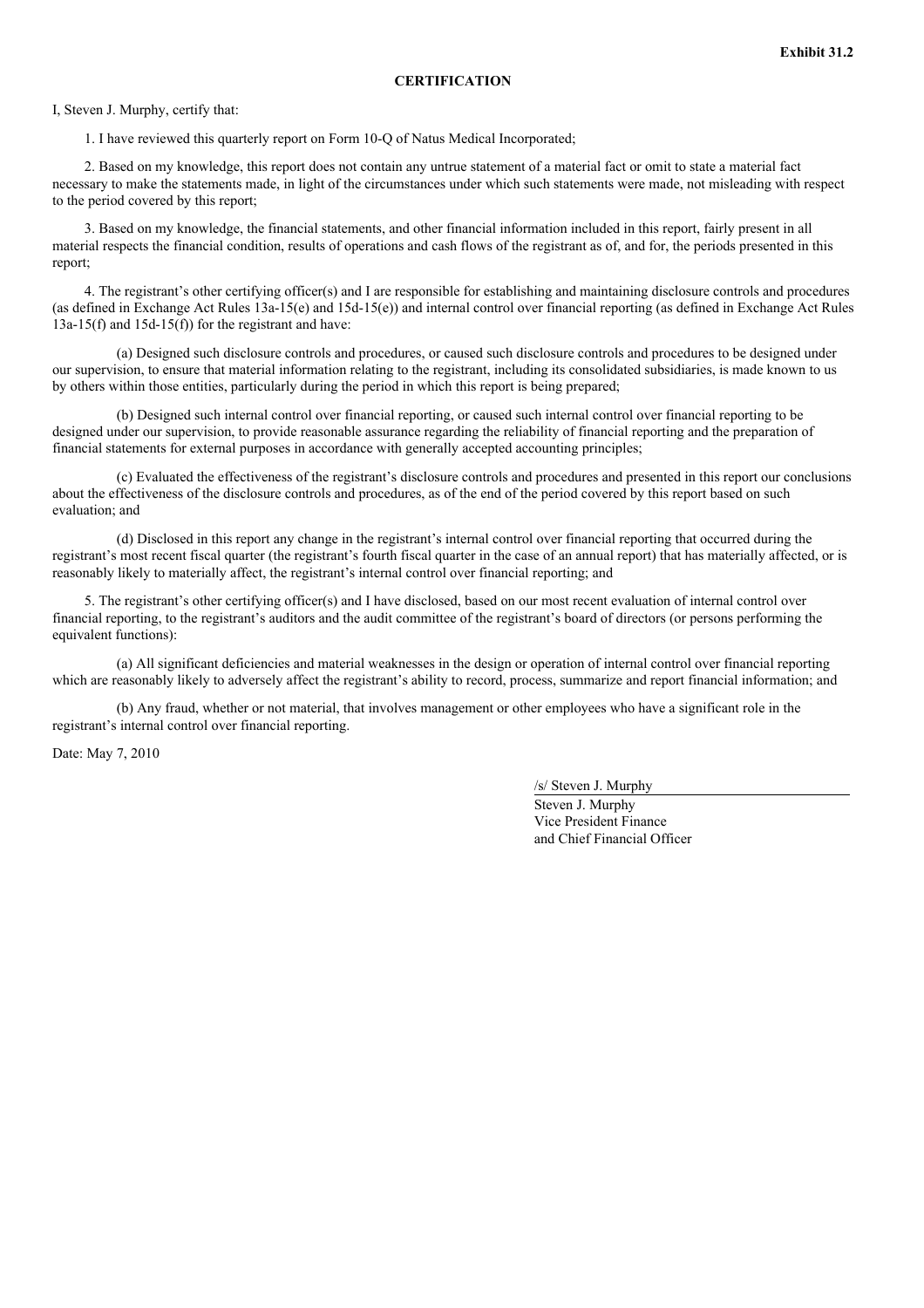## **CERTIFICATION**

## I, Steven J. Murphy, certify that:

1. I have reviewed this quarterly report on Form 10-Q of Natus Medical Incorporated;

2. Based on my knowledge, this report does not contain any untrue statement of a material fact or omit to state a material fact necessary to make the statements made, in light of the circumstances under which such statements were made, not misleading with respect to the period covered by this report;

3. Based on my knowledge, the financial statements, and other financial information included in this report, fairly present in all material respects the financial condition, results of operations and cash flows of the registrant as of, and for, the periods presented in this report;

4. The registrant's other certifying officer(s) and I are responsible for establishing and maintaining disclosure controls and procedures (as defined in Exchange Act Rules 13a-15(e) and 15d-15(e)) and internal control over financial reporting (as defined in Exchange Act Rules 13a-15(f) and 15d-15(f)) for the registrant and have:

(a) Designed such disclosure controls and procedures, or caused such disclosure controls and procedures to be designed under our supervision, to ensure that material information relating to the registrant, including its consolidated subsidiaries, is made known to us by others within those entities, particularly during the period in which this report is being prepared;

(b) Designed such internal control over financial reporting, or caused such internal control over financial reporting to be designed under our supervision, to provide reasonable assurance regarding the reliability of financial reporting and the preparation of financial statements for external purposes in accordance with generally accepted accounting principles;

(c) Evaluated the effectiveness of the registrant's disclosure controls and procedures and presented in this report our conclusions about the effectiveness of the disclosure controls and procedures, as of the end of the period covered by this report based on such evaluation; and

(d) Disclosed in this report any change in the registrant's internal control over financial reporting that occurred during the registrant's most recent fiscal quarter (the registrant's fourth fiscal quarter in the case of an annual report) that has materially affected, or is reasonably likely to materially affect, the registrant's internal control over financial reporting; and

5. The registrant's other certifying officer(s) and I have disclosed, based on our most recent evaluation of internal control over financial reporting, to the registrant's auditors and the audit committee of the registrant's board of directors (or persons performing the equivalent functions):

(a) All significant deficiencies and material weaknesses in the design or operation of internal control over financial reporting which are reasonably likely to adversely affect the registrant's ability to record, process, summarize and report financial information; and

(b) Any fraud, whether or not material, that involves management or other employees who have a significant role in the registrant's internal control over financial reporting.

Date: May 7, 2010

/s/ Steven J. Murphy

Steven J. Murphy Vice President Finance and Chief Financial Officer